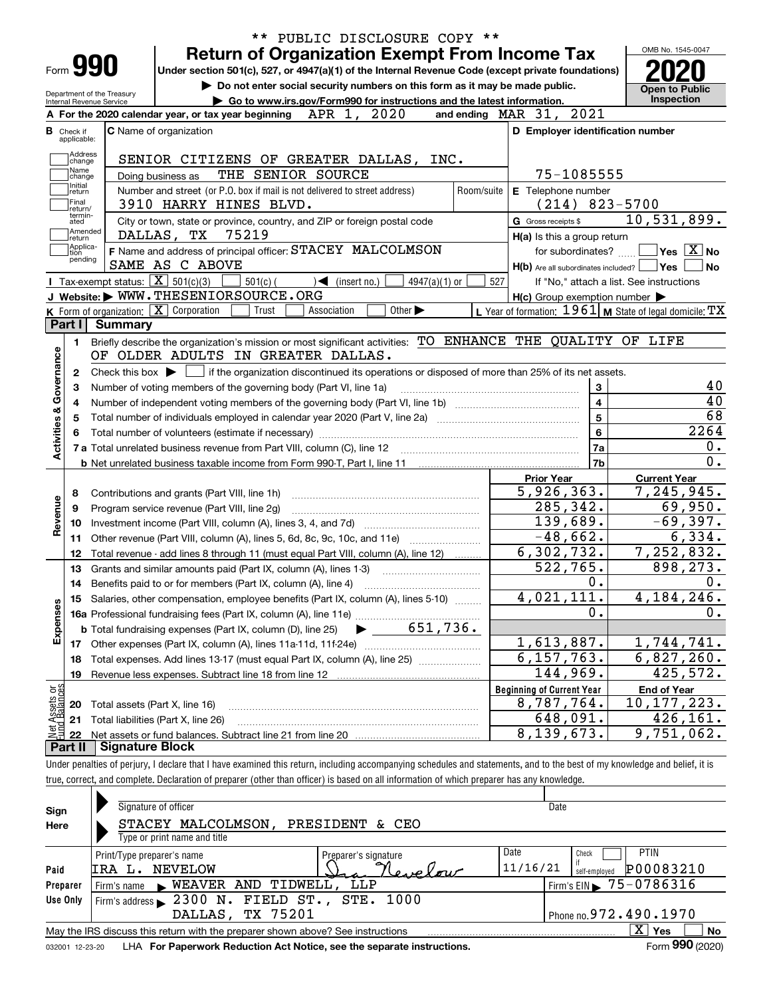| ** PUBLIC DISCLOSURE COPY **                                                                                                                                             |                                                                                                                  |                                                                             |  |  |  |  |  |  |  |
|--------------------------------------------------------------------------------------------------------------------------------------------------------------------------|------------------------------------------------------------------------------------------------------------------|-----------------------------------------------------------------------------|--|--|--|--|--|--|--|
| <b>Return of Organization Exempt From Income Tax</b>                                                                                                                     |                                                                                                                  | OMB No. 1545-0047                                                           |  |  |  |  |  |  |  |
| Form 990<br>Under section 501(c), 527, or 4947(a)(1) of the Internal Revenue Code (except private foundations)                                                           |                                                                                                                  |                                                                             |  |  |  |  |  |  |  |
| Do not enter social security numbers on this form as it may be made public.<br>Department of the Treasury                                                                |                                                                                                                  | <b>Open to Public</b>                                                       |  |  |  |  |  |  |  |
| Go to www.irs.gov/Form990 for instructions and the latest information.<br>Internal Revenue Service<br>APR 1, 2020<br>A For the 2020 calendar year, or tax year beginning | and ending MAR 31, 2021                                                                                          | Inspection                                                                  |  |  |  |  |  |  |  |
| C Name of organization<br><b>B</b> Check if                                                                                                                              | D Employer identification number                                                                                 |                                                                             |  |  |  |  |  |  |  |
| applicable:                                                                                                                                                              |                                                                                                                  |                                                                             |  |  |  |  |  |  |  |
| Address<br>SENIOR CITIZENS OF GREATER DALLAS, INC.<br>change                                                                                                             |                                                                                                                  |                                                                             |  |  |  |  |  |  |  |
| Name<br>THE SENIOR SOURCE<br>Doing business as<br>change                                                                                                                 | 75-1085555                                                                                                       |                                                                             |  |  |  |  |  |  |  |
| Initial<br>Number and street (or P.O. box if mail is not delivered to street address)<br>Room/suite<br>return                                                            | E Telephone number                                                                                               |                                                                             |  |  |  |  |  |  |  |
| Final<br>3910 HARRY HINES BLVD.<br>return/                                                                                                                               | $(214)$ 823-5700                                                                                                 |                                                                             |  |  |  |  |  |  |  |
| termin-<br>City or town, state or province, country, and ZIP or foreign postal code<br>ated                                                                              | G Gross receipts \$                                                                                              | 10,531,899.                                                                 |  |  |  |  |  |  |  |
| Amended<br>75219<br>DALLAS, TX<br>return                                                                                                                                 | H(a) Is this a group return                                                                                      |                                                                             |  |  |  |  |  |  |  |
| Applica-<br>F Name and address of principal officer: STACEY MALCOLMSON<br>tion<br>pending                                                                                | for subordinates?                                                                                                | $\sqrt{}$ Yes $\sqrt{}$ X $\sqrt{}$ No                                      |  |  |  |  |  |  |  |
| SAME AS C ABOVE                                                                                                                                                          | $H(b)$ Are all subordinates included? $\Box$ Yes                                                                 | No                                                                          |  |  |  |  |  |  |  |
| Tax-exempt status: $\boxed{\mathbf{X}}$ 501(c)(3)<br>$501(c)$ (<br>$\sqrt{\frac{1}{1}}$ (insert no.)<br>$4947(a)(1)$ or<br>J Website: WWW.THESENIORSOURCE.ORG            | 527<br>If "No," attach a list. See instructions                                                                  |                                                                             |  |  |  |  |  |  |  |
| K Form of organization: X Corporation<br>Trust<br>Association<br>Other $\blacktriangleright$                                                                             | $H(c)$ Group exemption number $\blacktriangleright$<br>L Year of formation: 1961   M State of legal domicile: TX |                                                                             |  |  |  |  |  |  |  |
| Part I<br><b>Summary</b>                                                                                                                                                 |                                                                                                                  |                                                                             |  |  |  |  |  |  |  |
| Briefly describe the organization's mission or most significant activities: TO ENHANCE THE QUALITY OF LIFE<br>1.                                                         |                                                                                                                  |                                                                             |  |  |  |  |  |  |  |
| Activities & Governance<br>Number of voting members of the governing body (Part VI, line 1a)<br>з<br>4<br>5                                                              | 3<br>$\overline{\mathbf{4}}$<br>$\overline{5}$                                                                   | 40<br>40<br>68                                                              |  |  |  |  |  |  |  |
|                                                                                                                                                                          | $6\phantom{a}$                                                                                                   | 2264                                                                        |  |  |  |  |  |  |  |
|                                                                                                                                                                          | 7a                                                                                                               | 0.                                                                          |  |  |  |  |  |  |  |
| <b>b</b> Net unrelated business taxable income from Form 990-T, Part I, line 11 <b>manual</b> content to the subsequent of Net II                                        | 7b                                                                                                               | $\overline{0}$ .                                                            |  |  |  |  |  |  |  |
|                                                                                                                                                                          | <b>Prior Year</b>                                                                                                | <b>Current Year</b>                                                         |  |  |  |  |  |  |  |
| Contributions and grants (Part VIII, line 1h)<br>8                                                                                                                       | 5,926,363.                                                                                                       | 7, 245, 945.                                                                |  |  |  |  |  |  |  |
| Revenue<br>Program service revenue (Part VIII, line 2g)<br>9                                                                                                             | 285,342.                                                                                                         | 69,950.                                                                     |  |  |  |  |  |  |  |
| 10                                                                                                                                                                       | 139,689.                                                                                                         | $-69,397.$                                                                  |  |  |  |  |  |  |  |
| Other revenue (Part VIII, column (A), lines 5, 6d, 8c, 9c, 10c, and 11e)<br>11                                                                                           | $-48,662.$                                                                                                       | 6,334.                                                                      |  |  |  |  |  |  |  |
| Total revenue - add lines 8 through 11 (must equal Part VIII, column (A), line 12)<br>12                                                                                 | 6,302,732.                                                                                                       | 7, 252, 832.                                                                |  |  |  |  |  |  |  |
| Grants and similar amounts paid (Part IX, column (A), lines 1-3)<br>13                                                                                                   | 522,765.                                                                                                         | 898,273.                                                                    |  |  |  |  |  |  |  |
| Benefits paid to or for members (Part IX, column (A), line 4)<br>14                                                                                                      | 0.<br>4,021,111.                                                                                                 | 0.<br>4, 184, 246.                                                          |  |  |  |  |  |  |  |
| Salaries, other compensation, employee benefits (Part IX, column (A), lines 5-10)<br>15                                                                                  | $\mathbf 0$ .                                                                                                    | 0.                                                                          |  |  |  |  |  |  |  |
|                                                                                                                                                                          |                                                                                                                  |                                                                             |  |  |  |  |  |  |  |
| Expenses                                                                                                                                                                 |                                                                                                                  |                                                                             |  |  |  |  |  |  |  |
|                                                                                                                                                                          |                                                                                                                  |                                                                             |  |  |  |  |  |  |  |
|                                                                                                                                                                          | 1,613,887.                                                                                                       |                                                                             |  |  |  |  |  |  |  |
| Total expenses. Add lines 13-17 (must equal Part IX, column (A), line 25) [11, 11, 1201, 1301, 1301, 1301, 130<br>18                                                     | 6, 157, 763.                                                                                                     |                                                                             |  |  |  |  |  |  |  |
| Revenue less expenses. Subtract line 18 from line 12<br>19                                                                                                               | 144,969.                                                                                                         |                                                                             |  |  |  |  |  |  |  |
| Total assets (Part X, line 16)<br>20                                                                                                                                     | <b>Beginning of Current Year</b><br>8,787,764.                                                                   | 1,744,741.<br>6,827,260.<br>425,572.<br><b>End of Year</b><br>10, 177, 223. |  |  |  |  |  |  |  |
| Total liabilities (Part X, line 26)<br>21                                                                                                                                | 648,091.                                                                                                         | 426, 161.                                                                   |  |  |  |  |  |  |  |
| Net Assets or<br>Fund Balances<br>22<br><b>Signature Block</b>                                                                                                           | 8,139,673.                                                                                                       | 9,751,062.                                                                  |  |  |  |  |  |  |  |

Under penalties of perjury, I declare that I have examined this return, including accompanying schedules and statements, and to the best of my knowledge and belief, it is true, correct, and complete. Declaration of preparer (other than officer) is based on all information of which preparer has any knowledge.

| Sign     | Signature of officer                                                                                         | Date                                   |  |  |  |  |  |  |  |  |  |
|----------|--------------------------------------------------------------------------------------------------------------|----------------------------------------|--|--|--|--|--|--|--|--|--|
| Here     | MALCOLMSON,<br>PRESIDENT & CEO<br>STACEY                                                                     |                                        |  |  |  |  |  |  |  |  |  |
|          | Type or print name and title                                                                                 |                                        |  |  |  |  |  |  |  |  |  |
|          | Print/Type preparer's name<br>Preparer's signature                                                           | Date<br><b>PTIN</b><br>Check           |  |  |  |  |  |  |  |  |  |
| Paid     | NEVELOW<br>IRA L.<br>evelow                                                                                  | 11/16/21<br>P00083210<br>self-emploved |  |  |  |  |  |  |  |  |  |
| Preparer | Firm's name WEAVER AND TIDWELL, LLP                                                                          | Firm's EIN $\triangleright$ 75-0786316 |  |  |  |  |  |  |  |  |  |
| Use Only | Firm's address $\triangleright$ 2300 N. FIELD ST., STE. 1000                                                 |                                        |  |  |  |  |  |  |  |  |  |
|          | DALLAS, TX 75201                                                                                             | Phone no. 972. 490. 1970               |  |  |  |  |  |  |  |  |  |
|          | May the IRS discuss this return with the preparer shown above? See instructions                              | $X \vert Y$ es<br>No                   |  |  |  |  |  |  |  |  |  |
|          | Form 990 (2020)<br>LHA For Paperwork Reduction Act Notice, see the separate instructions.<br>032001 12-23-20 |                                        |  |  |  |  |  |  |  |  |  |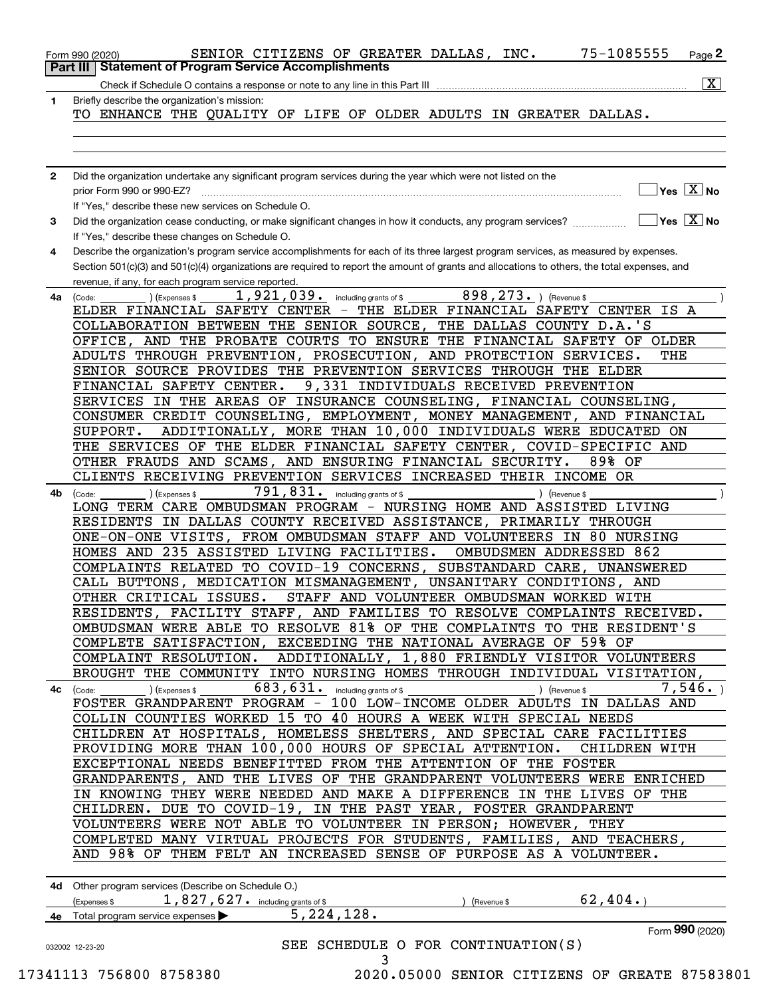| 1  | Check if Schedule O contains a response or note to any line in this Part III<br>Briefly describe the organization's mission:                                                                                                                                                                                                                                                                                                                          |
|----|-------------------------------------------------------------------------------------------------------------------------------------------------------------------------------------------------------------------------------------------------------------------------------------------------------------------------------------------------------------------------------------------------------------------------------------------------------|
|    | TO ENHANCE THE QUALITY OF LIFE OF OLDER ADULTS IN GREATER DALLAS.                                                                                                                                                                                                                                                                                                                                                                                     |
|    |                                                                                                                                                                                                                                                                                                                                                                                                                                                       |
| 2  | Did the organization undertake any significant program services during the year which were not listed on the                                                                                                                                                                                                                                                                                                                                          |
|    | Yes $X$ No<br>prior Form 990 or 990-EZ?<br>If "Yes," describe these new services on Schedule O.                                                                                                                                                                                                                                                                                                                                                       |
| 3  | $\sqrt{\mathsf{Yes}\ \boxed{\mathrm{X}}}$ No<br>Did the organization cease conducting, or make significant changes in how it conducts, any program services?<br>If "Yes," describe these changes on Schedule O.                                                                                                                                                                                                                                       |
| 4  | Describe the organization's program service accomplishments for each of its three largest program services, as measured by expenses.<br>Section 501(c)(3) and 501(c)(4) organizations are required to report the amount of grants and allocations to others, the total expenses, and<br>revenue, if any, for each program service reported.                                                                                                           |
| 4a | 898, 273. ) (Revenue \$<br>$\overline{1}$ , 921, 039. including grants of \$<br>(Expenses \$<br>(Code:<br>ELDER FINANCIAL SAFETY CENTER - THE ELDER FINANCIAL SAFETY CENTER IS A<br>THE DALLAS COUNTY D.A.'S<br>COLLABORATION BETWEEN THE SENIOR SOURCE,<br>OFFICE, AND THE PROBATE COURTS TO ENSURE THE FINANCIAL SAFETY OF OLDER                                                                                                                    |
|    | ADULTS THROUGH PREVENTION, PROSECUTION, AND PROTECTION SERVICES.<br>THE<br>SENIOR SOURCE PROVIDES THE PREVENTION SERVICES THROUGH THE ELDER<br>FINANCIAL SAFETY CENTER.<br>9,331 INDIVIDUALS RECEIVED PREVENTION                                                                                                                                                                                                                                      |
|    | SERVICES IN THE AREAS OF INSURANCE COUNSELING, FINANCIAL COUNSELING,<br>CONSUMER CREDIT COUNSELING, EMPLOYMENT, MONEY MANAGEMENT,<br>AND FINANCIAL<br>ADDITIONALLY, MORE THAN 10,000 INDIVIDUALS WERE EDUCATED ON<br>SUPPORT.                                                                                                                                                                                                                         |
|    | THE SERVICES OF THE ELDER FINANCIAL SAFETY CENTER, COVID-SPECIFIC AND<br>OTHER FRAUDS AND SCAMS, AND ENSURING FINANCIAL SECURITY.<br>89% OF<br>CLIENTS RECEIVING PREVENTION SERVICES INCREASED THEIR INCOME OR                                                                                                                                                                                                                                        |
| 4b | 791,831. including grants of \$<br>(Expenses \$<br>) (Revenue \$<br>(Code:<br>LONG TERM CARE OMBUDSMAN PROGRAM - NURSING HOME AND ASSISTED LIVING<br>RESIDENTS IN DALLAS COUNTY RECEIVED ASSISTANCE, PRIMARILY THROUGH<br>ONE-ON-ONE VISITS, FROM OMBUDSMAN STAFF AND VOLUNTEERS IN<br>80 NURSING<br>HOMES AND 235 ASSISTED LIVING FACILITIES.<br>OMBUDSMEN ADDRESSED 862<br>COMPLAINTS RELATED TO COVID-19 CONCERNS,<br>SUBSTANDARD CARE, UNANSWERED |
|    | CALL BUTTONS, MEDICATION MISMANAGEMENT, UNSANITARY CONDITIONS, AND<br>OTHER CRITICAL ISSUES.<br>STAFF AND VOLUNTEER OMBUDSMAN WORKED WITH<br>RESIDENTS, FACILITY STAFF, AND FAMILIES TO RESOLVE COMPLAINTS RECEIVED.<br>OMBUDSMAN WERE ABLE TO RESOLVE 81% OF THE COMPLAINTS TO THE RESIDENT'S<br>COMPLETE SATISFACTION, EXCEEDING THE NATIONAL AVERAGE OF 59% OF<br>COMPLAINT RESOLUTION. ADDITIONALLY, 1,880 FRIENDLY VISITOR VOLUNTEERS            |
|    | BROUGHT THE COMMUNITY INTO NURSING HOMES THROUGH INDIVIDUAL VISITATION,<br>$683, 631$ . including grants of \$<br>7,546.<br>4c (Code:<br>(Expenses \$<br>) (Revenue \$<br>FOSTER GRANDPARENT PROGRAM - 100 LOW-INCOME OLDER ADULTS IN DALLAS AND                                                                                                                                                                                                      |
|    | COLLIN COUNTIES WORKED 15 TO 40 HOURS A WEEK WITH SPECIAL NEEDS<br>CHILDREN AT HOSPITALS, HOMELESS SHELTERS, AND SPECIAL CARE FACILITIES<br>PROVIDING MORE THAN 100,000 HOURS OF SPECIAL ATTENTION.<br>CHILDREN WITH<br>EXCEPTIONAL NEEDS BENEFITTED FROM THE ATTENTION OF THE FOSTER                                                                                                                                                                 |
|    | GRANDPARENTS, AND THE LIVES OF THE GRANDPARENT VOLUNTEERS WERE ENRICHED<br>IN KNOWING THEY WERE NEEDED AND MAKE A DIFFERENCE IN THE LIVES OF THE<br>CHILDREN. DUE TO COVID-19, IN THE PAST YEAR, FOSTER GRANDPARENT<br>VOLUNTEERS WERE NOT ABLE TO VOLUNTEER IN PERSON; HOWEVER, THEY                                                                                                                                                                 |
|    | COMPLETED MANY VIRTUAL PROJECTS FOR STUDENTS, FAMILIES,<br>AND TEACHERS,<br>AND 98% OF THEM FELT AN INCREASED SENSE OF PURPOSE AS A VOLUNTEER.                                                                                                                                                                                                                                                                                                        |
|    | 4d Other program services (Describe on Schedule O.)<br>62,404.<br>$1,827,627$ . including grants of \$<br>(Expenses \$<br>(Revenue \$<br>5, 224, 128.<br>4e Total program service expenses                                                                                                                                                                                                                                                            |
|    | Form 990 (2020)                                                                                                                                                                                                                                                                                                                                                                                                                                       |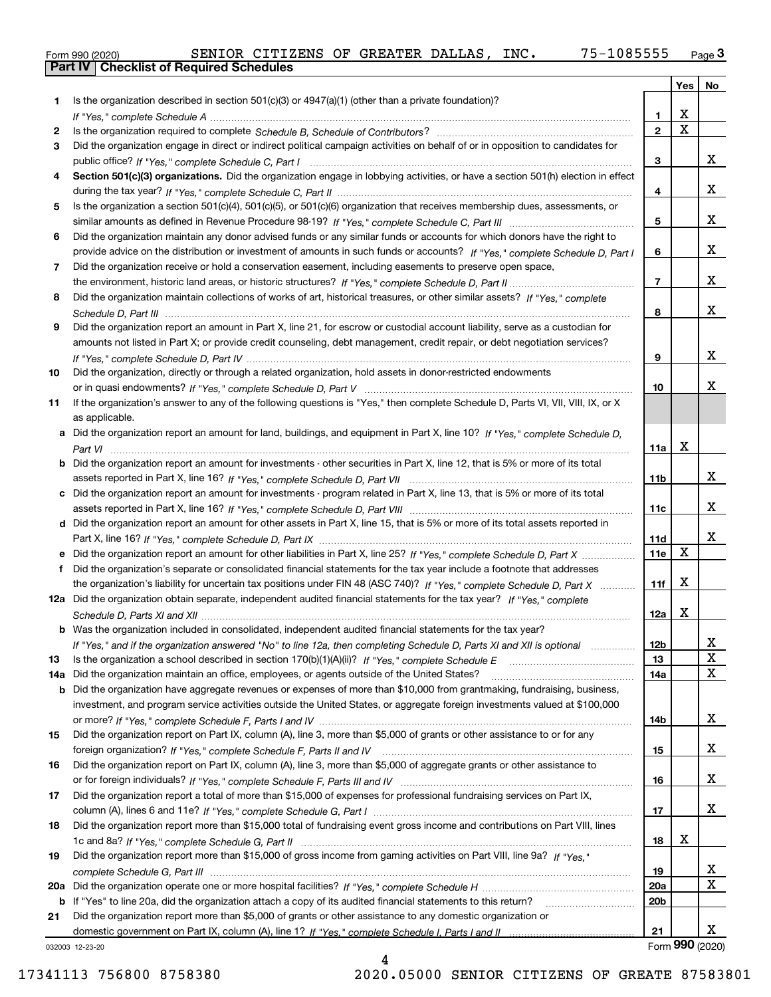|  | Form 990 (2020) |
|--|-----------------|

|     |                                                                                                                                   |                 | Yes                     | No              |
|-----|-----------------------------------------------------------------------------------------------------------------------------------|-----------------|-------------------------|-----------------|
| 1.  | Is the organization described in section $501(c)(3)$ or $4947(a)(1)$ (other than a private foundation)?                           |                 |                         |                 |
|     |                                                                                                                                   | 1.              | X                       |                 |
| 2   |                                                                                                                                   | $\overline{2}$  | $\overline{\mathbf{x}}$ |                 |
| 3   | Did the organization engage in direct or indirect political campaign activities on behalf of or in opposition to candidates for   |                 |                         |                 |
|     |                                                                                                                                   | 3               |                         | х               |
| 4   | Section 501(c)(3) organizations. Did the organization engage in lobbying activities, or have a section 501(h) election in effect  |                 |                         |                 |
|     |                                                                                                                                   | 4               |                         | х               |
| 5   | Is the organization a section 501(c)(4), 501(c)(5), or 501(c)(6) organization that receives membership dues, assessments, or      |                 |                         | х               |
| 6   | Did the organization maintain any donor advised funds or any similar funds or accounts for which donors have the right to         | 5               |                         |                 |
|     | provide advice on the distribution or investment of amounts in such funds or accounts? If "Yes," complete Schedule D, Part I      | 6               |                         | x               |
| 7   | Did the organization receive or hold a conservation easement, including easements to preserve open space,                         |                 |                         |                 |
|     |                                                                                                                                   | $\overline{7}$  |                         | x               |
| 8   | Did the organization maintain collections of works of art, historical treasures, or other similar assets? If "Yes," complete      |                 |                         |                 |
|     |                                                                                                                                   | 8               |                         | x               |
| 9   | Did the organization report an amount in Part X, line 21, for escrow or custodial account liability, serve as a custodian for     |                 |                         |                 |
|     | amounts not listed in Part X; or provide credit counseling, debt management, credit repair, or debt negotiation services?         |                 |                         |                 |
|     |                                                                                                                                   | 9               |                         | х               |
| 10  | Did the organization, directly or through a related organization, hold assets in donor-restricted endowments                      |                 |                         |                 |
|     |                                                                                                                                   | 10              |                         | x               |
| 11  | If the organization's answer to any of the following questions is "Yes," then complete Schedule D, Parts VI, VIII, VIII, IX, or X |                 |                         |                 |
|     | as applicable.                                                                                                                    |                 |                         |                 |
|     | a Did the organization report an amount for land, buildings, and equipment in Part X, line 10? If "Yes," complete Schedule D,     |                 |                         |                 |
|     |                                                                                                                                   | 11a             | X                       |                 |
|     | b Did the organization report an amount for investments - other securities in Part X, line 12, that is 5% or more of its total    |                 |                         |                 |
|     |                                                                                                                                   | 11 <sub>b</sub> |                         | х               |
|     | c Did the organization report an amount for investments - program related in Part X, line 13, that is 5% or more of its total     |                 |                         | x               |
|     |                                                                                                                                   | 11c             |                         |                 |
|     | d Did the organization report an amount for other assets in Part X, line 15, that is 5% or more of its total assets reported in   | 11d             |                         | х               |
|     | e Did the organization report an amount for other liabilities in Part X, line 25? If "Yes," complete Schedule D, Part X           | 11e             | $\mathbf X$             |                 |
|     | Did the organization's separate or consolidated financial statements for the tax year include a footnote that addresses           |                 |                         |                 |
|     | the organization's liability for uncertain tax positions under FIN 48 (ASC 740)? If "Yes," complete Schedule D, Part X            | 11f             | X                       |                 |
|     | 12a Did the organization obtain separate, independent audited financial statements for the tax year? If "Yes," complete           |                 |                         |                 |
|     |                                                                                                                                   | 12a             | X                       |                 |
|     | <b>b</b> Was the organization included in consolidated, independent audited financial statements for the tax year?                |                 |                         |                 |
|     | If "Yes," and if the organization answered "No" to line 12a, then completing Schedule D, Parts XI and XII is optional             | 12b             |                         | ᅀ               |
| 13  |                                                                                                                                   | 13              |                         | $\mathbf X$     |
| 14a | Did the organization maintain an office, employees, or agents outside of the United States?                                       | 14a             |                         | X               |
|     | <b>b</b> Did the organization have aggregate revenues or expenses of more than \$10,000 from grantmaking, fundraising, business,  |                 |                         |                 |
|     | investment, and program service activities outside the United States, or aggregate foreign investments valued at \$100,000        |                 |                         |                 |
|     |                                                                                                                                   | 14b             |                         | x               |
| 15  | Did the organization report on Part IX, column (A), line 3, more than \$5,000 of grants or other assistance to or for any         |                 |                         |                 |
|     |                                                                                                                                   | 15              |                         | x               |
| 16  | Did the organization report on Part IX, column (A), line 3, more than \$5,000 of aggregate grants or other assistance to          |                 |                         | x               |
|     |                                                                                                                                   | 16              |                         |                 |
| 17  | Did the organization report a total of more than \$15,000 of expenses for professional fundraising services on Part IX,           | 17              |                         | x               |
| 18  | Did the organization report more than \$15,000 total of fundraising event gross income and contributions on Part VIII, lines      |                 |                         |                 |
|     |                                                                                                                                   | 18              | х                       |                 |
| 19  | Did the organization report more than \$15,000 of gross income from gaming activities on Part VIII, line 9a? If "Yes."            |                 |                         |                 |
|     |                                                                                                                                   | 19              |                         | X               |
|     |                                                                                                                                   | 20a             |                         | $\mathbf X$     |
|     | b If "Yes" to line 20a, did the organization attach a copy of its audited financial statements to this return?                    | 20 <sub>b</sub> |                         |                 |
| 21  | Did the organization report more than \$5,000 of grants or other assistance to any domestic organization or                       |                 |                         |                 |
|     |                                                                                                                                   | 21              |                         | x               |
|     | 032003 12-23-20                                                                                                                   |                 |                         | Form 990 (2020) |

4

032003 12-23-20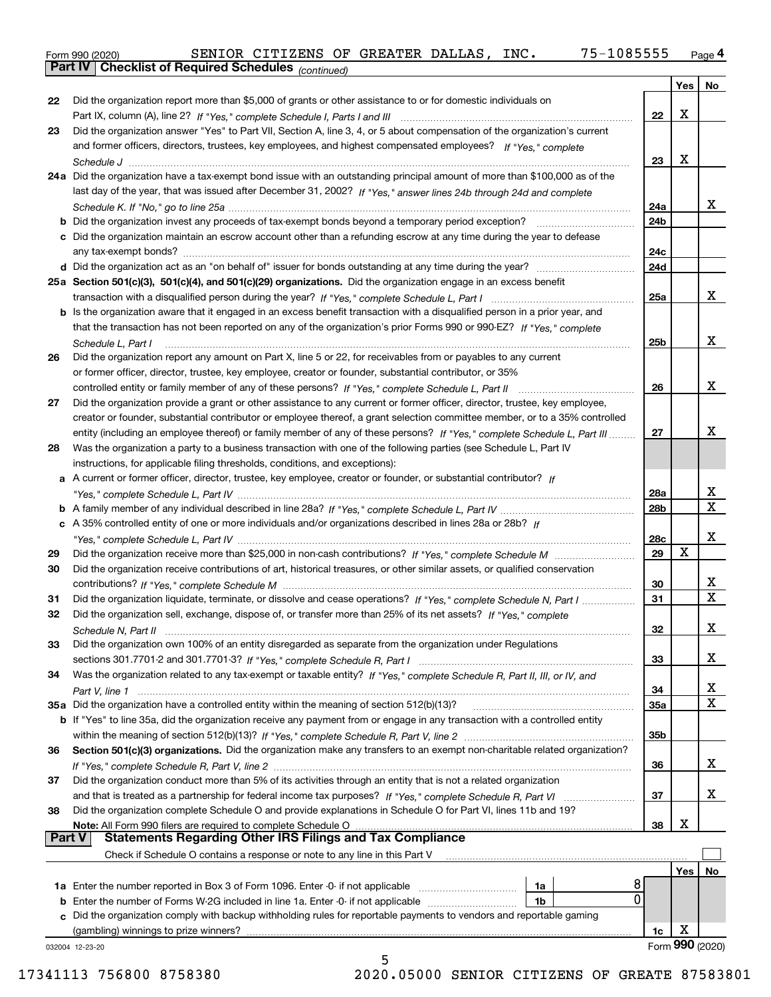|  | Form 990 (2020) |
|--|-----------------|
|  |                 |

*(continued)*

|               |                                                                                                                                                                                  |                        | Yes | No              |
|---------------|----------------------------------------------------------------------------------------------------------------------------------------------------------------------------------|------------------------|-----|-----------------|
| 22            | Did the organization report more than \$5,000 of grants or other assistance to or for domestic individuals on                                                                    |                        |     |                 |
|               | Part IX, column (A), line 2? If "Yes," complete Schedule I, Parts I and III [11] [11] [12] [12] [12] Part IX, column (A), line 2? If "Yes," complete Schedule I, Parts I and III | 22                     | х   |                 |
| 23            | Did the organization answer "Yes" to Part VII, Section A, line 3, 4, or 5 about compensation of the organization's current                                                       |                        |     |                 |
|               | and former officers, directors, trustees, key employees, and highest compensated employees? If "Yes." complete                                                                   |                        |     |                 |
|               |                                                                                                                                                                                  | 23                     | Х   |                 |
|               | 24a Did the organization have a tax-exempt bond issue with an outstanding principal amount of more than \$100,000 as of the                                                      |                        |     |                 |
|               | last day of the year, that was issued after December 31, 2002? If "Yes," answer lines 24b through 24d and complete                                                               |                        |     |                 |
|               |                                                                                                                                                                                  | 24a                    |     | x               |
|               | <b>b</b> Did the organization invest any proceeds of tax-exempt bonds beyond a temporary period exception?                                                                       | 24 <sub>b</sub>        |     |                 |
|               | c Did the organization maintain an escrow account other than a refunding escrow at any time during the year to defease                                                           |                        |     |                 |
|               |                                                                                                                                                                                  | 24c                    |     |                 |
|               |                                                                                                                                                                                  | 24d                    |     |                 |
|               | 25a Section 501(c)(3), 501(c)(4), and 501(c)(29) organizations. Did the organization engage in an excess benefit                                                                 |                        |     |                 |
|               |                                                                                                                                                                                  | 25a                    |     | x               |
|               | b Is the organization aware that it engaged in an excess benefit transaction with a disqualified person in a prior year, and                                                     |                        |     |                 |
|               | that the transaction has not been reported on any of the organization's prior Forms 990 or 990-EZ? If "Yes," complete                                                            |                        |     |                 |
|               | Schedule L, Part I                                                                                                                                                               | 25b                    |     | х               |
| 26            | Did the organization report any amount on Part X, line 5 or 22, for receivables from or payables to any current                                                                  |                        |     |                 |
|               | or former officer, director, trustee, key employee, creator or founder, substantial contributor, or 35%                                                                          |                        |     |                 |
|               | controlled entity or family member of any of these persons? If "Yes," complete Schedule L, Part II                                                                               | 26                     |     | x               |
| 27            | Did the organization provide a grant or other assistance to any current or former officer, director, trustee, key employee,                                                      |                        |     |                 |
|               | creator or founder, substantial contributor or employee thereof, a grant selection committee member, or to a 35% controlled                                                      |                        |     |                 |
|               | entity (including an employee thereof) or family member of any of these persons? If "Yes," complete Schedule L, Part III                                                         | 27                     |     | x               |
| 28            | Was the organization a party to a business transaction with one of the following parties (see Schedule L, Part IV                                                                |                        |     |                 |
|               | instructions, for applicable filing thresholds, conditions, and exceptions):                                                                                                     |                        |     |                 |
|               | a A current or former officer, director, trustee, key employee, creator or founder, or substantial contributor? If                                                               |                        |     | X               |
|               |                                                                                                                                                                                  | 28a<br>28 <sub>b</sub> |     | $\mathbf x$     |
|               | c A 35% controlled entity of one or more individuals and/or organizations described in lines 28a or 28b? If                                                                      |                        |     |                 |
|               |                                                                                                                                                                                  | 28c                    |     | x               |
| 29            |                                                                                                                                                                                  | 29                     | X   |                 |
| 30            | Did the organization receive contributions of art, historical treasures, or other similar assets, or qualified conservation                                                      |                        |     |                 |
|               |                                                                                                                                                                                  | 30                     |     | X               |
| 31            | Did the organization liquidate, terminate, or dissolve and cease operations? If "Yes," complete Schedule N, Part I                                                               | 31                     |     | $\mathbf{x}$    |
| 32            | Did the organization sell, exchange, dispose of, or transfer more than 25% of its net assets? If "Yes," complete                                                                 |                        |     |                 |
|               |                                                                                                                                                                                  | 32                     |     | x               |
| 33            | Did the organization own 100% of an entity disregarded as separate from the organization under Regulations                                                                       |                        |     |                 |
|               |                                                                                                                                                                                  | 33                     |     | x               |
| 34            | Was the organization related to any tax-exempt or taxable entity? If "Yes," complete Schedule R, Part II, III, or IV, and                                                        |                        |     |                 |
|               |                                                                                                                                                                                  | 34                     |     | x               |
|               | 35a Did the organization have a controlled entity within the meaning of section 512(b)(13)?                                                                                      | <b>35a</b>             |     | X               |
|               | b If "Yes" to line 35a, did the organization receive any payment from or engage in any transaction with a controlled entity                                                      |                        |     |                 |
|               |                                                                                                                                                                                  | 35 <sub>b</sub>        |     |                 |
| 36            | Section 501(c)(3) organizations. Did the organization make any transfers to an exempt non-charitable related organization?                                                       |                        |     |                 |
|               |                                                                                                                                                                                  | 36                     |     | X               |
| 37            | Did the organization conduct more than 5% of its activities through an entity that is not a related organization                                                                 |                        |     |                 |
|               |                                                                                                                                                                                  | 37                     |     | x               |
| 38            | Did the organization complete Schedule O and provide explanations in Schedule O for Part VI, lines 11b and 19?                                                                   |                        |     |                 |
|               | Note: All Form 990 filers are required to complete Schedule O                                                                                                                    | 38                     | х   |                 |
| <b>Part V</b> | <b>Statements Regarding Other IRS Filings and Tax Compliance</b>                                                                                                                 |                        |     |                 |
|               | Check if Schedule O contains a response or note to any line in this Part V                                                                                                       |                        |     |                 |
|               |                                                                                                                                                                                  |                        | Yes | No              |
|               | 8<br>1a<br>0                                                                                                                                                                     |                        |     |                 |
| b             | Enter the number of Forms W-2G included in line 1a. Enter -0- if not applicable<br>1b                                                                                            |                        |     |                 |
| c             | Did the organization comply with backup withholding rules for reportable payments to vendors and reportable gaming                                                               |                        | х   |                 |
|               | (gambling) winnings to prize winners?                                                                                                                                            | 1c                     |     | Form 990 (2020) |
|               | 032004 12-23-20<br>5                                                                                                                                                             |                        |     |                 |

 <sup>17341113 756800 8758380 2020.05000</sup> SENIOR CITIZENS OF GREATE 87583801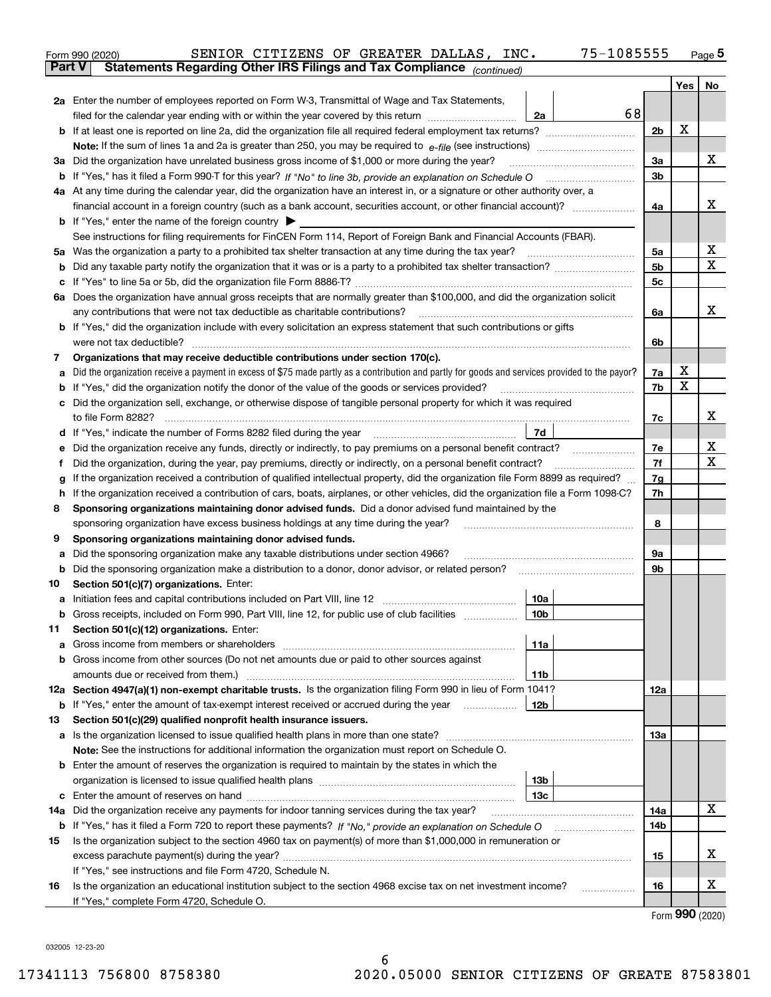|        | SENIOR CITIZENS OF GREATER DALLAS, INC.<br>Form 990 (2020)                                                                                      | 75-1085555 |                |     | <u>Page</u> 5 |  |  |  |
|--------|-------------------------------------------------------------------------------------------------------------------------------------------------|------------|----------------|-----|---------------|--|--|--|
|        | Statements Regarding Other IRS Filings and Tax Compliance (continued)<br><b>Part V</b>                                                          |            |                |     |               |  |  |  |
|        |                                                                                                                                                 |            |                | Yes | No            |  |  |  |
|        | 2a Enter the number of employees reported on Form W-3, Transmittal of Wage and Tax Statements,                                                  |            |                |     |               |  |  |  |
|        | filed for the calendar year ending with or within the year covered by this return                                                               | 68<br>2a   |                |     |               |  |  |  |
|        |                                                                                                                                                 |            | 2 <sub>b</sub> | X   |               |  |  |  |
|        |                                                                                                                                                 |            |                |     |               |  |  |  |
|        | 3a Did the organization have unrelated business gross income of \$1,000 or more during the year?                                                |            | 3a             |     | х             |  |  |  |
|        |                                                                                                                                                 |            | 3 <sub>b</sub> |     |               |  |  |  |
|        | 4a At any time during the calendar year, did the organization have an interest in, or a signature or other authority over, a                    |            |                |     |               |  |  |  |
|        | financial account in a foreign country (such as a bank account, securities account, or other financial account)?                                |            | 4a             |     | х             |  |  |  |
|        | <b>b</b> If "Yes," enter the name of the foreign country $\blacktriangleright$                                                                  |            |                |     |               |  |  |  |
|        | See instructions for filing requirements for FinCEN Form 114, Report of Foreign Bank and Financial Accounts (FBAR).                             |            |                |     |               |  |  |  |
|        |                                                                                                                                                 |            | 5a             |     | x             |  |  |  |
| b      |                                                                                                                                                 |            | 5 <sub>b</sub> |     | Χ             |  |  |  |
| c      |                                                                                                                                                 |            | 5c             |     |               |  |  |  |
|        | 6a Does the organization have annual gross receipts that are normally greater than \$100,000, and did the organization solicit                  |            |                |     |               |  |  |  |
|        |                                                                                                                                                 |            | 6a             |     | х             |  |  |  |
|        | <b>b</b> If "Yes," did the organization include with every solicitation an express statement that such contributions or gifts                   |            |                |     |               |  |  |  |
|        |                                                                                                                                                 |            | 6b             |     |               |  |  |  |
| 7      | Organizations that may receive deductible contributions under section 170(c).                                                                   |            |                |     |               |  |  |  |
| а      | Did the organization receive a payment in excess of \$75 made partly as a contribution and partly for goods and services provided to the payor? |            | 7a             | х   |               |  |  |  |
| b      | If "Yes," did the organization notify the donor of the value of the goods or services provided?                                                 |            | 7b             | X   |               |  |  |  |
| c      | Did the organization sell, exchange, or otherwise dispose of tangible personal property for which it was required                               |            |                |     |               |  |  |  |
|        |                                                                                                                                                 |            | 7c             |     | х             |  |  |  |
|        | d If "Yes," indicate the number of Forms 8282 filed during the year [11,111] The Section of Holder and The Section 2016                         | 7d         |                |     |               |  |  |  |
| е      | Did the organization receive any funds, directly or indirectly, to pay premiums on a personal benefit contract?                                 |            | 7e<br>7f       |     | х<br>х        |  |  |  |
|        | Did the organization, during the year, pay premiums, directly or indirectly, on a personal benefit contract?<br>f                               |            |                |     |               |  |  |  |
|        | If the organization received a contribution of qualified intellectual property, did the organization file Form 8899 as required?<br>g           |            |                |     |               |  |  |  |
|        | If the organization received a contribution of cars, boats, airplanes, or other vehicles, did the organization file a Form 1098-C?<br>h.        |            |                |     |               |  |  |  |
| 8      | Sponsoring organizations maintaining donor advised funds. Did a donor advised fund maintained by the                                            |            |                |     |               |  |  |  |
|        | sponsoring organization have excess business holdings at any time during the year?<br>Sponsoring organizations maintaining donor advised funds. |            | 8              |     |               |  |  |  |
| 9      | Did the sponsoring organization make any taxable distributions under section 4966?                                                              |            | 9a             |     |               |  |  |  |
| а<br>b |                                                                                                                                                 |            | 9b             |     |               |  |  |  |
| 10     | Section 501(c)(7) organizations. Enter:                                                                                                         |            |                |     |               |  |  |  |
| а      |                                                                                                                                                 | 10a        |                |     |               |  |  |  |
|        | Gross receipts, included on Form 990, Part VIII, line 12, for public use of club facilities                                                     | 10b        |                |     |               |  |  |  |
| 11     | Section 501(c)(12) organizations. Enter:                                                                                                        |            |                |     |               |  |  |  |
| а      | Gross income from members or shareholders                                                                                                       | 11a        |                |     |               |  |  |  |
|        | b Gross income from other sources (Do not net amounts due or paid to other sources against                                                      |            |                |     |               |  |  |  |
|        |                                                                                                                                                 | 11b        |                |     |               |  |  |  |
|        | 12a Section 4947(a)(1) non-exempt charitable trusts. Is the organization filing Form 990 in lieu of Form 1041?                                  |            | 12a            |     |               |  |  |  |
|        | <b>b</b> If "Yes," enter the amount of tax-exempt interest received or accrued during the year <i>manument</i> of                               | 12b        |                |     |               |  |  |  |
| 13     | Section 501(c)(29) qualified nonprofit health insurance issuers.                                                                                |            |                |     |               |  |  |  |
|        | a Is the organization licensed to issue qualified health plans in more than one state?                                                          |            | 13а            |     |               |  |  |  |
|        | Note: See the instructions for additional information the organization must report on Schedule O.                                               |            |                |     |               |  |  |  |
|        | <b>b</b> Enter the amount of reserves the organization is required to maintain by the states in which the                                       |            |                |     |               |  |  |  |
|        |                                                                                                                                                 | 13b        |                |     |               |  |  |  |
|        |                                                                                                                                                 | 13c        |                |     |               |  |  |  |
|        | 14a Did the organization receive any payments for indoor tanning services during the tax year?                                                  |            | 14a            |     | x             |  |  |  |
|        | <b>b</b> If "Yes," has it filed a Form 720 to report these payments? If "No," provide an explanation on Schedule O                              |            | 14b            |     |               |  |  |  |
| 15     | Is the organization subject to the section 4960 tax on payment(s) of more than \$1,000,000 in remuneration or                                   |            |                |     |               |  |  |  |
|        |                                                                                                                                                 |            | 15             |     | X.            |  |  |  |
|        | If "Yes," see instructions and file Form 4720, Schedule N.                                                                                      |            |                |     |               |  |  |  |
| 16     | Is the organization an educational institution subject to the section 4968 excise tax on net investment income?                                 |            | 16             |     | х             |  |  |  |
|        | If "Yes," complete Form 4720, Schedule O.                                                                                                       |            |                |     | $\mathbf{QQ}$ |  |  |  |
|        |                                                                                                                                                 |            |                |     |               |  |  |  |

Form (2020) **990**

032005 12-23-20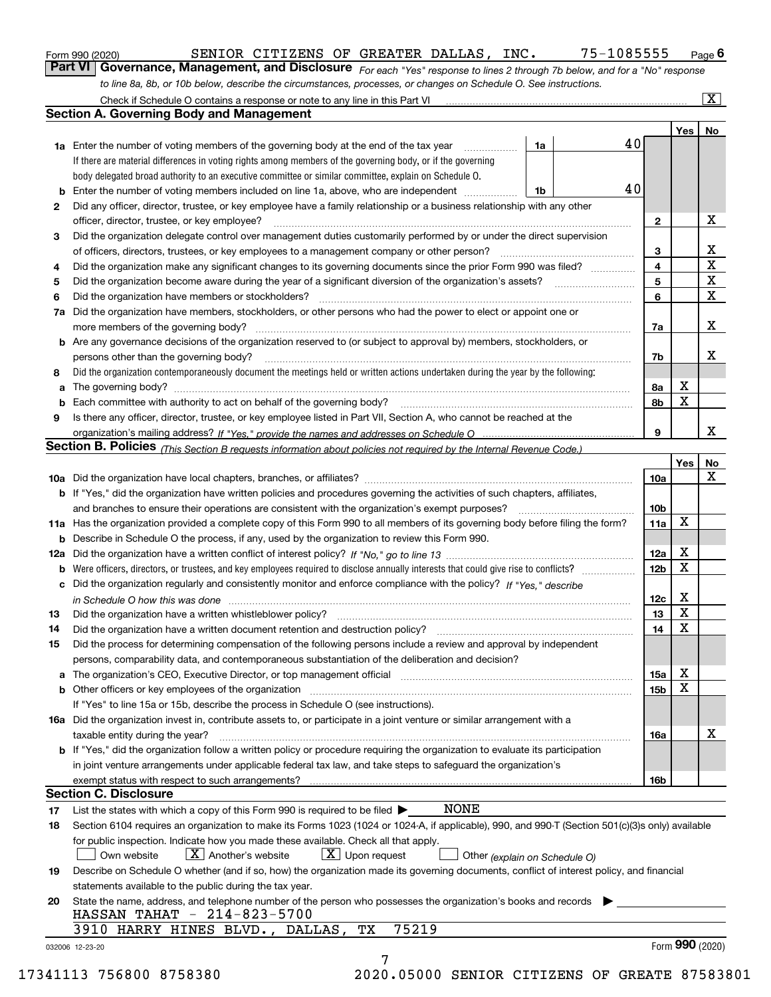|  | Form 990 (2020) |
|--|-----------------|
|  |                 |

*For each "Yes" response to lines 2 through 7b below, and for a "No" response to line 8a, 8b, or 10b below, describe the circumstances, processes, or changes on Schedule O. See instructions.* Form 990 (2020) **CONFIGUT SENIOR CITIZENS OF GREATER DALLAS, INC.** 75-1085555 Page 6<br>**Part VI Governance, Management, and Disclosure** For each "Yes" response to lines 2 through 7b below, and for a "No" response

|    |                                                                                                                                                                            |    |    |                 | Yes <sub>1</sub> | No                      |
|----|----------------------------------------------------------------------------------------------------------------------------------------------------------------------------|----|----|-----------------|------------------|-------------------------|
|    | <b>1a</b> Enter the number of voting members of the governing body at the end of the tax year <i>manumum</i>                                                               | 1a | 40 |                 |                  |                         |
|    | If there are material differences in voting rights among members of the governing body, or if the governing                                                                |    |    |                 |                  |                         |
|    | body delegated broad authority to an executive committee or similar committee, explain on Schedule O.                                                                      |    |    |                 |                  |                         |
|    |                                                                                                                                                                            | 1b | 40 |                 |                  |                         |
| 2  | Did any officer, director, trustee, or key employee have a family relationship or a business relationship with any other                                                   |    |    |                 |                  |                         |
|    | officer, director, trustee, or key employee?                                                                                                                               |    |    | $\mathbf{2}$    |                  | X                       |
| 3  | Did the organization delegate control over management duties customarily performed by or under the direct supervision                                                      |    |    |                 |                  |                         |
|    |                                                                                                                                                                            |    |    | 3               |                  | X                       |
| 4  | Did the organization make any significant changes to its governing documents since the prior Form 990 was filed?                                                           |    |    | 4               |                  | $\overline{\mathbf{x}}$ |
| 5  |                                                                                                                                                                            |    |    | 5               |                  | $\mathbf X$             |
| 6  | Did the organization have members or stockholders?                                                                                                                         |    |    | 6               |                  | $\mathbf X$             |
|    | 7a Did the organization have members, stockholders, or other persons who had the power to elect or appoint one or                                                          |    |    |                 |                  |                         |
|    |                                                                                                                                                                            |    |    | 7a              |                  | X                       |
|    | <b>b</b> Are any governance decisions of the organization reserved to (or subject to approval by) members, stockholders, or                                                |    |    |                 |                  |                         |
|    | persons other than the governing body?                                                                                                                                     |    |    | 7b              |                  | X                       |
| 8  | Did the organization contemporaneously document the meetings held or written actions undertaken during the year by the following:                                          |    |    |                 |                  |                         |
| a  |                                                                                                                                                                            |    |    | 8a              | X                |                         |
|    |                                                                                                                                                                            |    |    | 8b              | X                |                         |
| 9  | Is there any officer, director, trustee, or key employee listed in Part VII, Section A, who cannot be reached at the                                                       |    |    |                 |                  |                         |
|    |                                                                                                                                                                            |    |    | 9               |                  | x                       |
|    | Section B. Policies (This Section B requests information about policies not required by the Internal Revenue Code.)                                                        |    |    |                 |                  |                         |
|    |                                                                                                                                                                            |    |    |                 | Yes∣             | No                      |
|    |                                                                                                                                                                            |    |    | 10a             |                  | X                       |
|    | <b>b</b> If "Yes," did the organization have written policies and procedures governing the activities of such chapters, affiliates,                                        |    |    |                 |                  |                         |
|    |                                                                                                                                                                            |    |    | 10 <sub>b</sub> |                  |                         |
|    | 11a Has the organization provided a complete copy of this Form 990 to all members of its governing body before filing the form?                                            |    |    | 11a             | $\mathbf X$      |                         |
|    | <b>b</b> Describe in Schedule O the process, if any, used by the organization to review this Form 990.                                                                     |    |    |                 |                  |                         |
|    |                                                                                                                                                                            |    |    | 12a             | X                |                         |
| b  |                                                                                                                                                                            |    |    | 12b             | X                |                         |
|    | c Did the organization regularly and consistently monitor and enforce compliance with the policy? If "Yes," describe                                                       |    |    |                 |                  |                         |
|    | in Schedule O how this was done www.communication.com/www.communications.com/www.communications.com/                                                                       |    |    | 12c             | X                |                         |
| 13 |                                                                                                                                                                            |    |    | 13              | X                |                         |
| 14 | Did the organization have a written document retention and destruction policy? manufactured and the organization have a written document retention and destruction policy? |    |    | 14              | $\mathbf X$      |                         |
| 15 | Did the process for determining compensation of the following persons include a review and approval by independent                                                         |    |    |                 |                  |                         |
|    | persons, comparability data, and contemporaneous substantiation of the deliberation and decision?                                                                          |    |    |                 |                  |                         |
|    |                                                                                                                                                                            |    |    | 15a             | X                |                         |
|    |                                                                                                                                                                            |    |    | 15 <sub>b</sub> | X                |                         |
|    | If "Yes" to line 15a or 15b, describe the process in Schedule O (see instructions).                                                                                        |    |    |                 |                  |                         |
|    | 16a Did the organization invest in, contribute assets to, or participate in a joint venture or similar arrangement with a                                                  |    |    |                 |                  |                         |
|    | taxable entity during the year?                                                                                                                                            |    |    | 16a             |                  | X                       |
|    | <b>b</b> If "Yes," did the organization follow a written policy or procedure requiring the organization to evaluate its participation                                      |    |    |                 |                  |                         |
|    | in joint venture arrangements under applicable federal tax law, and take steps to safequard the organization's                                                             |    |    |                 |                  |                         |
|    |                                                                                                                                                                            |    |    | 16b             |                  |                         |
|    | <b>Section C. Disclosure</b>                                                                                                                                               |    |    |                 |                  |                         |
| 17 | NONE<br>List the states with which a copy of this Form 990 is required to be filed $\blacktriangleright$                                                                   |    |    |                 |                  |                         |
| 18 | Section 6104 requires an organization to make its Forms 1023 (1024 or 1024-A, if applicable), 990, and 990-T (Section 501(c)(3)s only) available                           |    |    |                 |                  |                         |
|    | for public inspection. Indicate how you made these available. Check all that apply.                                                                                        |    |    |                 |                  |                         |
|    | $X$ Upon request<br>$X$ Another's website<br>Own website<br>Other (explain on Schedule O)                                                                                  |    |    |                 |                  |                         |
| 19 | Describe on Schedule O whether (and if so, how) the organization made its governing documents, conflict of interest policy, and financial                                  |    |    |                 |                  |                         |
|    | statements available to the public during the tax year.                                                                                                                    |    |    |                 |                  |                         |
| 20 | State the name, address, and telephone number of the person who possesses the organization's books and records                                                             |    |    |                 |                  |                         |
|    | HASSAN TAHAT - 214-823-5700                                                                                                                                                |    |    |                 |                  |                         |
|    | 75219<br>3910 HARRY HINES BLVD., DALLAS,<br>TХ                                                                                                                             |    |    |                 |                  |                         |
|    |                                                                                                                                                                            |    |    |                 | Form 990 (2020)  |                         |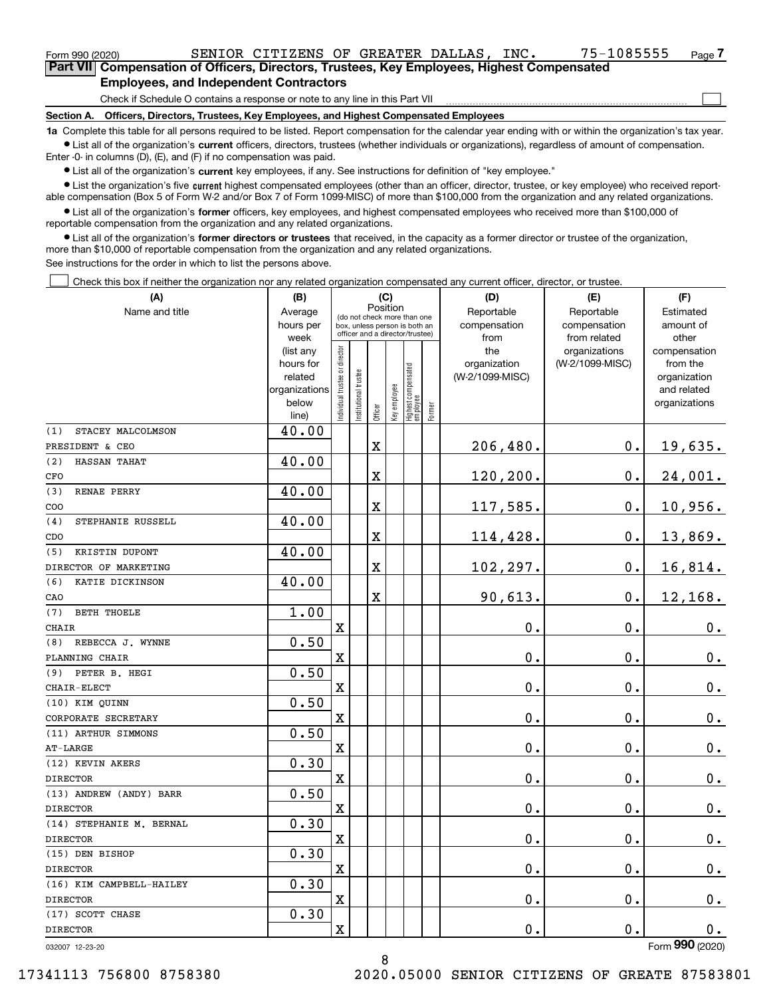| Form 990 (2020)                                                                                   |  | SENIOR CITIZENS OF GREATER DALLAS,                                           |  |  |  | INC. | 75-1085555 | Page $7$ |  |  |  |
|---------------------------------------------------------------------------------------------------|--|------------------------------------------------------------------------------|--|--|--|------|------------|----------|--|--|--|
| <b>Part VII</b> Compensation of Officers, Directors, Trustees, Key Employees, Highest Compensated |  |                                                                              |  |  |  |      |            |          |  |  |  |
| <b>Employees, and Independent Contractors</b>                                                     |  |                                                                              |  |  |  |      |            |          |  |  |  |
|                                                                                                   |  | Check if Schedule O contains a response or note to any line in this Part VII |  |  |  |      |            |          |  |  |  |

Check if Schedule O contains a response or note to any line in this Part VII

**Section A. Officers, Directors, Trustees, Key Employees, and Highest Compensated Employees**

**1a**  Complete this table for all persons required to be listed. Report compensation for the calendar year ending with or within the organization's tax year. **•** List all of the organization's current officers, directors, trustees (whether individuals or organizations), regardless of amount of compensation.

Enter -0- in columns (D), (E), and (F) if no compensation was paid.

 $\bullet$  List all of the organization's  $\,$ current key employees, if any. See instructions for definition of "key employee."

**•** List the organization's five current highest compensated employees (other than an officer, director, trustee, or key employee) who received reportable compensation (Box 5 of Form W-2 and/or Box 7 of Form 1099-MISC) of more than \$100,000 from the organization and any related organizations.

**•** List all of the organization's former officers, key employees, and highest compensated employees who received more than \$100,000 of reportable compensation from the organization and any related organizations.

**former directors or trustees**  ¥ List all of the organization's that received, in the capacity as a former director or trustee of the organization, more than \$10,000 of reportable compensation from the organization and any related organizations.

See instructions for the order in which to list the persons above.

Check this box if neither the organization nor any related organization compensated any current officer, director, or trustee.  $\mathcal{L}^{\text{max}}$ 

| (A)<br>(B)                |                                                                              |                               | (C)                                                                                                         |                         |                            |                                 |                        | (D)                                            | (E)                                              | (F)                                                                               |
|---------------------------|------------------------------------------------------------------------------|-------------------------------|-------------------------------------------------------------------------------------------------------------|-------------------------|----------------------------|---------------------------------|------------------------|------------------------------------------------|--------------------------------------------------|-----------------------------------------------------------------------------------|
| Name and title            | Average<br>hours per                                                         |                               | Position<br>(do not check more than one<br>box, unless person is both an<br>officer and a director/trustee) |                         | Reportable<br>compensation | Reportable<br>compensation      | Estimated<br>amount of |                                                |                                                  |                                                                                   |
|                           | week<br>(list any<br>hours for<br>related<br>organizations<br>below<br>line) | ndividual trustee or director | nstitutional trustee                                                                                        | Officer                 | Key employee               | Highest compensated<br>employee | Former                 | from<br>the<br>organization<br>(W-2/1099-MISC) | from related<br>organizations<br>(W-2/1099-MISC) | other<br>compensation<br>from the<br>organization<br>and related<br>organizations |
| STACEY MALCOLMSON<br>(1)  | 40.00                                                                        |                               |                                                                                                             |                         |                            |                                 |                        |                                                |                                                  |                                                                                   |
| PRESIDENT & CEO           |                                                                              |                               |                                                                                                             | $\mathbf X$             |                            |                                 |                        | 206,480.                                       | 0.                                               | 19,635.                                                                           |
| (2)<br>HASSAN TAHAT       | 40.00                                                                        |                               |                                                                                                             |                         |                            |                                 |                        |                                                |                                                  |                                                                                   |
| CFO                       |                                                                              |                               |                                                                                                             | $\mathbf X$             |                            |                                 |                        | 120,200.                                       | 0.                                               | 24,001.                                                                           |
| RENAE PERRY<br>(3)        | 40.00                                                                        |                               |                                                                                                             |                         |                            |                                 |                        |                                                |                                                  |                                                                                   |
| COO                       |                                                                              |                               |                                                                                                             | $\mathbf X$             |                            |                                 |                        | 117,585.                                       | 0.                                               | 10,956.                                                                           |
| STEPHANIE RUSSELL<br>(4)  | 40.00                                                                        |                               |                                                                                                             |                         |                            |                                 |                        |                                                |                                                  |                                                                                   |
| CDO                       |                                                                              |                               |                                                                                                             | $\overline{\textbf{X}}$ |                            |                                 |                        | 114,428.                                       | $\mathbf 0$ .                                    | 13,869.                                                                           |
| (5)<br>KRISTIN DUPONT     | 40.00                                                                        |                               |                                                                                                             |                         |                            |                                 |                        |                                                |                                                  |                                                                                   |
| DIRECTOR OF MARKETING     |                                                                              |                               |                                                                                                             | $\overline{\textbf{X}}$ |                            |                                 |                        | 102,297.                                       | 0.                                               | 16,814.                                                                           |
| (6)<br>KATIE DICKINSON    | 40.00                                                                        |                               |                                                                                                             |                         |                            |                                 |                        |                                                |                                                  |                                                                                   |
| CAO                       |                                                                              |                               |                                                                                                             | $\mathbf x$             |                            |                                 |                        | 90,613.                                        | $\mathbf 0$ .                                    | 12,168.                                                                           |
| <b>BETH THOELE</b><br>(7) | 1.00                                                                         |                               |                                                                                                             |                         |                            |                                 |                        |                                                |                                                  |                                                                                   |
| CHAIR                     |                                                                              | $\mathbf X$                   |                                                                                                             |                         |                            |                                 |                        | $0$ .                                          | 0.                                               | $0_{\cdot}$                                                                       |
| REBECCA J. WYNNE<br>(8)   | 0.50                                                                         |                               |                                                                                                             |                         |                            |                                 |                        |                                                |                                                  |                                                                                   |
| PLANNING CHAIR            |                                                                              | $\mathbf x$                   |                                                                                                             |                         |                            |                                 |                        | 0.                                             | 0.                                               | $0_{.}$                                                                           |
| (9) PETER B. HEGI         | 0.50                                                                         |                               |                                                                                                             |                         |                            |                                 |                        |                                                |                                                  |                                                                                   |
| CHAIR-ELECT               |                                                                              | $\mathbf X$                   |                                                                                                             |                         |                            |                                 |                        | 0.                                             | 0.                                               | 0.                                                                                |
| (10) KIM QUINN            | 0.50                                                                         |                               |                                                                                                             |                         |                            |                                 |                        |                                                |                                                  |                                                                                   |
| CORPORATE SECRETARY       |                                                                              | $\mathbf X$                   |                                                                                                             |                         |                            |                                 |                        | 0.                                             | 0.                                               | $0_{.}$                                                                           |
| (11) ARTHUR SIMMONS       | 0.50                                                                         |                               |                                                                                                             |                         |                            |                                 |                        |                                                |                                                  |                                                                                   |
| <b>AT-LARGE</b>           |                                                                              | $\mathbf X$                   |                                                                                                             |                         |                            |                                 |                        | 0.                                             | $0$ .                                            | $0_{.}$                                                                           |
| (12) KEVIN AKERS          | 0.30                                                                         |                               |                                                                                                             |                         |                            |                                 |                        |                                                |                                                  |                                                                                   |
| <b>DIRECTOR</b>           |                                                                              | $\mathbf X$                   |                                                                                                             |                         |                            |                                 |                        | 0.                                             | 0.                                               | $0_{.}$                                                                           |
| (13) ANDREW (ANDY) BARR   | 0.50                                                                         |                               |                                                                                                             |                         |                            |                                 |                        |                                                |                                                  |                                                                                   |
| <b>DIRECTOR</b>           |                                                                              | X                             |                                                                                                             |                         |                            |                                 |                        | 0.                                             | 0.                                               | 0.                                                                                |
| (14) STEPHANIE M. BERNAL  | 0.30                                                                         |                               |                                                                                                             |                         |                            |                                 |                        |                                                |                                                  |                                                                                   |
| <b>DIRECTOR</b>           |                                                                              | $\mathbf x$                   |                                                                                                             |                         |                            |                                 |                        | 0.                                             | 0.                                               | $0_{.}$                                                                           |
| (15) DEN BISHOP           | 0.30                                                                         |                               |                                                                                                             |                         |                            |                                 |                        |                                                |                                                  |                                                                                   |
| <b>DIRECTOR</b>           |                                                                              | $\mathbf X$                   |                                                                                                             |                         |                            |                                 |                        | 0.                                             | 0.                                               | 0.                                                                                |
| (16) KIM CAMPBELL-HAILEY  | 0.30                                                                         |                               |                                                                                                             |                         |                            |                                 |                        |                                                |                                                  |                                                                                   |
| <b>DIRECTOR</b>           |                                                                              | $\mathbf X$                   |                                                                                                             |                         |                            |                                 |                        | 0.                                             | 0.                                               | $0_{.}$                                                                           |
| (17) SCOTT CHASE          | 0.30                                                                         |                               |                                                                                                             |                         |                            |                                 |                        |                                                |                                                  |                                                                                   |
| <b>DIRECTOR</b>           |                                                                              | $\mathbf X$                   |                                                                                                             |                         |                            |                                 |                        | 0.                                             | 0.                                               | 0.                                                                                |
|                           |                                                                              |                               |                                                                                                             |                         |                            |                                 |                        |                                                |                                                  | $\overline{2}$                                                                    |

8

032007 12-23-20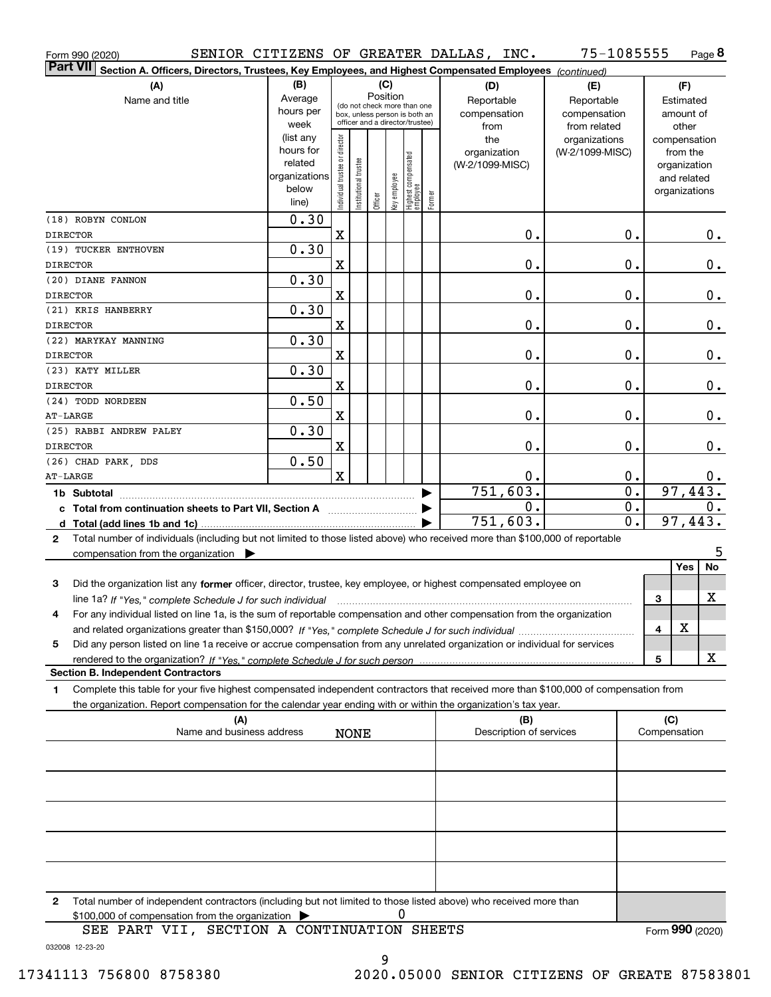| Form 990 (2020)         |                                                                                                                                                 |               |                                |                       |                                                              |              |                                  |        | SENIOR CITIZENS OF GREATER DALLAS, INC. | 75-1085555      |                  |                 |               | Page 8 |
|-------------------------|-------------------------------------------------------------------------------------------------------------------------------------------------|---------------|--------------------------------|-----------------------|--------------------------------------------------------------|--------------|----------------------------------|--------|-----------------------------------------|-----------------|------------------|-----------------|---------------|--------|
| <b>Part VII</b>         | Section A. Officers, Directors, Trustees, Key Employees, and Highest Compensated Employees (continued)                                          |               |                                |                       |                                                              |              |                                  |        |                                         |                 |                  |                 |               |        |
|                         | (A)                                                                                                                                             | (B)           |                                |                       | (C)                                                          |              |                                  |        | (D)                                     | (E)             |                  |                 | (F)           |        |
|                         | Name and title                                                                                                                                  | Average       |                                |                       | Position                                                     |              |                                  |        | Reportable                              | Reportable      |                  |                 | Estimated     |        |
|                         |                                                                                                                                                 | hours per     |                                |                       | (do not check more than one<br>box, unless person is both an |              |                                  |        | compensation                            | compensation    |                  |                 | amount of     |        |
|                         |                                                                                                                                                 | week          |                                |                       | officer and a director/trustee)                              |              |                                  |        | from                                    | from related    |                  |                 | other         |        |
|                         |                                                                                                                                                 | (list any     |                                |                       |                                                              |              |                                  |        | the                                     | organizations   |                  |                 | compensation  |        |
|                         |                                                                                                                                                 | hours for     |                                |                       |                                                              |              |                                  |        | organization                            | (W-2/1099-MISC) |                  |                 | from the      |        |
|                         |                                                                                                                                                 | related       |                                |                       |                                                              |              |                                  |        | (W-2/1099-MISC)                         |                 |                  |                 | organization  |        |
|                         |                                                                                                                                                 | organizations |                                |                       |                                                              |              |                                  |        |                                         |                 |                  |                 | and related   |        |
|                         |                                                                                                                                                 | below         | Individual trustee or director | Institutional trustee | Officer                                                      | Key employee | Highest compensated<br> employee | Former |                                         |                 |                  |                 | organizations |        |
|                         |                                                                                                                                                 | line)         |                                |                       |                                                              |              |                                  |        |                                         |                 |                  |                 |               |        |
|                         | (18) ROBYN CONLON                                                                                                                               | 0.30          |                                |                       |                                                              |              |                                  |        |                                         |                 |                  |                 |               |        |
| <b>DIRECTOR</b>         |                                                                                                                                                 |               | X                              |                       |                                                              |              |                                  |        |                                         | 0.              | 0.               |                 |               | О.     |
|                         | (19) TUCKER ENTHOVEN                                                                                                                            | 0.30          |                                |                       |                                                              |              |                                  |        |                                         |                 |                  |                 |               |        |
| <b>DIRECTOR</b>         |                                                                                                                                                 |               | X                              |                       |                                                              |              |                                  |        |                                         | 0.              | $\mathbf 0$ .    |                 |               | $0$ .  |
|                         | (20) DIANE FANNON                                                                                                                               | 0.30          |                                |                       |                                                              |              |                                  |        |                                         |                 |                  |                 |               |        |
| <b>DIRECTOR</b>         |                                                                                                                                                 |               | X                              |                       |                                                              |              |                                  |        |                                         | 0.              | $\mathbf 0$ .    |                 |               | $0$ .  |
|                         | (21) KRIS HANBERRY                                                                                                                              | 0.30          |                                |                       |                                                              |              |                                  |        |                                         |                 |                  |                 |               |        |
| <b>DIRECTOR</b>         |                                                                                                                                                 |               | X                              |                       |                                                              |              |                                  |        |                                         | 0.              | 0.               |                 |               | $0$ .  |
|                         | (22) MARYKAY MANNING                                                                                                                            | 0.30          |                                |                       |                                                              |              |                                  |        |                                         |                 |                  |                 |               |        |
| <b>DIRECTOR</b>         |                                                                                                                                                 |               | X                              |                       |                                                              |              |                                  |        |                                         | 0.              | 0.               |                 |               | $0$ .  |
|                         | (23) KATY MILLER                                                                                                                                | 0.30          |                                |                       |                                                              |              |                                  |        |                                         |                 |                  |                 |               |        |
| <b>DIRECTOR</b>         |                                                                                                                                                 |               | X                              |                       |                                                              |              |                                  |        |                                         | 0.              | 0.               |                 |               | $0$ .  |
|                         | (24) TODD NORDEEN                                                                                                                               | 0.50          |                                |                       |                                                              |              |                                  |        |                                         |                 |                  |                 |               |        |
| AT-LARGE                |                                                                                                                                                 |               | X                              |                       |                                                              |              |                                  |        |                                         | 0.              | 0.               |                 |               | $0\,.$ |
|                         | (25) RABBI ANDREW PALEY                                                                                                                         | 0.30          |                                |                       |                                                              |              |                                  |        |                                         |                 |                  |                 |               |        |
|                         |                                                                                                                                                 |               |                                |                       |                                                              |              |                                  |        |                                         |                 |                  |                 |               |        |
| <b>DIRECTOR</b>         |                                                                                                                                                 |               | X                              |                       |                                                              |              |                                  |        |                                         | 0.              | 0.               |                 |               | 0.     |
|                         | (26) CHAD PARK, DDS                                                                                                                             | 0.50          |                                |                       |                                                              |              |                                  |        |                                         |                 |                  |                 |               |        |
| AT-LARGE                |                                                                                                                                                 |               | $\mathbf x$                    |                       |                                                              |              |                                  |        |                                         | 0.              | $\mathbf 0$ .    |                 |               | 0.     |
| 751,603.<br>1b Subtotal |                                                                                                                                                 |               |                                |                       |                                                              |              | $\overline{0}$ .                 |        | 97,443.                                 |                 |                  |                 |               |        |
|                         | c Total from continuation sheets to Part VII, Section A                                                                                         |               |                                |                       |                                                              |              |                                  |        |                                         | 0.              | $\overline{0}$ . |                 |               | 0.     |
|                         |                                                                                                                                                 |               |                                |                       |                                                              |              |                                  |        | 751,603.                                |                 | $\overline{0}$ . |                 | 97,443.       |        |
| 2                       | Total number of individuals (including but not limited to those listed above) who received more than \$100,000 of reportable                    |               |                                |                       |                                                              |              |                                  |        |                                         |                 |                  |                 |               |        |
|                         | compensation from the organization                                                                                                              |               |                                |                       |                                                              |              |                                  |        |                                         |                 |                  |                 |               | 5      |
|                         |                                                                                                                                                 |               |                                |                       |                                                              |              |                                  |        |                                         |                 |                  |                 | Yes           | No     |
| 3                       | Did the organization list any former officer, director, trustee, key employee, or highest compensated employee on                               |               |                                |                       |                                                              |              |                                  |        |                                         |                 |                  |                 |               |        |
|                         | line 1a? If "Yes," complete Schedule J for such individual manufactured contained and the 1a? If "Yes," complete Schedule J for such individual |               |                                |                       |                                                              |              |                                  |        |                                         |                 |                  | 3               |               | X      |
|                         | For any individual listed on line 1a, is the sum of reportable compensation and other compensation from the organization                        |               |                                |                       |                                                              |              |                                  |        |                                         |                 |                  |                 |               |        |
|                         |                                                                                                                                                 |               |                                |                       |                                                              |              |                                  |        |                                         |                 |                  | 4               | X             |        |
| 5                       | Did any person listed on line 1a receive or accrue compensation from any unrelated organization or individual for services                      |               |                                |                       |                                                              |              |                                  |        |                                         |                 |                  |                 |               |        |
|                         |                                                                                                                                                 |               |                                |                       |                                                              |              |                                  |        |                                         |                 |                  | 5               |               | х      |
|                         | <b>Section B. Independent Contractors</b>                                                                                                       |               |                                |                       |                                                              |              |                                  |        |                                         |                 |                  |                 |               |        |
| 1                       | Complete this table for your five highest compensated independent contractors that received more than \$100,000 of compensation from            |               |                                |                       |                                                              |              |                                  |        |                                         |                 |                  |                 |               |        |
|                         | the organization. Report compensation for the calendar year ending with or within the organization's tax year.                                  |               |                                |                       |                                                              |              |                                  |        |                                         |                 |                  |                 |               |        |
|                         | (A)                                                                                                                                             |               |                                |                       |                                                              |              |                                  |        | (B)                                     |                 |                  | (C)             |               |        |
|                         | Name and business address                                                                                                                       |               |                                | <b>NONE</b>           |                                                              |              |                                  |        | Description of services                 |                 |                  | Compensation    |               |        |
|                         |                                                                                                                                                 |               |                                |                       |                                                              |              |                                  |        |                                         |                 |                  |                 |               |        |
|                         |                                                                                                                                                 |               |                                |                       |                                                              |              |                                  |        |                                         |                 |                  |                 |               |        |
|                         |                                                                                                                                                 |               |                                |                       |                                                              |              |                                  |        |                                         |                 |                  |                 |               |        |
|                         |                                                                                                                                                 |               |                                |                       |                                                              |              |                                  |        |                                         |                 |                  |                 |               |        |
|                         |                                                                                                                                                 |               |                                |                       |                                                              |              |                                  |        |                                         |                 |                  |                 |               |        |
|                         |                                                                                                                                                 |               |                                |                       |                                                              |              |                                  |        |                                         |                 |                  |                 |               |        |
|                         |                                                                                                                                                 |               |                                |                       |                                                              |              |                                  |        |                                         |                 |                  |                 |               |        |
|                         |                                                                                                                                                 |               |                                |                       |                                                              |              |                                  |        |                                         |                 |                  |                 |               |        |
|                         |                                                                                                                                                 |               |                                |                       |                                                              |              |                                  |        |                                         |                 |                  |                 |               |        |
|                         |                                                                                                                                                 |               |                                |                       |                                                              |              |                                  |        |                                         |                 |                  |                 |               |        |
|                         |                                                                                                                                                 |               |                                |                       |                                                              |              |                                  |        |                                         |                 |                  |                 |               |        |
| 2                       | Total number of independent contractors (including but not limited to those listed above) who received more than                                |               |                                |                       |                                                              |              |                                  |        |                                         |                 |                  |                 |               |        |
|                         | \$100,000 of compensation from the organization                                                                                                 |               |                                |                       |                                                              | 0            |                                  |        |                                         |                 |                  |                 |               |        |
|                         | SEE PART VII, SECTION A CONTINUATION SHEETS                                                                                                     |               |                                |                       |                                                              |              |                                  |        |                                         |                 |                  | Form 990 (2020) |               |        |

032008 12-23-20 SEE PART VII, SECTION A CONTINUATION SHEETS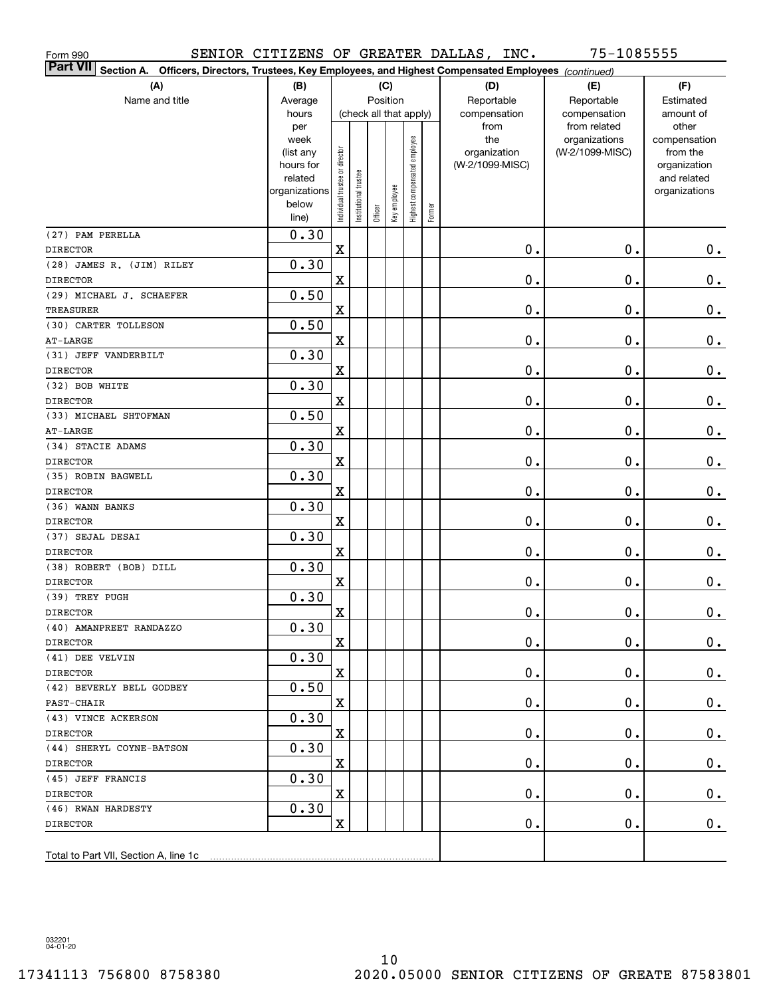| Form 990                                                                                                               |                   |                                |                       |         |                        |                              |        | SENIOR CITIZENS OF GREATER DALLAS, INC. | 75-1085555                       |                          |
|------------------------------------------------------------------------------------------------------------------------|-------------------|--------------------------------|-----------------------|---------|------------------------|------------------------------|--------|-----------------------------------------|----------------------------------|--------------------------|
| Part VII <br>Section A.<br>Officers, Directors, Trustees, Key Employees, and Highest Compensated Employees (continued) |                   |                                |                       |         |                        |                              |        |                                         |                                  |                          |
| (A)                                                                                                                    | (B)               |                                |                       |         | (C)                    |                              |        | (D)                                     | (E)                              | (F)                      |
| Name and title                                                                                                         | Average           |                                |                       |         | Position               |                              |        | Reportable                              | Reportable                       | Estimated                |
|                                                                                                                        | hours             |                                |                       |         | (check all that apply) |                              |        | compensation                            | compensation                     | amount of                |
|                                                                                                                        | per               |                                |                       |         |                        |                              |        | from                                    | from related                     | other                    |
|                                                                                                                        | week<br>(list any |                                |                       |         |                        |                              |        | the<br>organization                     | organizations<br>(W-2/1099-MISC) | compensation<br>from the |
|                                                                                                                        | hours for         |                                |                       |         |                        |                              |        | (W-2/1099-MISC)                         |                                  | organization             |
|                                                                                                                        | related           |                                |                       |         |                        |                              |        |                                         |                                  | and related              |
|                                                                                                                        | organizations     |                                |                       |         |                        |                              |        |                                         |                                  | organizations            |
|                                                                                                                        | below             | Individual trustee or director | Institutional trustee | Officer | Key employee           | Highest compensated employee | Former |                                         |                                  |                          |
|                                                                                                                        | line)             |                                |                       |         |                        |                              |        |                                         |                                  |                          |
| (27) PAM PERELLA                                                                                                       | 0.30              |                                |                       |         |                        |                              |        |                                         |                                  |                          |
| <b>DIRECTOR</b>                                                                                                        |                   | $\overline{\mathbf{X}}$        |                       |         |                        |                              |        | $0$ .                                   | $\mathbf 0$ .                    | $\mathbf 0$ .            |
| (28) JAMES R. (JIM) RILEY                                                                                              | 0.30              |                                |                       |         |                        |                              |        |                                         |                                  |                          |
| <b>DIRECTOR</b>                                                                                                        |                   | X                              |                       |         |                        |                              |        | 0.                                      | $\mathbf 0$ .                    | $\mathbf 0$ .            |
| (29) MICHAEL J. SCHAEFER                                                                                               | 0.50              |                                |                       |         |                        |                              |        | 0.                                      | $\mathbf 0$ .                    |                          |
| <b>TREASURER</b><br>(30) CARTER TOLLESON                                                                               |                   | X                              |                       |         |                        |                              |        |                                         |                                  | $\mathbf 0$ .            |
| AT-LARGE                                                                                                               | 0.50              | X                              |                       |         |                        |                              |        | 0.                                      | $\mathbf 0$ .                    | $\mathbf 0$ .            |
| (31) JEFF VANDERBILT                                                                                                   | 0.30              |                                |                       |         |                        |                              |        |                                         |                                  |                          |
| <b>DIRECTOR</b>                                                                                                        |                   | X                              |                       |         |                        |                              |        | 0.                                      | $\mathbf 0$ .                    | $\mathbf 0$ .            |
| (32) BOB WHITE                                                                                                         | 0.30              |                                |                       |         |                        |                              |        |                                         |                                  |                          |
| <b>DIRECTOR</b>                                                                                                        |                   | X                              |                       |         |                        |                              |        | 0.                                      | $\mathbf 0$ .                    | $\mathbf 0$ .            |
| (33) MICHAEL SHTOFMAN                                                                                                  | 0.50              |                                |                       |         |                        |                              |        |                                         |                                  |                          |
| AT-LARGE                                                                                                               |                   | X                              |                       |         |                        |                              |        | 0.                                      | $\mathbf 0$ .                    | $\mathbf 0$ .            |
| (34) STACIE ADAMS                                                                                                      | 0.30              |                                |                       |         |                        |                              |        |                                         |                                  |                          |
| <b>DIRECTOR</b>                                                                                                        |                   | $\mathbf X$                    |                       |         |                        |                              |        | 0.                                      | $\mathbf 0$ .                    | $\mathbf 0$ .            |
| (35) ROBIN BAGWELL                                                                                                     | 0.30              |                                |                       |         |                        |                              |        |                                         |                                  |                          |
| <b>DIRECTOR</b>                                                                                                        |                   | $\mathbf X$                    |                       |         |                        |                              |        | 0.                                      | $\mathbf 0$ .                    | $\mathbf 0$ .            |
| (36) WANN BANKS                                                                                                        | 0.30              |                                |                       |         |                        |                              |        |                                         |                                  |                          |
| <b>DIRECTOR</b>                                                                                                        |                   | X                              |                       |         |                        |                              |        | 0.                                      | $\mathbf 0$ .                    | $\mathbf 0$ .            |
| (37) SEJAL DESAI                                                                                                       | 0.30              |                                |                       |         |                        |                              |        |                                         |                                  |                          |
| <b>DIRECTOR</b>                                                                                                        |                   | $\overline{\textbf{X}}$        |                       |         |                        |                              |        | 0.                                      | $\mathbf 0$ .                    | $\mathbf 0$ .            |
| (38) ROBERT (BOB) DILL                                                                                                 | 0.30              |                                |                       |         |                        |                              |        |                                         |                                  |                          |
| <b>DIRECTOR</b>                                                                                                        |                   | $\overline{\textbf{X}}$        |                       |         |                        |                              |        | 0.                                      | 0.                               | 0.                       |
| (39) TREY PUGH                                                                                                         | 0.30              |                                |                       |         |                        |                              |        |                                         |                                  |                          |
| <b>DIRECTOR</b>                                                                                                        |                   | $\mathbf X$                    |                       |         |                        |                              |        | $\mathbf 0$ .                           | $0$ .                            | $\pmb{0}$ .              |
| (40) AMANPREET RANDAZZO                                                                                                | 0.30              |                                |                       |         |                        |                              |        |                                         |                                  |                          |
| DIRECTOR                                                                                                               |                   | X                              |                       |         |                        |                              |        | $\mathbf 0$ .                           | $\mathbf 0$ .                    | 0.                       |
| (41) DEE VELVIN                                                                                                        | 0.30              |                                |                       |         |                        |                              |        |                                         |                                  |                          |
| DIRECTOR                                                                                                               |                   | X                              |                       |         |                        |                              |        | $\mathbf 0$ .                           | $\mathbf 0$ .                    | $\mathbf 0$ .            |
| (42) BEVERLY BELL GODBEY                                                                                               | 0.50              |                                |                       |         |                        |                              |        |                                         |                                  |                          |
| PAST-CHAIR                                                                                                             |                   | X                              |                       |         |                        |                              |        | 0.                                      | $\mathbf 0$ .                    | $\mathbf 0$ .            |
| (43) VINCE ACKERSON                                                                                                    | 0.30              |                                |                       |         |                        |                              |        |                                         |                                  |                          |
| DIRECTOR                                                                                                               |                   | X                              |                       |         |                        |                              |        | 0.                                      | $\mathbf 0$ .                    | $\mathbf 0$ .            |
| (44) SHERYL COYNE-BATSON                                                                                               | 0.30              |                                |                       |         |                        |                              |        |                                         |                                  |                          |
| <b>DIRECTOR</b>                                                                                                        |                   | X                              |                       |         |                        |                              |        | 0.                                      | $\mathbf 0$ .                    | $\mathbf 0$ .            |
| (45) JEFF FRANCIS                                                                                                      | 0.30              |                                |                       |         |                        |                              |        |                                         |                                  |                          |
| <b>DIRECTOR</b>                                                                                                        |                   | $\mathbf X$                    |                       |         |                        |                              |        | 0.                                      | $\mathbf 0$ .                    | $\mathbf 0$ .            |
| (46) RWAN HARDESTY                                                                                                     | 0.30              |                                |                       |         |                        |                              |        |                                         |                                  |                          |
| DIRECTOR                                                                                                               |                   | X                              |                       |         |                        |                              |        | 0.                                      | $\mathbf 0$ .                    | 0.                       |
|                                                                                                                        |                   |                                |                       |         |                        |                              |        |                                         |                                  |                          |
| Total to Part VII, Section A, line 1c                                                                                  |                   |                                |                       |         |                        |                              |        |                                         |                                  |                          |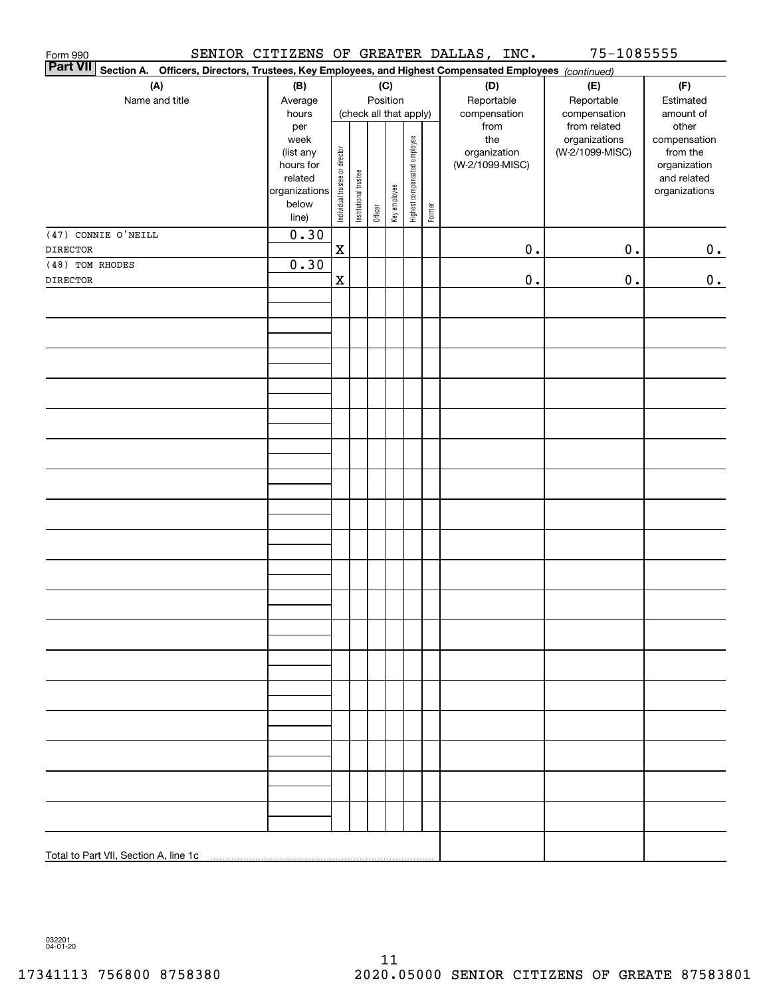| Form 990<br><b>Part VII</b>                                                                               |                                                                 |                                |                       |           |              |                              |        | SENIOR CITIZENS OF GREATER DALLAS, INC. | 75-1085555                    |                       |
|-----------------------------------------------------------------------------------------------------------|-----------------------------------------------------------------|--------------------------------|-----------------------|-----------|--------------|------------------------------|--------|-----------------------------------------|-------------------------------|-----------------------|
| Section A.<br>Officers, Directors, Trustees, Key Employees, and Highest Compensated Employees (continued) |                                                                 |                                |                       |           |              |                              |        |                                         |                               |                       |
| (A)                                                                                                       | (B)                                                             |                                |                       |           | (C)          |                              |        | (D)                                     | (E)                           | (F)                   |
| Name and title                                                                                            | Average                                                         |                                |                       |           | Position     |                              |        | Reportable                              | Reportable                    | Estimated             |
|                                                                                                           | (check all that apply)<br>hours<br>compensation<br>compensation |                                |                       | amount of |              |                              |        |                                         |                               |                       |
|                                                                                                           | per<br>week                                                     |                                |                       |           |              |                              |        | from<br>the                             | from related<br>organizations | other<br>compensation |
|                                                                                                           | (list any                                                       |                                |                       |           |              |                              |        | organization                            | (W-2/1099-MISC)               | from the              |
|                                                                                                           | hours for                                                       |                                |                       |           |              |                              |        | (W-2/1099-MISC)                         |                               | organization          |
|                                                                                                           | related                                                         |                                |                       |           |              |                              |        |                                         |                               | and related           |
|                                                                                                           | organizations<br>below                                          |                                |                       |           |              |                              |        |                                         |                               | organizations         |
|                                                                                                           | line)                                                           | Individual trustee or director | Institutional trustee | Officer   | Key employee | Highest compensated employee | Former |                                         |                               |                       |
| (47) CONNIE O'NEILL                                                                                       | 0.30                                                            |                                |                       |           |              |                              |        |                                         |                               |                       |
| <b>DIRECTOR</b>                                                                                           |                                                                 | $\mathbf x$                    |                       |           |              |                              |        | $\mathbf 0$ .                           | $0$ .                         | 0.                    |
| (48) TOM RHODES                                                                                           | 0.30                                                            |                                |                       |           |              |                              |        |                                         |                               |                       |
| <b>DIRECTOR</b>                                                                                           |                                                                 | $\mathbf x$                    |                       |           |              |                              |        | $\mathbf 0$ .                           | $\mathbf 0$ .                 | 0.                    |
|                                                                                                           |                                                                 |                                |                       |           |              |                              |        |                                         |                               |                       |
|                                                                                                           |                                                                 |                                |                       |           |              |                              |        |                                         |                               |                       |
|                                                                                                           |                                                                 |                                |                       |           |              |                              |        |                                         |                               |                       |
|                                                                                                           |                                                                 |                                |                       |           |              |                              |        |                                         |                               |                       |
|                                                                                                           |                                                                 |                                |                       |           |              |                              |        |                                         |                               |                       |
|                                                                                                           |                                                                 |                                |                       |           |              |                              |        |                                         |                               |                       |
|                                                                                                           |                                                                 |                                |                       |           |              |                              |        |                                         |                               |                       |
|                                                                                                           |                                                                 |                                |                       |           |              |                              |        |                                         |                               |                       |
|                                                                                                           |                                                                 |                                |                       |           |              |                              |        |                                         |                               |                       |
|                                                                                                           |                                                                 |                                |                       |           |              |                              |        |                                         |                               |                       |
|                                                                                                           |                                                                 |                                |                       |           |              |                              |        |                                         |                               |                       |
|                                                                                                           |                                                                 |                                |                       |           |              |                              |        |                                         |                               |                       |
|                                                                                                           |                                                                 |                                |                       |           |              |                              |        |                                         |                               |                       |
|                                                                                                           |                                                                 |                                |                       |           |              |                              |        |                                         |                               |                       |
|                                                                                                           |                                                                 |                                |                       |           |              |                              |        |                                         |                               |                       |
|                                                                                                           |                                                                 |                                |                       |           |              |                              |        |                                         |                               |                       |
|                                                                                                           |                                                                 |                                |                       |           |              |                              |        |                                         |                               |                       |
|                                                                                                           |                                                                 |                                |                       |           |              |                              |        |                                         |                               |                       |
|                                                                                                           |                                                                 |                                |                       |           |              |                              |        |                                         |                               |                       |
|                                                                                                           |                                                                 |                                |                       |           |              |                              |        |                                         |                               |                       |
|                                                                                                           |                                                                 |                                |                       |           |              |                              |        |                                         |                               |                       |
|                                                                                                           |                                                                 |                                |                       |           |              |                              |        |                                         |                               |                       |
|                                                                                                           |                                                                 |                                |                       |           |              |                              |        |                                         |                               |                       |
|                                                                                                           |                                                                 |                                |                       |           |              |                              |        |                                         |                               |                       |
|                                                                                                           |                                                                 |                                |                       |           |              |                              |        |                                         |                               |                       |
|                                                                                                           |                                                                 |                                |                       |           |              |                              |        |                                         |                               |                       |
|                                                                                                           |                                                                 |                                |                       |           |              |                              |        |                                         |                               |                       |
|                                                                                                           |                                                                 |                                |                       |           |              |                              |        |                                         |                               |                       |
|                                                                                                           |                                                                 |                                |                       |           |              |                              |        |                                         |                               |                       |
|                                                                                                           |                                                                 |                                |                       |           |              |                              |        |                                         |                               |                       |
|                                                                                                           |                                                                 |                                |                       |           |              |                              |        |                                         |                               |                       |
|                                                                                                           |                                                                 |                                |                       |           |              |                              |        |                                         |                               |                       |
|                                                                                                           |                                                                 |                                |                       |           |              |                              |        |                                         |                               |                       |
|                                                                                                           |                                                                 |                                |                       |           |              |                              |        |                                         |                               |                       |
|                                                                                                           |                                                                 |                                |                       |           |              |                              |        |                                         |                               |                       |

032201 04-01-20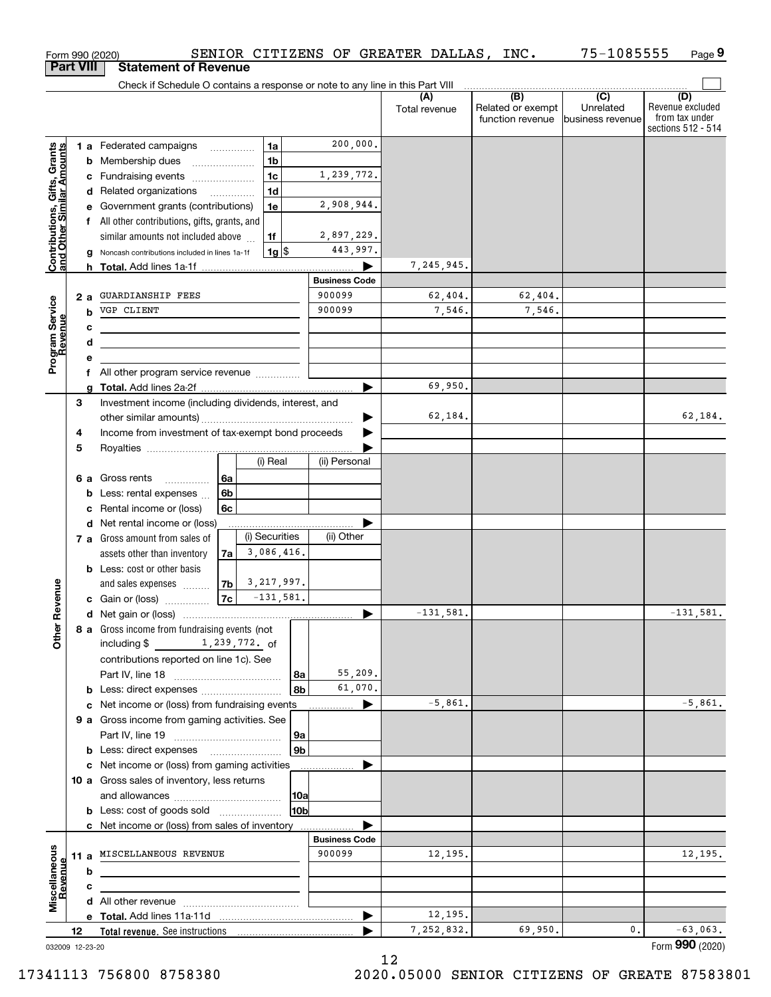|                                                           |                  |    | SENIOR CITIZENS OF GREATER DALLAS, INC.<br>Form 990 (2020)                    |                      |   |                      |                                              | 75-1085555                                        | Page 9                                                          |
|-----------------------------------------------------------|------------------|----|-------------------------------------------------------------------------------|----------------------|---|----------------------|----------------------------------------------|---------------------------------------------------|-----------------------------------------------------------------|
|                                                           | <b>Part VIII</b> |    | <b>Statement of Revenue</b>                                                   |                      |   |                      |                                              |                                                   |                                                                 |
|                                                           |                  |    | Check if Schedule O contains a response or note to any line in this Part VIII |                      |   |                      |                                              |                                                   |                                                                 |
|                                                           |                  |    |                                                                               |                      |   | (A)<br>Total revenue | (B)<br>Related or exempt<br>function revenue | $\overline{(C)}$<br>Unrelated<br>business revenue | (D)<br>Revenue excluded<br>from tax under<br>sections 512 - 514 |
|                                                           |                  |    | <b>1a</b><br>1 a Federated campaigns                                          | 200,000.             |   |                      |                                              |                                                   |                                                                 |
| Contributions, Gifts, Grants<br>and Other Similar Amounts |                  |    | 1 <sub>b</sub><br><b>b</b> Membership dues                                    |                      |   |                      |                                              |                                                   |                                                                 |
|                                                           |                  |    | 1 <sub>c</sub><br>c Fundraising events                                        | 1,239,772.           |   |                      |                                              |                                                   |                                                                 |
|                                                           |                  |    | 1 <sub>d</sub><br>d Related organizations<br>$\overline{\phantom{a}}$         |                      |   |                      |                                              |                                                   |                                                                 |
|                                                           |                  |    | e Government grants (contributions)<br>1e                                     | 2,908,944.           |   |                      |                                              |                                                   |                                                                 |
|                                                           |                  |    | f All other contributions, gifts, grants, and                                 |                      |   |                      |                                              |                                                   |                                                                 |
|                                                           |                  |    | similar amounts not included above<br>1f                                      | 2,897,229.           |   |                      |                                              |                                                   |                                                                 |
|                                                           |                  |    | $1g$ \$<br>g Noncash contributions included in lines 1a-1f                    | 443,997.             |   |                      |                                              |                                                   |                                                                 |
|                                                           |                  |    |                                                                               |                      |   | 7,245,945.           |                                              |                                                   |                                                                 |
|                                                           |                  |    |                                                                               | <b>Business Code</b> |   |                      |                                              |                                                   |                                                                 |
|                                                           |                  | 2а | <b>GUARDIANSHIP FEES</b>                                                      | 900099               |   | 62,404.              | 62,404.                                      |                                                   |                                                                 |
|                                                           |                  | b  | VGP CLIENT                                                                    | 900099               |   | 7,546.               | 7,546.                                       |                                                   |                                                                 |
|                                                           |                  | c  |                                                                               |                      |   |                      |                                              |                                                   |                                                                 |
|                                                           |                  | d  |                                                                               |                      |   |                      |                                              |                                                   |                                                                 |
| Program Service<br>Revenue                                |                  | е  |                                                                               |                      |   |                      |                                              |                                                   |                                                                 |
|                                                           |                  |    |                                                                               |                      |   | 69,950.              |                                              |                                                   |                                                                 |
|                                                           | З                | g  | Investment income (including dividends, interest, and                         |                      |   |                      |                                              |                                                   |                                                                 |
|                                                           |                  |    |                                                                               |                      | ▶ | 62,184.              |                                              |                                                   | 62,184.                                                         |
|                                                           | 4                |    | Income from investment of tax-exempt bond proceeds                            |                      |   |                      |                                              |                                                   |                                                                 |
|                                                           | 5                |    |                                                                               |                      |   |                      |                                              |                                                   |                                                                 |
|                                                           |                  |    | (i) Real                                                                      | (ii) Personal        |   |                      |                                              |                                                   |                                                                 |
|                                                           |                  |    | <b>6 a</b> Gross rents<br>6a<br>.                                             |                      |   |                      |                                              |                                                   |                                                                 |
|                                                           |                  | b  | Less: rental expenses<br>6b                                                   |                      |   |                      |                                              |                                                   |                                                                 |
|                                                           |                  | c  | Rental income or (loss)<br>6с                                                 |                      |   |                      |                                              |                                                   |                                                                 |
|                                                           |                  |    | d Net rental income or (loss)                                                 |                      |   |                      |                                              |                                                   |                                                                 |
|                                                           |                  |    | (i) Securities<br>7 a Gross amount from sales of                              | (ii) Other           |   |                      |                                              |                                                   |                                                                 |
|                                                           |                  |    | 3,086,416.<br>assets other than inventory<br>7a                               |                      |   |                      |                                              |                                                   |                                                                 |
|                                                           |                  |    | <b>b</b> Less: cost or other basis<br>3, 217, 997.                            |                      |   |                      |                                              |                                                   |                                                                 |
| anueve                                                    |                  |    | 7b<br>and sales expenses<br>7c<br>$-131,581.$<br>c Gain or (loss)             |                      |   |                      |                                              |                                                   |                                                                 |
|                                                           |                  |    |                                                                               |                      |   | $-131,581.$          |                                              |                                                   | $-131,581.$                                                     |
| č                                                         |                  |    | 8 a Gross income from fundraising events (not                                 |                      |   |                      |                                              |                                                   |                                                                 |
| Other                                                     |                  |    | including \$<br>1,239,772. of                                                 |                      |   |                      |                                              |                                                   |                                                                 |
|                                                           |                  |    | contributions reported on line 1c). See                                       |                      |   |                      |                                              |                                                   |                                                                 |
|                                                           |                  |    | 8a                                                                            | 55,209.              |   |                      |                                              |                                                   |                                                                 |
|                                                           |                  |    | 8b<br><b>b</b> Less: direct expenses <b>constants b</b>                       | 61,070.              |   |                      |                                              |                                                   |                                                                 |
|                                                           |                  |    | c Net income or (loss) from fundraising events                                |                      |   | $-5,861.$            |                                              |                                                   | $-5,861.$                                                       |
|                                                           |                  |    | 9 a Gross income from gaming activities. See                                  |                      |   |                      |                                              |                                                   |                                                                 |
|                                                           |                  |    | 9a                                                                            |                      |   |                      |                                              |                                                   |                                                                 |
|                                                           |                  |    | l 9b                                                                          |                      |   |                      |                                              |                                                   |                                                                 |
|                                                           |                  |    | c Net income or (loss) from gaming activities                                 |                      |   |                      |                                              |                                                   |                                                                 |
|                                                           |                  |    | 10 a Gross sales of inventory, less returns<br> 10a                           |                      |   |                      |                                              |                                                   |                                                                 |
|                                                           |                  |    | 10 <sub>b</sub><br><b>b</b> Less: cost of goods sold                          |                      |   |                      |                                              |                                                   |                                                                 |
|                                                           |                  |    | c Net income or (loss) from sales of inventory                                |                      |   |                      |                                              |                                                   |                                                                 |
|                                                           |                  |    |                                                                               | <b>Business Code</b> |   |                      |                                              |                                                   |                                                                 |
|                                                           |                  |    | 11 a MISCELLANEOUS REVENUE                                                    | 900099               |   | 12,195.              |                                              |                                                   | 12,195.                                                         |
| Miscellaneous<br>Revenue                                  |                  | b  |                                                                               |                      |   |                      |                                              |                                                   |                                                                 |
|                                                           |                  | c  |                                                                               |                      |   |                      |                                              |                                                   |                                                                 |
|                                                           |                  |    |                                                                               |                      |   |                      |                                              |                                                   |                                                                 |
|                                                           |                  |    |                                                                               |                      | ▶ | 12,195.              |                                              |                                                   |                                                                 |
|                                                           | 12               |    |                                                                               |                      |   | 7,252,832.           | 69,950.                                      | 0.                                                | $-63,063.$<br>Form 990 (2020)                                   |
| 032009 12-23-20                                           |                  |    |                                                                               |                      |   |                      |                                              |                                                   |                                                                 |

12

032009 12-23-20

17341113 756800 8758380 2020.05000 SENIOR CITIZENS OF GREATE 87583801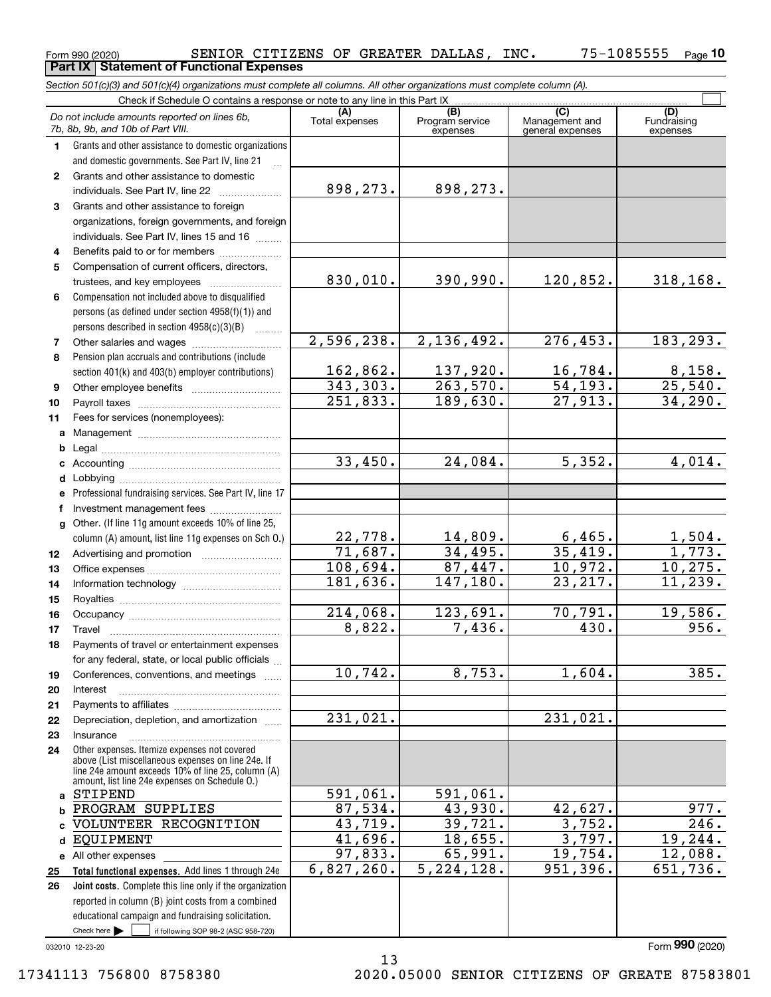SENIOR CITIZENS OF GREATER DALLAS, INC. 75-1085555

|              | Form 990 (2020)<br>SENIOR CITIZENS OF GREATER DALLAS,<br><b>Part IX   Statement of Functional Expenses</b>                 |                         |                                    | TMC.                                      | $15 - 1085555$<br>Page 1       |
|--------------|----------------------------------------------------------------------------------------------------------------------------|-------------------------|------------------------------------|-------------------------------------------|--------------------------------|
|              | Section 501(c)(3) and 501(c)(4) organizations must complete all columns. All other organizations must complete column (A). |                         |                                    |                                           |                                |
|              | Check if Schedule O contains a response or note to any line in this Part IX                                                |                         |                                    |                                           |                                |
|              | Do not include amounts reported on lines 6b,<br>7b, 8b, 9b, and 10b of Part VIII.                                          | (A)<br>Total expenses   | (B)<br>Program service<br>expenses | (C)<br>Management and<br>general expenses | (D)<br>Fundraising<br>expenses |
| 1            | Grants and other assistance to domestic organizations                                                                      |                         |                                    |                                           |                                |
|              | and domestic governments. See Part IV, line 21                                                                             |                         |                                    |                                           |                                |
| $\mathbf{2}$ | Grants and other assistance to domestic                                                                                    |                         |                                    |                                           |                                |
|              | individuals. See Part IV, line 22                                                                                          | 898,273.                | 898,273.                           |                                           |                                |
| 3            | Grants and other assistance to foreign                                                                                     |                         |                                    |                                           |                                |
|              | organizations, foreign governments, and foreign                                                                            |                         |                                    |                                           |                                |
|              | individuals. See Part IV, lines 15 and 16                                                                                  |                         |                                    |                                           |                                |
| 4            | Benefits paid to or for members                                                                                            |                         |                                    |                                           |                                |
| 5            | Compensation of current officers, directors,                                                                               |                         |                                    |                                           |                                |
|              |                                                                                                                            | 830,010.                | 390,990.                           | 120,852.                                  | 318,168.                       |
| 6            | Compensation not included above to disqualified                                                                            |                         |                                    |                                           |                                |
|              | persons (as defined under section 4958(f)(1)) and                                                                          |                         |                                    |                                           |                                |
|              | persons described in section 4958(c)(3)(B)                                                                                 |                         |                                    |                                           |                                |
| 7            |                                                                                                                            | 2,596,238.              | 2,136,492.                         | 276,453.                                  | 183,293.                       |
| 8            | Pension plan accruals and contributions (include                                                                           | 162,862.                | 137,920.                           | 16,784.                                   |                                |
|              | section 401(k) and 403(b) employer contributions)                                                                          | $\overline{343}$ , 303. | 263,570.                           | 54, 193.                                  | 8,158.<br>25,540.              |
| 9            |                                                                                                                            | 251,833.                | 189,630.                           | 27,913.                                   | 34,290.                        |
| 10<br>11     | Fees for services (nonemployees):                                                                                          |                         |                                    |                                           |                                |
|              |                                                                                                                            |                         |                                    |                                           |                                |
| b            |                                                                                                                            |                         |                                    |                                           |                                |
| c            |                                                                                                                            | 33,450.                 | 24,084.                            | $\overline{5}$ , 352.                     | 4,014.                         |
| d            |                                                                                                                            |                         |                                    |                                           |                                |
| е            | Professional fundraising services. See Part IV, line 17                                                                    |                         |                                    |                                           |                                |
|              | f Investment management fees                                                                                               |                         |                                    |                                           |                                |
| g            | Other. (If line 11g amount exceeds 10% of line 25,                                                                         |                         |                                    |                                           |                                |
|              | column (A) amount, list line 11g expenses on Sch 0.)                                                                       | 22,778.                 | 14,809.                            | 6,465.                                    | 1,504.                         |
| 12           |                                                                                                                            | 71,687.                 | 34,495.                            | 35,419.                                   | $\overline{1,773}$ .           |
| 13           |                                                                                                                            | 108,694.                | 87,447.                            | 10,972.                                   | 10,275.                        |
| 14           |                                                                                                                            | 181,636.                | 147,180.                           | 23, 217.                                  | 11,239.                        |
| 15           |                                                                                                                            |                         |                                    |                                           |                                |
| 16           | Occupancy                                                                                                                  | 214,068.                | 123,691.                           | 70,791.                                   | 19,586.                        |
| 17           | Travel                                                                                                                     | 8,822.                  | 7,436.                             | 430.                                      | 956.                           |
| 18           | Payments of travel or entertainment expenses                                                                               |                         |                                    |                                           |                                |
|              | for any federal, state, or local public officials                                                                          |                         |                                    |                                           |                                |
| 19           | Conferences, conventions, and meetings                                                                                     | 10,742.                 | 8,753.                             | 1,604.                                    | 385.                           |
| 20           | Interest                                                                                                                   |                         |                                    |                                           |                                |
| 21           |                                                                                                                            | 231,021.                |                                    | 231,021.                                  |                                |
| 22           | Depreciation, depletion, and amortization<br>Insurance                                                                     |                         |                                    |                                           |                                |
| 23<br>24     | Other expenses. Itemize expenses not covered                                                                               |                         |                                    |                                           |                                |
|              | above (List miscellaneous expenses on line 24e. If                                                                         |                         |                                    |                                           |                                |
|              | line 24e amount exceeds 10% of line 25, column (A)<br>amount, list line 24e expenses on Schedule 0.)                       |                         |                                    |                                           |                                |
| a            | STIPEND                                                                                                                    | 591,061.                | 591,061.                           |                                           |                                |
| b            | PROGRAM SUPPLIES                                                                                                           | 87,534.                 | 43,930.                            | 42,627.                                   | 977.                           |
|              | VOLUNTEER RECOGNITION                                                                                                      | 43,719.                 | 39,721.                            | 3,752.                                    | $\overline{246}$ .             |
| d            | <b>EQUIPMENT</b>                                                                                                           | 41,696.                 | 18,655.                            | 3,797.                                    | 19,244.                        |
|              | e All other expenses                                                                                                       | 97,833.                 | 65,991.                            | 19,754.                                   | 12,088.                        |
| 25           | Total functional expenses. Add lines 1 through 24e                                                                         | 6,827,260.              | 5, 224, 128.                       | 951,396.                                  | 651,736.                       |
| 26           | Joint costs. Complete this line only if the organization                                                                   |                         |                                    |                                           |                                |
|              | reported in column (B) joint costs from a combined                                                                         |                         |                                    |                                           |                                |
|              | educational campaign and fundraising solicitation.                                                                         |                         |                                    |                                           |                                |

032010 12-23-20

 $Check here$ 

Check here  $\bullet$  if following SOP 98-2 (ASC 958-720)

13 17341113 756800 8758380 2020.05000 SENIOR CITIZENS OF GREATE 87583801

Form (2020) **990**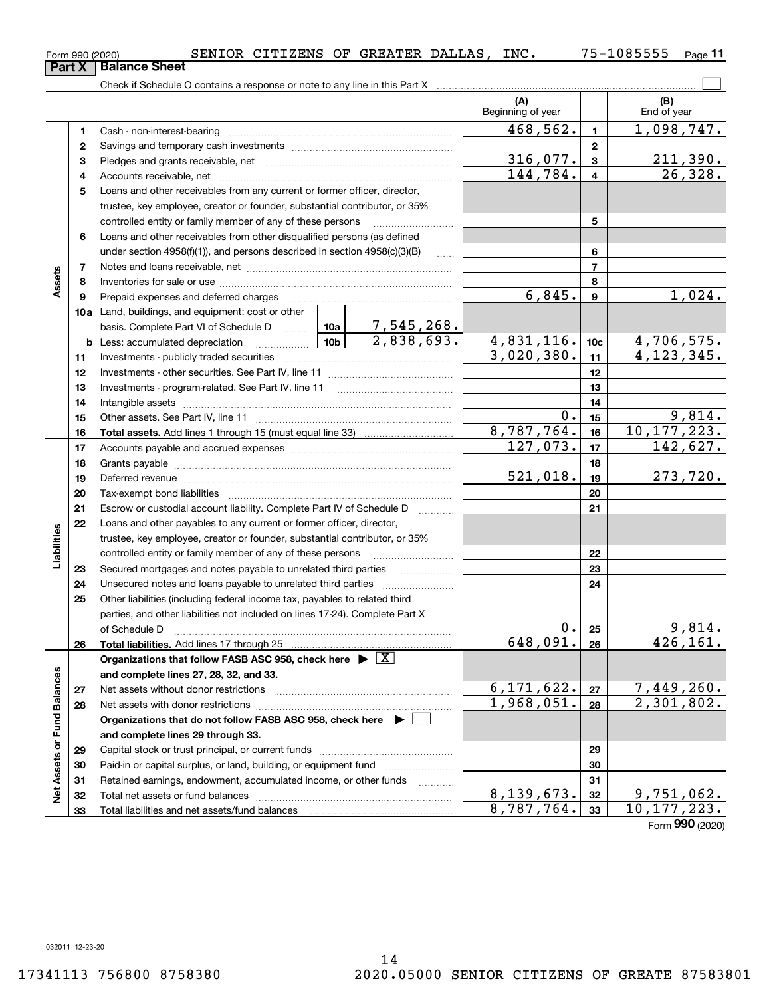ğ

**and complete lines 29 through 33.**

Total liabilities and net assets/fund balances

Capital stock or trust principal, or current funds ~~~~~~~~~~~~~~~ Paid-in or capital surplus, or land, building, or equipment fund www.commun.com Retained earnings, endowment, accumulated income, or other funds Total net assets or fund balances ~~~~~~~~~~~~~~~~~~~~~~

 $8,139,673.$   $32$  9, 751, 062.  $8,787,764.$  33 10,177,223.

 $\mathcal{L}^{\text{max}}$ Check if Schedule O contains a response or note to any line in this Part X **(A) (B)** Beginning of year | | End of year  $468,562.$  1,098,747. **11**Cash - non-interest-bearing ~~~~~~~~~~~~~~~~~~~~~~~~~ **22**Savings and temporary cash investments ~~~~~~~~~~~~~~~~~~ $316,077.$   $3 \mid 211,390.$ **33** Pledges and grants receivable, net  $\ldots$  **multimes contained and grants receivable**, net **multimes contained and grants receivable**, net **multimes contained and grants receivable** 144,784. 26,328. Accounts receivable, net ~~~~~~~~~~~~~~~~~~~~~~~~~~ **44**Loans and other receivables from any current or former officer, director, **5**trustee, key employee, creator or founder, substantial contributor, or 35% controlled entity or family member of any of these persons ............................ **5**Loans and other receivables from other disqualified persons (as defined **6**under section  $4958(f)(1)$ , and persons described in section  $4958(c)(3)(B)$ **677**Notes and loans receivable, net ~~~~~~~~~~~~~~~~~~~~~~~**Assets 88**Inventories for sale or use ~~~~~~~~~~~~~~~~~~~~~~~~~~  $6,845.$  |  $9$  |  $1,024.$ **99**Prepaid expenses and deferred charges ~~~~~~~~~~~~~~~~~~ **10a**Land, buildings, and equipment: cost or other 7,545,268. basis. Complete Part VI of Schedule D will aller  $2,838,693. \qquad 4,831,116.$   $10c \qquad 4,706,575.$ **10cb** Less: accumulated depreciation  $\ldots$  **10b**  $3,020,380.$   $\vert$  11  $\vert$  4, 123, 345. **1111**Investments - publicly traded securities ~~~~~~~~~~~~~~~~~~~ **1212**Investments - other securities. See Part IV, line 11 ~~~~~~~~~~~~~~ **1313** Investments - program-related. See Part IV, line 11 [2010] [2010] [2010] [2010] [2010] [2010] [2010] [2010] [2 **1414**Intangible assets ~~~~~~~~~~~~~~~~~~~~~~~~~~~~~~ Other assets. See Part IV, line 11 ~~~~~~~~~~~~~~~~~~~~~~  $0.15$  9,814. **1515**8,787,764. 10,177,223. **1616Total assets.**  Add lines 1 through 15 (must equal line 33)  $127,073.$   $17$  142,627. **1717**Accounts payable and accrued expenses ~~~~~~~~~~~~~~~~~~ **1818**Grants payable ~~~~~~~~~~~~~~~~~~~~~~~~~~~~~~~  $521,018.$  19 273,720. **1919**Deferred revenue ~~~~~~~~~~~~~~~~~~~~~~~~~~~~~~ **2020**Tax-exempt bond liabilities …………………………………………………………… Escrow or custodial account liability. Complete Part IV of Schedule D **212122**Loans and other payables to any current or former officer, director, iabilities **Liabilities** trustee, key employee, creator or founder, substantial contributor, or 35% controlled entity or family member of any of these persons ~~~~~~~~~**2223**Secured mortgages and notes payable to unrelated third parties **23**Unsecured notes and loans payable to unrelated third parties **242425**Other liabilities (including federal income tax, payables to related third parties, and other liabilities not included on lines 17-24). Complete Part X of Schedule D ~~~~~~~~~~~~~~~~~~~~~~~~~~~~~~~  $0. |25|$  9,814. **25** $648,091. |26| 426,161.$ **2626Total liabilities.**  Add lines 17 through 25 **Organizations that follow FASB ASC 958, check here** | X Assets or Fund Balances **Net Assets or Fund Balances and complete lines 27, 28, 32, and 33.**  $6, 171, 622$ .  $\boxed{27}$  7, 449, 260. **2727**Net assets without donor restrictions <sub>…………………………………………………</sub>……  $1,968,051. |28 | 2,301,802.$ **2828**Net assets with donor restrictions ~~~~~~~~~~~~~~~~~~~~~~**Organizations that do not follow FASB ASC 958, check here** |

**Part X** | Balance Sheet

Form (2020) **990**

| Form 990 (2020) |  | SENIOR | CITIZENS |  | OF GREATER DALLAS |  | INC. | .085555<br>$75 -$ | Page |  |
|-----------------|--|--------|----------|--|-------------------|--|------|-------------------|------|--|
|-----------------|--|--------|----------|--|-------------------|--|------|-------------------|------|--|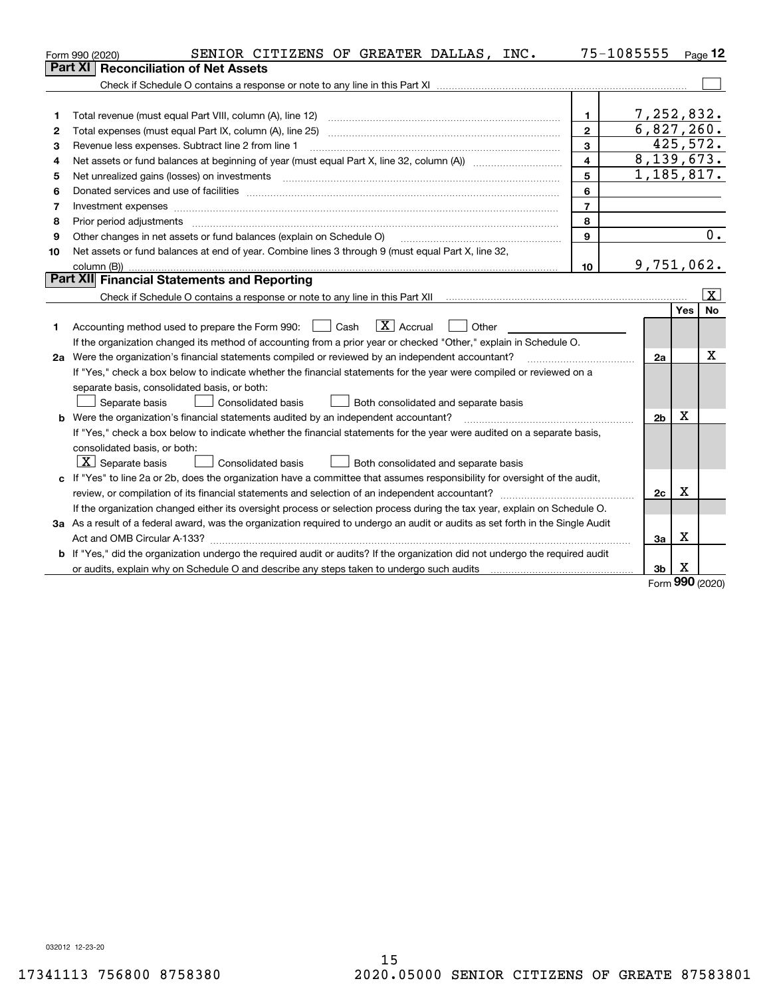|    | SENIOR CITIZENS OF GREATER DALLAS, INC.<br>Form 990 (2020)                                                                      | 75-1085555     |                |           | $Page$ 12               |
|----|---------------------------------------------------------------------------------------------------------------------------------|----------------|----------------|-----------|-------------------------|
|    | <b>Reconciliation of Net Assets</b><br>Part XI                                                                                  |                |                |           |                         |
|    |                                                                                                                                 |                |                |           |                         |
|    |                                                                                                                                 |                |                |           |                         |
| 1  | Total revenue (must equal Part VIII, column (A), line 12)                                                                       | 1.             | 7,252,832.     |           |                         |
| 2  | Total expenses (must equal Part IX, column (A), line 25)                                                                        | $\overline{2}$ | 6,827,260.     |           |                         |
| 3  | Revenue less expenses. Subtract line 2 from line 1                                                                              | 3              |                | 425, 572. |                         |
| 4  |                                                                                                                                 | $\overline{4}$ | 8,139,673.     |           |                         |
| 5  | Net unrealized gains (losses) on investments                                                                                    | 5              | 1,185,817.     |           |                         |
| 6  |                                                                                                                                 | 6              |                |           |                         |
| 7  |                                                                                                                                 | $\overline{7}$ |                |           |                         |
| 8  | Prior period adjustments                                                                                                        | 8              |                |           |                         |
| 9  | Other changes in net assets or fund balances (explain on Schedule O)                                                            | 9              |                |           | 0.                      |
| 10 | Net assets or fund balances at end of year. Combine lines 3 through 9 (must equal Part X, line 32,                              |                |                |           |                         |
|    | column (B))                                                                                                                     | 10             | 9,751,062.     |           |                         |
|    | Part XII Financial Statements and Reporting                                                                                     |                |                |           |                         |
|    |                                                                                                                                 |                |                |           | $\overline{\mathbf{X}}$ |
|    |                                                                                                                                 |                |                | Yes       | <b>No</b>               |
| 1  | $\boxed{\mathbf{X}}$ Accrual<br>Accounting method used to prepare the Form 990: <u>June</u> Cash<br>Other                       |                |                |           |                         |
|    | If the organization changed its method of accounting from a prior year or checked "Other," explain in Schedule O.               |                |                |           |                         |
|    | 2a Were the organization's financial statements compiled or reviewed by an independent accountant?                              |                | 2a             |           | х                       |
|    | If "Yes," check a box below to indicate whether the financial statements for the year were compiled or reviewed on a            |                |                |           |                         |
|    | separate basis, consolidated basis, or both:                                                                                    |                |                |           |                         |
|    | Separate basis<br>Consolidated basis<br>Both consolidated and separate basis                                                    |                |                |           |                         |
|    | <b>b</b> Were the organization's financial statements audited by an independent accountant?                                     |                | 2 <sub>b</sub> | X         |                         |
|    | If "Yes," check a box below to indicate whether the financial statements for the year were audited on a separate basis,         |                |                |           |                         |
|    | consolidated basis, or both:                                                                                                    |                |                |           |                         |
|    | $ \mathbf{X} $ Separate basis<br><b>Consolidated basis</b><br>Both consolidated and separate basis                              |                |                |           |                         |
|    | c If "Yes" to line 2a or 2b, does the organization have a committee that assumes responsibility for oversight of the audit,     |                |                | x         |                         |
|    | review, or compilation of its financial statements and selection of an independent accountant?                                  |                | 2c             |           |                         |
|    | If the organization changed either its oversight process or selection process during the tax year, explain on Schedule O.       |                |                |           |                         |
|    | 3a As a result of a federal award, was the organization required to undergo an audit or audits as set forth in the Single Audit |                |                | X         |                         |
|    |                                                                                                                                 |                | За             |           |                         |
|    | b If "Yes," did the organization undergo the required audit or audits? If the organization did not undergo the required audit   |                |                |           |                         |
|    |                                                                                                                                 |                | 3 <sub>b</sub> | X<br>č    |                         |

Form (2020) **990**

032012 12-23-20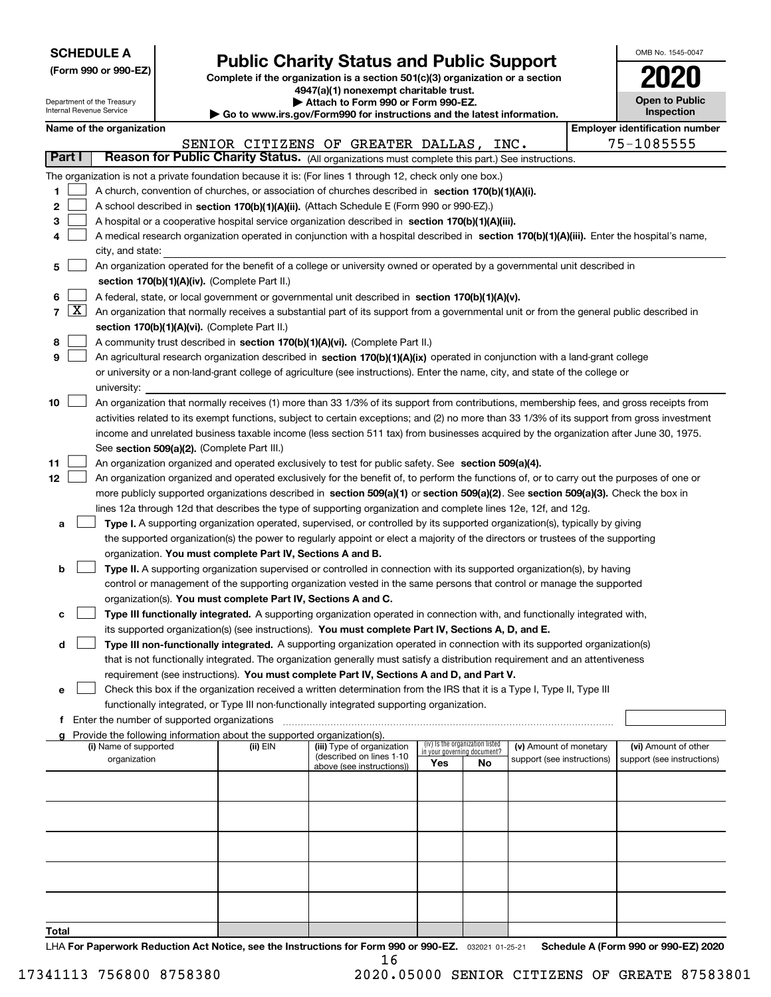| <b>SCHEDULE A</b> |  |  |  |  |  |  |
|-------------------|--|--|--|--|--|--|
|-------------------|--|--|--|--|--|--|

Department of the Treasury

**(Form 990 or 990-EZ)**

# **Public Charity Status and Public Support**

**Complete if the organization is a section 501(c)(3) organization or a section 4947(a)(1) nonexempt charitable trust. | Attach to Form 990 or Form 990-EZ.** 

| OMB No. 1545-0047                   |
|-------------------------------------|
|                                     |
| <b>Open to Public</b><br>Inspection |

|                | Internal Revenue Service<br>Inspection<br>Go to www.irs.gov/Form990 for instructions and the latest information.                   |                                                                                                                                            |  |                                                                                    |                                                                                                                                              |     |                                   |                            |  |                                       |  |
|----------------|------------------------------------------------------------------------------------------------------------------------------------|--------------------------------------------------------------------------------------------------------------------------------------------|--|------------------------------------------------------------------------------------|----------------------------------------------------------------------------------------------------------------------------------------------|-----|-----------------------------------|----------------------------|--|---------------------------------------|--|
|                |                                                                                                                                    | Name of the organization                                                                                                                   |  |                                                                                    |                                                                                                                                              |     |                                   |                            |  | <b>Employer identification number</b> |  |
|                |                                                                                                                                    |                                                                                                                                            |  |                                                                                    | SENIOR CITIZENS OF GREATER DALLAS, INC.                                                                                                      |     |                                   |                            |  | 75-1085555                            |  |
|                | Part I                                                                                                                             |                                                                                                                                            |  |                                                                                    | Reason for Public Charity Status. (All organizations must complete this part.) See instructions.                                             |     |                                   |                            |  |                                       |  |
|                |                                                                                                                                    |                                                                                                                                            |  |                                                                                    | The organization is not a private foundation because it is: (For lines 1 through 12, check only one box.)                                    |     |                                   |                            |  |                                       |  |
| 1              |                                                                                                                                    |                                                                                                                                            |  |                                                                                    | A church, convention of churches, or association of churches described in section 170(b)(1)(A)(i).                                           |     |                                   |                            |  |                                       |  |
| 2              |                                                                                                                                    |                                                                                                                                            |  |                                                                                    | A school described in section 170(b)(1)(A)(ii). (Attach Schedule E (Form 990 or 990-EZ).)                                                    |     |                                   |                            |  |                                       |  |
| З              |                                                                                                                                    |                                                                                                                                            |  |                                                                                    | A hospital or a cooperative hospital service organization described in section 170(b)(1)(A)(iii).                                            |     |                                   |                            |  |                                       |  |
|                |                                                                                                                                    |                                                                                                                                            |  |                                                                                    | A medical research organization operated in conjunction with a hospital described in section 170(b)(1)(A)(iii). Enter the hospital's name,   |     |                                   |                            |  |                                       |  |
|                |                                                                                                                                    | city, and state:                                                                                                                           |  |                                                                                    |                                                                                                                                              |     |                                   |                            |  |                                       |  |
| 5              |                                                                                                                                    |                                                                                                                                            |  |                                                                                    | An organization operated for the benefit of a college or university owned or operated by a governmental unit described in                    |     |                                   |                            |  |                                       |  |
|                |                                                                                                                                    |                                                                                                                                            |  | section 170(b)(1)(A)(iv). (Complete Part II.)                                      |                                                                                                                                              |     |                                   |                            |  |                                       |  |
| 6              |                                                                                                                                    |                                                                                                                                            |  |                                                                                    | A federal, state, or local government or governmental unit described in section 170(b)(1)(A)(v).                                             |     |                                   |                            |  |                                       |  |
| $\overline{7}$ | $\lfloor x \rfloor$                                                                                                                |                                                                                                                                            |  |                                                                                    | An organization that normally receives a substantial part of its support from a governmental unit or from the general public described in    |     |                                   |                            |  |                                       |  |
|                |                                                                                                                                    | section 170(b)(1)(A)(vi). (Complete Part II.)                                                                                              |  |                                                                                    |                                                                                                                                              |     |                                   |                            |  |                                       |  |
| 8              |                                                                                                                                    |                                                                                                                                            |  |                                                                                    | A community trust described in section 170(b)(1)(A)(vi). (Complete Part II.)                                                                 |     |                                   |                            |  |                                       |  |
| 9              |                                                                                                                                    | An agricultural research organization described in section 170(b)(1)(A)(ix) operated in conjunction with a land-grant college              |  |                                                                                    |                                                                                                                                              |     |                                   |                            |  |                                       |  |
|                |                                                                                                                                    | or university or a non-land-grant college of agriculture (see instructions). Enter the name, city, and state of the college or             |  |                                                                                    |                                                                                                                                              |     |                                   |                            |  |                                       |  |
|                |                                                                                                                                    | university:                                                                                                                                |  |                                                                                    |                                                                                                                                              |     |                                   |                            |  |                                       |  |
| 10             |                                                                                                                                    |                                                                                                                                            |  |                                                                                    | An organization that normally receives (1) more than 33 1/3% of its support from contributions, membership fees, and gross receipts from     |     |                                   |                            |  |                                       |  |
|                |                                                                                                                                    |                                                                                                                                            |  |                                                                                    | activities related to its exempt functions, subject to certain exceptions; and (2) no more than 33 1/3% of its support from gross investment |     |                                   |                            |  |                                       |  |
|                |                                                                                                                                    |                                                                                                                                            |  |                                                                                    | income and unrelated business taxable income (less section 511 tax) from businesses acquired by the organization after June 30, 1975.        |     |                                   |                            |  |                                       |  |
|                |                                                                                                                                    |                                                                                                                                            |  | See section 509(a)(2). (Complete Part III.)                                        |                                                                                                                                              |     |                                   |                            |  |                                       |  |
| 11             |                                                                                                                                    | An organization organized and operated exclusively to test for public safety. See section 509(a)(4).                                       |  |                                                                                    |                                                                                                                                              |     |                                   |                            |  |                                       |  |
| 12             |                                                                                                                                    | An organization organized and operated exclusively for the benefit of, to perform the functions of, or to carry out the purposes of one or |  |                                                                                    |                                                                                                                                              |     |                                   |                            |  |                                       |  |
|                | more publicly supported organizations described in section 509(a)(1) or section 509(a)(2). See section 509(a)(3). Check the box in |                                                                                                                                            |  |                                                                                    |                                                                                                                                              |     |                                   |                            |  |                                       |  |
|                |                                                                                                                                    |                                                                                                                                            |  |                                                                                    | lines 12a through 12d that describes the type of supporting organization and complete lines 12e, 12f, and 12g.                               |     |                                   |                            |  |                                       |  |
| а              |                                                                                                                                    |                                                                                                                                            |  |                                                                                    | Type I. A supporting organization operated, supervised, or controlled by its supported organization(s), typically by giving                  |     |                                   |                            |  |                                       |  |
|                |                                                                                                                                    |                                                                                                                                            |  |                                                                                    | the supported organization(s) the power to regularly appoint or elect a majority of the directors or trustees of the supporting              |     |                                   |                            |  |                                       |  |
|                |                                                                                                                                    |                                                                                                                                            |  | organization. You must complete Part IV, Sections A and B.                         |                                                                                                                                              |     |                                   |                            |  |                                       |  |
| b              |                                                                                                                                    |                                                                                                                                            |  |                                                                                    | Type II. A supporting organization supervised or controlled in connection with its supported organization(s), by having                      |     |                                   |                            |  |                                       |  |
|                |                                                                                                                                    |                                                                                                                                            |  |                                                                                    | control or management of the supporting organization vested in the same persons that control or manage the supported                         |     |                                   |                            |  |                                       |  |
|                |                                                                                                                                    |                                                                                                                                            |  | organization(s). You must complete Part IV, Sections A and C.                      |                                                                                                                                              |     |                                   |                            |  |                                       |  |
| с              |                                                                                                                                    |                                                                                                                                            |  |                                                                                    | Type III functionally integrated. A supporting organization operated in connection with, and functionally integrated with,                   |     |                                   |                            |  |                                       |  |
|                |                                                                                                                                    |                                                                                                                                            |  |                                                                                    | its supported organization(s) (see instructions). You must complete Part IV, Sections A, D, and E.                                           |     |                                   |                            |  |                                       |  |
| d              |                                                                                                                                    |                                                                                                                                            |  |                                                                                    | Type III non-functionally integrated. A supporting organization operated in connection with its supported organization(s)                    |     |                                   |                            |  |                                       |  |
|                |                                                                                                                                    |                                                                                                                                            |  |                                                                                    | that is not functionally integrated. The organization generally must satisfy a distribution requirement and an attentiveness                 |     |                                   |                            |  |                                       |  |
|                |                                                                                                                                    |                                                                                                                                            |  |                                                                                    | requirement (see instructions). You must complete Part IV, Sections A and D, and Part V.                                                     |     |                                   |                            |  |                                       |  |
| е              |                                                                                                                                    |                                                                                                                                            |  |                                                                                    | Check this box if the organization received a written determination from the IRS that it is a Type I, Type II, Type III                      |     |                                   |                            |  |                                       |  |
|                |                                                                                                                                    |                                                                                                                                            |  |                                                                                    | functionally integrated, or Type III non-functionally integrated supporting organization.                                                    |     |                                   |                            |  |                                       |  |
| f              |                                                                                                                                    | Enter the number of supported organizations                                                                                                |  |                                                                                    |                                                                                                                                              |     |                                   |                            |  |                                       |  |
|                |                                                                                                                                    | (i) Name of supported                                                                                                                      |  | Provide the following information about the supported organization(s).<br>(ii) EIN | (iii) Type of organization                                                                                                                   |     | (iv) Is the organization listed   | (v) Amount of monetary     |  | (vi) Amount of other                  |  |
|                |                                                                                                                                    | organization                                                                                                                               |  |                                                                                    | (described on lines 1-10                                                                                                                     | Yes | in your governing document?<br>No | support (see instructions) |  | support (see instructions)            |  |
|                |                                                                                                                                    |                                                                                                                                            |  |                                                                                    | above (see instructions))                                                                                                                    |     |                                   |                            |  |                                       |  |
|                |                                                                                                                                    |                                                                                                                                            |  |                                                                                    |                                                                                                                                              |     |                                   |                            |  |                                       |  |
|                |                                                                                                                                    |                                                                                                                                            |  |                                                                                    |                                                                                                                                              |     |                                   |                            |  |                                       |  |
|                |                                                                                                                                    |                                                                                                                                            |  |                                                                                    |                                                                                                                                              |     |                                   |                            |  |                                       |  |
|                |                                                                                                                                    |                                                                                                                                            |  |                                                                                    |                                                                                                                                              |     |                                   |                            |  |                                       |  |
|                |                                                                                                                                    |                                                                                                                                            |  |                                                                                    |                                                                                                                                              |     |                                   |                            |  |                                       |  |
|                |                                                                                                                                    |                                                                                                                                            |  |                                                                                    |                                                                                                                                              |     |                                   |                            |  |                                       |  |
|                |                                                                                                                                    |                                                                                                                                            |  |                                                                                    |                                                                                                                                              |     |                                   |                            |  |                                       |  |
|                |                                                                                                                                    |                                                                                                                                            |  |                                                                                    |                                                                                                                                              |     |                                   |                            |  |                                       |  |
|                |                                                                                                                                    |                                                                                                                                            |  |                                                                                    |                                                                                                                                              |     |                                   |                            |  |                                       |  |

**Total**

LHA For Paperwork Reduction Act Notice, see the Instructions for Form 990 or 990-EZ. <sub>032021</sub> o1-25-21 Schedule A (Form 990 or 990-EZ) 2020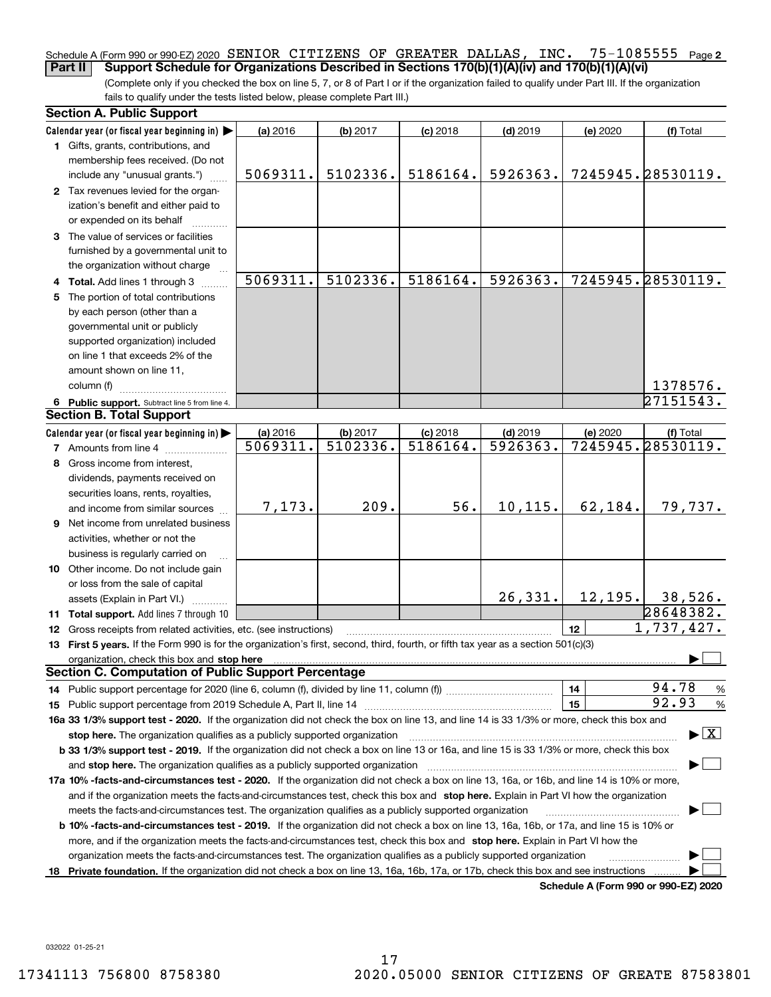#### 75-1085555 Page 2 Schedule A (Form 990 or 990-EZ) 2020 Page SENIOR CITIZENS OF GREATER DALLAS, INC. 75-1085555 **Part II Support Schedule for Organizations Described in Sections 170(b)(1)(A)(iv) and 170(b)(1)(A)(vi)**

(Complete only if you checked the box on line 5, 7, or 8 of Part I or if the organization failed to qualify under Part III. If the organization fails to qualify under the tests listed below, please complete Part III.)

| <b>Section A. Public Support</b>                                                                                                                                                                                               |          |          |            |            |          |                                          |
|--------------------------------------------------------------------------------------------------------------------------------------------------------------------------------------------------------------------------------|----------|----------|------------|------------|----------|------------------------------------------|
| Calendar year (or fiscal year beginning in)                                                                                                                                                                                    | (a) 2016 | (b) 2017 | $(c)$ 2018 | $(d)$ 2019 | (e) 2020 | (f) Total                                |
| 1 Gifts, grants, contributions, and                                                                                                                                                                                            |          |          |            |            |          |                                          |
| membership fees received. (Do not                                                                                                                                                                                              |          |          |            |            |          |                                          |
| include any "unusual grants.")                                                                                                                                                                                                 | 5069311. | 5102336. | 5186164.   | 5926363.   |          | 7245945.28530119.                        |
| 2 Tax revenues levied for the organ-                                                                                                                                                                                           |          |          |            |            |          |                                          |
| ization's benefit and either paid to                                                                                                                                                                                           |          |          |            |            |          |                                          |
| or expended on its behalf                                                                                                                                                                                                      |          |          |            |            |          |                                          |
| 3 The value of services or facilities                                                                                                                                                                                          |          |          |            |            |          |                                          |
| furnished by a governmental unit to                                                                                                                                                                                            |          |          |            |            |          |                                          |
| the organization without charge                                                                                                                                                                                                |          |          |            |            |          |                                          |
| 4 Total. Add lines 1 through 3                                                                                                                                                                                                 | 5069311. | 5102336. | 5186164.   | 5926363.   |          | 7245945.28530119.                        |
| 5 The portion of total contributions                                                                                                                                                                                           |          |          |            |            |          |                                          |
| by each person (other than a                                                                                                                                                                                                   |          |          |            |            |          |                                          |
| governmental unit or publicly                                                                                                                                                                                                  |          |          |            |            |          |                                          |
| supported organization) included                                                                                                                                                                                               |          |          |            |            |          |                                          |
| on line 1 that exceeds 2% of the                                                                                                                                                                                               |          |          |            |            |          |                                          |
| amount shown on line 11,                                                                                                                                                                                                       |          |          |            |            |          |                                          |
| column (f)                                                                                                                                                                                                                     |          |          |            |            |          | 1378576.                                 |
| 6 Public support. Subtract line 5 from line 4.                                                                                                                                                                                 |          |          |            |            |          | $\sqrt{27151543}$ .                      |
| <b>Section B. Total Support</b>                                                                                                                                                                                                |          |          |            |            |          |                                          |
| Calendar year (or fiscal year beginning in)                                                                                                                                                                                    | (a) 2016 | (b) 2017 | $(c)$ 2018 | $(d)$ 2019 | (e) 2020 | (f) Total                                |
| <b>7</b> Amounts from line 4                                                                                                                                                                                                   | 5069311. | 5102336. | 5186164.   | 5926363.   |          | 7245945.28530119.                        |
| 8 Gross income from interest,                                                                                                                                                                                                  |          |          |            |            |          |                                          |
| dividends, payments received on                                                                                                                                                                                                |          |          |            |            |          |                                          |
| securities loans, rents, royalties,                                                                                                                                                                                            |          |          |            |            |          |                                          |
| and income from similar sources                                                                                                                                                                                                | 7,173.   | 209.     | 56.        | 10,115.    | 62,184.  | 79,737.                                  |
| <b>9</b> Net income from unrelated business                                                                                                                                                                                    |          |          |            |            |          |                                          |
| activities, whether or not the                                                                                                                                                                                                 |          |          |            |            |          |                                          |
| business is regularly carried on                                                                                                                                                                                               |          |          |            |            |          |                                          |
| 10 Other income. Do not include gain                                                                                                                                                                                           |          |          |            |            |          |                                          |
| or loss from the sale of capital                                                                                                                                                                                               |          |          |            |            |          |                                          |
| assets (Explain in Part VI.)                                                                                                                                                                                                   |          |          |            | 26, 331.   | 12, 195. | 38,526.                                  |
| 11 Total support. Add lines 7 through 10                                                                                                                                                                                       |          |          |            |            |          | 28648382.                                |
| 12 Gross receipts from related activities, etc. (see instructions)                                                                                                                                                             |          |          |            |            | 12       | 1,737,427.                               |
| 13 First 5 years. If the Form 990 is for the organization's first, second, third, fourth, or fifth tax year as a section 501(c)(3)                                                                                             |          |          |            |            |          |                                          |
| organization, check this box and stop here manufactured and according to the state of the state of the state of the state of the state of the state of the state of the state of the state of the state of the state of the st |          |          |            |            |          |                                          |
| <b>Section C. Computation of Public Support Percentage</b>                                                                                                                                                                     |          |          |            |            |          |                                          |
|                                                                                                                                                                                                                                |          |          |            |            | 14       | 94.78<br>%                               |
|                                                                                                                                                                                                                                |          |          |            |            | 15       | 92.93<br>$\%$                            |
| 16a 33 1/3% support test - 2020. If the organization did not check the box on line 13, and line 14 is 33 1/3% or more, check this box and                                                                                      |          |          |            |            |          |                                          |
| stop here. The organization qualifies as a publicly supported organization                                                                                                                                                     |          |          |            |            |          | $\blacktriangleright$ $\boxed{\text{X}}$ |
| b 33 1/3% support test - 2019. If the organization did not check a box on line 13 or 16a, and line 15 is 33 1/3% or more, check this box                                                                                       |          |          |            |            |          |                                          |
| and stop here. The organization qualifies as a publicly supported organization                                                                                                                                                 |          |          |            |            |          |                                          |
| 17a 10% -facts-and-circumstances test - 2020. If the organization did not check a box on line 13, 16a, or 16b, and line 14 is 10% or more,                                                                                     |          |          |            |            |          |                                          |
| and if the organization meets the facts-and-circumstances test, check this box and stop here. Explain in Part VI how the organization                                                                                          |          |          |            |            |          |                                          |
| meets the facts-and-circumstances test. The organization qualifies as a publicly supported organization                                                                                                                        |          |          |            |            |          |                                          |
| <b>b 10% -facts-and-circumstances test - 2019.</b> If the organization did not check a box on line 13, 16a, 16b, or 17a, and line 15 is 10% or                                                                                 |          |          |            |            |          |                                          |
| more, and if the organization meets the facts-and-circumstances test, check this box and stop here. Explain in Part VI how the                                                                                                 |          |          |            |            |          |                                          |
| organization meets the facts-and-circumstances test. The organization qualifies as a publicly supported organization                                                                                                           |          |          |            |            |          |                                          |
| 18 Private foundation. If the organization did not check a box on line 13, 16a, 16b, 17a, or 17b, check this box and see instructions                                                                                          |          |          |            |            |          |                                          |
|                                                                                                                                                                                                                                |          |          |            |            |          | Schedule A (Form 990 or 990-EZ) 2020     |

**Schedule A (Form 990 or 990-EZ) 2020**

032022 01-25-21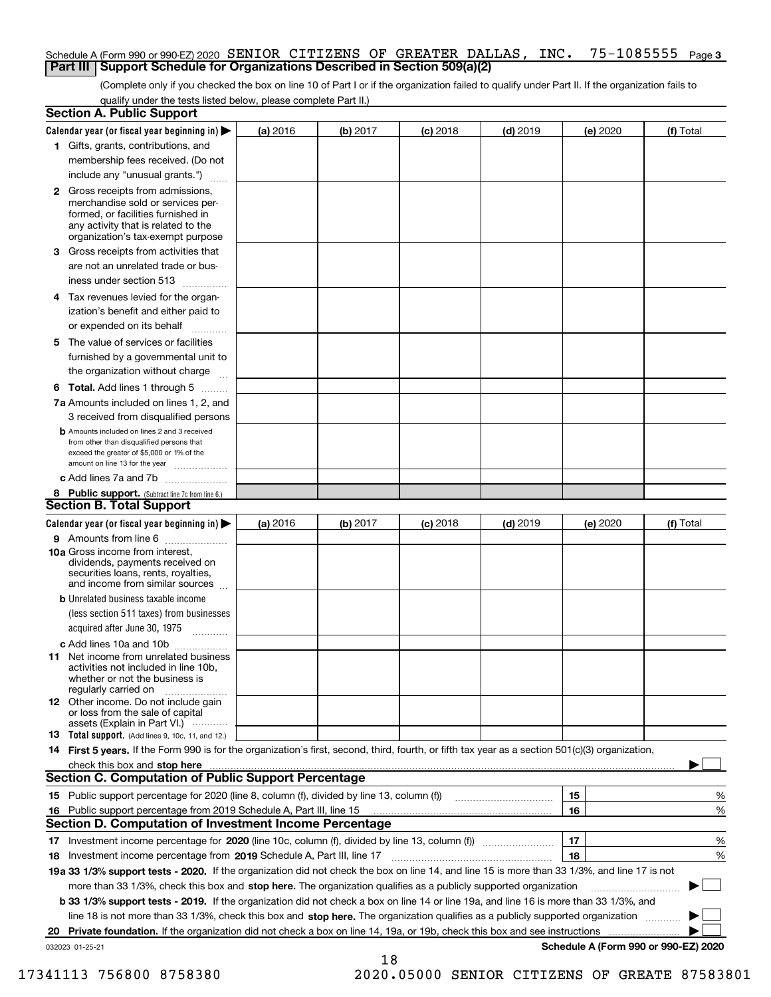### Schedule A (Form 990 or 990-EZ) 2020 SENIOR CITIZENS OF GREATER DALLAS, INC. 75-1085555 <sub>Page 3</sub> **Part III Support Schedule for Organizations Described in Section 509(a)(2)**

(Complete only if you checked the box on line 10 of Part I or if the organization failed to qualify under Part II. If the organization fails to qualify under the tests listed below, please complete Part II.)

|    | <b>Section A. Public Support</b>                                                                                                                                                         |          |          |            |            |          |                                      |
|----|------------------------------------------------------------------------------------------------------------------------------------------------------------------------------------------|----------|----------|------------|------------|----------|--------------------------------------|
|    | Calendar year (or fiscal year beginning in) $\blacktriangleright$                                                                                                                        | (a) 2016 | (b) 2017 | $(c)$ 2018 | $(d)$ 2019 | (e) 2020 | (f) Total                            |
|    | 1 Gifts, grants, contributions, and                                                                                                                                                      |          |          |            |            |          |                                      |
|    | membership fees received. (Do not                                                                                                                                                        |          |          |            |            |          |                                      |
|    | include any "unusual grants.")                                                                                                                                                           |          |          |            |            |          |                                      |
|    | 2 Gross receipts from admissions,<br>merchandise sold or services per-<br>formed, or facilities furnished in<br>any activity that is related to the<br>organization's tax-exempt purpose |          |          |            |            |          |                                      |
|    | 3 Gross receipts from activities that<br>are not an unrelated trade or bus-                                                                                                              |          |          |            |            |          |                                      |
|    | iness under section 513                                                                                                                                                                  |          |          |            |            |          |                                      |
|    | 4 Tax revenues levied for the organ-<br>ization's benefit and either paid to                                                                                                             |          |          |            |            |          |                                      |
|    | or expended on its behalf<br>.                                                                                                                                                           |          |          |            |            |          |                                      |
|    | 5 The value of services or facilities<br>furnished by a governmental unit to<br>the organization without charge                                                                          |          |          |            |            |          |                                      |
|    | <b>6 Total.</b> Add lines 1 through 5                                                                                                                                                    |          |          |            |            |          |                                      |
|    | 7a Amounts included on lines 1, 2, and<br>3 received from disqualified persons                                                                                                           |          |          |            |            |          |                                      |
|    | <b>b</b> Amounts included on lines 2 and 3 received<br>from other than disqualified persons that<br>exceed the greater of \$5,000 or 1% of the<br>amount on line 13 for the year         |          |          |            |            |          |                                      |
|    | c Add lines 7a and 7b                                                                                                                                                                    |          |          |            |            |          |                                      |
|    | 8 Public support. (Subtract line 7c from line 6.)                                                                                                                                        |          |          |            |            |          |                                      |
|    | <b>Section B. Total Support</b>                                                                                                                                                          |          |          |            |            |          |                                      |
|    | Calendar year (or fiscal year beginning in) $\blacktriangleright$                                                                                                                        | (a) 2016 | (b) 2017 | $(c)$ 2018 | $(d)$ 2019 | (e) 2020 | (f) Total                            |
|    | 9 Amounts from line 6                                                                                                                                                                    |          |          |            |            |          |                                      |
|    | 10a Gross income from interest,<br>dividends, payments received on<br>securities loans, rents, royalties,<br>and income from similar sources                                             |          |          |            |            |          |                                      |
|    | <b>b</b> Unrelated business taxable income                                                                                                                                               |          |          |            |            |          |                                      |
|    | (less section 511 taxes) from businesses                                                                                                                                                 |          |          |            |            |          |                                      |
|    | acquired after June 30, 1975                                                                                                                                                             |          |          |            |            |          |                                      |
|    | c Add lines 10a and 10b<br>11 Net income from unrelated business<br>activities not included in line 10b,<br>whether or not the business is<br>regularly carried on                       |          |          |            |            |          |                                      |
|    | <b>12</b> Other income. Do not include gain<br>or loss from the sale of capital<br>assets (Explain in Part VI.)                                                                          |          |          |            |            |          |                                      |
|    | <b>13</b> Total support. (Add lines 9, 10c, 11, and 12.)                                                                                                                                 |          |          |            |            |          |                                      |
|    | 14 First 5 years. If the Form 990 is for the organization's first, second, third, fourth, or fifth tax year as a section 501(c)(3) organization,                                         |          |          |            |            |          |                                      |
|    | check this box and stop here measurements are constructed as the state of the state of the state of the state o                                                                          |          |          |            |            |          |                                      |
|    | <b>Section C. Computation of Public Support Percentage</b>                                                                                                                               |          |          |            |            |          |                                      |
|    | 15 Public support percentage for 2020 (line 8, column (f), divided by line 13, column (f))                                                                                               |          |          |            |            | 15       | %                                    |
|    | 16 Public support percentage from 2019 Schedule A, Part III, line 15                                                                                                                     |          |          |            |            | 16       | %                                    |
|    | <b>Section D. Computation of Investment Income Percentage</b>                                                                                                                            |          |          |            |            |          |                                      |
|    | 17 Investment income percentage for 2020 (line 10c, column (f), divided by line 13, column (f))                                                                                          |          |          |            |            | 17       | %                                    |
|    | <b>18</b> Investment income percentage from <b>2019</b> Schedule A, Part III, line 17                                                                                                    |          |          |            |            | 18       | %                                    |
|    | 19a 33 1/3% support tests - 2020. If the organization did not check the box on line 14, and line 15 is more than 33 1/3%, and line 17 is not                                             |          |          |            |            |          |                                      |
|    | more than 33 1/3%, check this box and stop here. The organization qualifies as a publicly supported organization                                                                         |          |          |            |            |          | ▶                                    |
|    | b 33 1/3% support tests - 2019. If the organization did not check a box on line 14 or line 19a, and line 16 is more than 33 1/3%, and                                                    |          |          |            |            |          |                                      |
|    | line 18 is not more than 33 1/3%, check this box and stop here. The organization qualifies as a publicly supported organization                                                          |          |          |            |            |          |                                      |
| 20 | Private foundation. If the organization did not check a box on line 14, 19a, or 19b, check this box and see instructions                                                                 |          |          |            |            |          | Schedule A (Form 990 or 990-EZ) 2020 |
|    | 032023 01-25-21                                                                                                                                                                          |          |          |            |            |          |                                      |

18

17341113 756800 8758380 2020.05000 SENIOR CITIZENS OF GREATE 87583801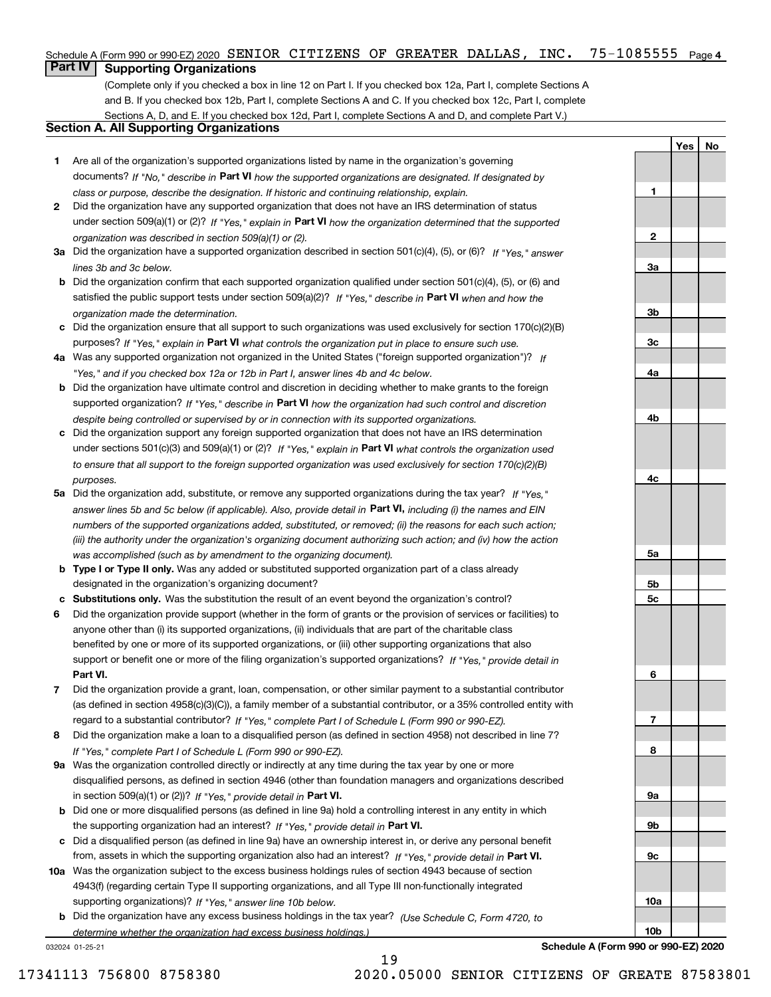#### $75 - 1085555$  Page 4 Schedule A (Form 990 or 990-EZ) 2020 Page SENIOR CITIZENS OF GREATER DALLAS, INC. 75-1085555

## **Part IV Supporting Organizations**

(Complete only if you checked a box in line 12 on Part I. If you checked box 12a, Part I, complete Sections A and B. If you checked box 12b, Part I, complete Sections A and C. If you checked box 12c, Part I, complete Sections A, D, and E. If you checked box 12d, Part I, complete Sections A and D, and complete Part V.)

## **Section A. All Supporting Organizations**

- **1** Are all of the organization's supported organizations listed by name in the organization's governing documents? If "No," describe in **Part VI** how the supported organizations are designated. If designated by *class or purpose, describe the designation. If historic and continuing relationship, explain.*
- **2** Did the organization have any supported organization that does not have an IRS determination of status under section 509(a)(1) or (2)? If "Yes," explain in Part VI how the organization determined that the supported *organization was described in section 509(a)(1) or (2).*
- **3a** Did the organization have a supported organization described in section 501(c)(4), (5), or (6)? If "Yes," answer *lines 3b and 3c below.*
- **b** Did the organization confirm that each supported organization qualified under section 501(c)(4), (5), or (6) and satisfied the public support tests under section 509(a)(2)? If "Yes," describe in **Part VI** when and how the *organization made the determination.*
- **c**Did the organization ensure that all support to such organizations was used exclusively for section 170(c)(2)(B) purposes? If "Yes," explain in **Part VI** what controls the organization put in place to ensure such use.
- **4a***If* Was any supported organization not organized in the United States ("foreign supported organization")? *"Yes," and if you checked box 12a or 12b in Part I, answer lines 4b and 4c below.*
- **b** Did the organization have ultimate control and discretion in deciding whether to make grants to the foreign supported organization? If "Yes," describe in **Part VI** how the organization had such control and discretion *despite being controlled or supervised by or in connection with its supported organizations.*
- **c** Did the organization support any foreign supported organization that does not have an IRS determination under sections 501(c)(3) and 509(a)(1) or (2)? If "Yes," explain in **Part VI** what controls the organization used *to ensure that all support to the foreign supported organization was used exclusively for section 170(c)(2)(B) purposes.*
- **5a** Did the organization add, substitute, or remove any supported organizations during the tax year? If "Yes," answer lines 5b and 5c below (if applicable). Also, provide detail in **Part VI,** including (i) the names and EIN *numbers of the supported organizations added, substituted, or removed; (ii) the reasons for each such action; (iii) the authority under the organization's organizing document authorizing such action; and (iv) how the action was accomplished (such as by amendment to the organizing document).*
- **b** Type I or Type II only. Was any added or substituted supported organization part of a class already designated in the organization's organizing document?
- **cSubstitutions only.**  Was the substitution the result of an event beyond the organization's control?
- **6** Did the organization provide support (whether in the form of grants or the provision of services or facilities) to **Part VI.** *If "Yes," provide detail in* support or benefit one or more of the filing organization's supported organizations? anyone other than (i) its supported organizations, (ii) individuals that are part of the charitable class benefited by one or more of its supported organizations, or (iii) other supporting organizations that also
- **7**Did the organization provide a grant, loan, compensation, or other similar payment to a substantial contributor *If "Yes," complete Part I of Schedule L (Form 990 or 990-EZ).* regard to a substantial contributor? (as defined in section 4958(c)(3)(C)), a family member of a substantial contributor, or a 35% controlled entity with
- **8** Did the organization make a loan to a disqualified person (as defined in section 4958) not described in line 7? *If "Yes," complete Part I of Schedule L (Form 990 or 990-EZ).*
- **9a** Was the organization controlled directly or indirectly at any time during the tax year by one or more in section 509(a)(1) or (2))? If "Yes," *provide detail in* <code>Part VI.</code> disqualified persons, as defined in section 4946 (other than foundation managers and organizations described
- **b** Did one or more disqualified persons (as defined in line 9a) hold a controlling interest in any entity in which the supporting organization had an interest? If "Yes," provide detail in P**art VI**.
- **c**Did a disqualified person (as defined in line 9a) have an ownership interest in, or derive any personal benefit from, assets in which the supporting organization also had an interest? If "Yes," provide detail in P**art VI.**
- **10a** Was the organization subject to the excess business holdings rules of section 4943 because of section supporting organizations)? If "Yes," answer line 10b below. 4943(f) (regarding certain Type II supporting organizations, and all Type III non-functionally integrated
- **b** Did the organization have any excess business holdings in the tax year? (Use Schedule C, Form 4720, to **Schedule A (Form 990 or 990-EZ) 2020** *determine whether the organization had excess business holdings.)*

19

032024 01-25-21

**YesNo**

**1**

**2**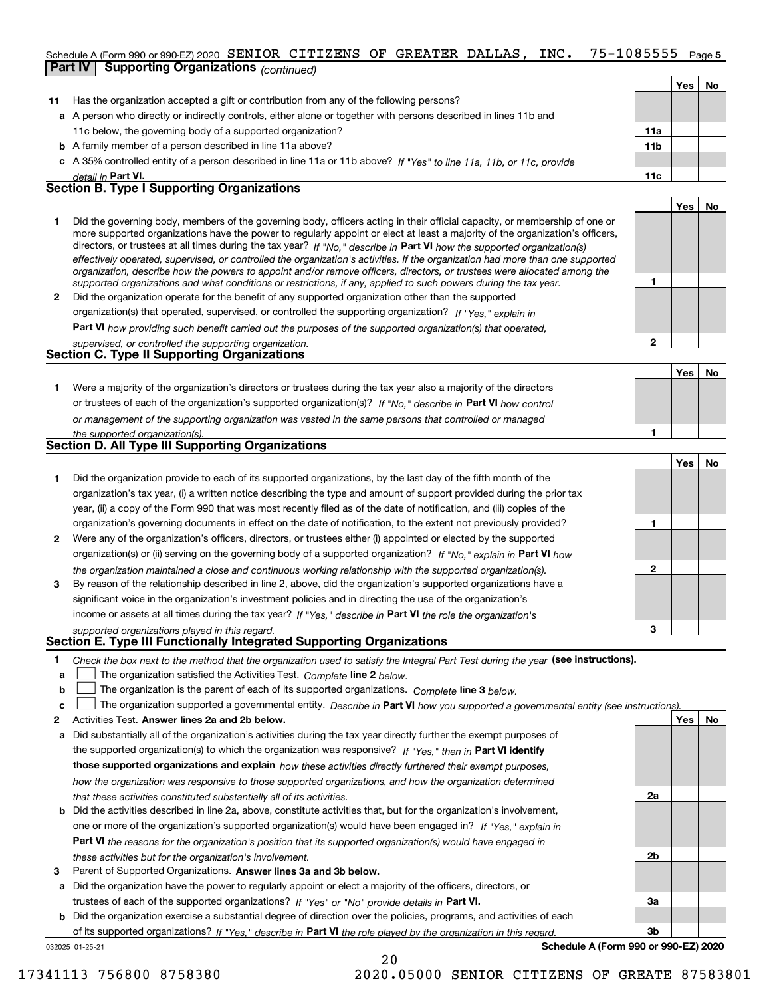#### 75-1085555 Page 5 Schedule A (Form 990 or 990-EZ) 2020 Page SENIOR CITIZENS OF GREATER DALLAS, INC. 75-1085555 **Part IV Supporting Organizations** *(continued)*

|    |                                                                                                                      |                 | Yes l | No. |
|----|----------------------------------------------------------------------------------------------------------------------|-----------------|-------|-----|
| 11 | Has the organization accepted a gift or contribution from any of the following persons?                              |                 |       |     |
|    | a A person who directly or indirectly controls, either alone or together with persons described in lines 11b and     |                 |       |     |
|    | 11c below, the governing body of a supported organization?                                                           | 11a             |       |     |
|    | <b>b</b> A family member of a person described in line 11a above?                                                    | 11 <sub>b</sub> |       |     |
|    | c A 35% controlled entity of a person described in line 11a or 11b above? If "Yes" to line 11a, 11b, or 11c, provide |                 |       |     |
|    | detail in Part VI.                                                                                                   | 11c             |       |     |
|    | <b>Section B. Type I Supporting Organizations</b>                                                                    |                 |       |     |
|    |                                                                                                                      |                 | Yes   |     |
|    |                                                                                                                      |                 |       |     |

|   | Did the governing body, members of the governing body, officers acting in their official capacity, or membership of one or<br>more supported organizations have the power to regularly appoint or elect at least a majority of the organization's officers,<br>directors, or trustees at all times during the tax year? If "No," describe in Part VI how the supported organization(s)<br>effectively operated, supervised, or controlled the organization's activities. If the organization had more than one supported<br>organization, describe how the powers to appoint and/or remove officers, directors, or trustees were allocated among the |  |
|---|------------------------------------------------------------------------------------------------------------------------------------------------------------------------------------------------------------------------------------------------------------------------------------------------------------------------------------------------------------------------------------------------------------------------------------------------------------------------------------------------------------------------------------------------------------------------------------------------------------------------------------------------------|--|
|   | supported organizations and what conditions or restrictions, if any, applied to such powers during the tax year.                                                                                                                                                                                                                                                                                                                                                                                                                                                                                                                                     |  |
| 2 | Did the organization operate for the benefit of any supported organization other than the supported                                                                                                                                                                                                                                                                                                                                                                                                                                                                                                                                                  |  |
|   | organization(s) that operated, supervised, or controlled the supporting organization? If "Yes," explain in                                                                                                                                                                                                                                                                                                                                                                                                                                                                                                                                           |  |

**Part VI**  *how providing such benefit carried out the purposes of the supported organization(s) that operated,*

| supervised, or controlled the supporting organization. |  |
|--------------------------------------------------------|--|
| <b>Section C. Type II Supporting Organizations</b>     |  |
|                                                        |  |

**1**or trustees of each of the organization's supported organization(s)? If "No," describe in **Part VI** how control **1***or management of the supporting organization was vested in the same persons that controlled or managed the supported organization(s).* Were a majority of the organization's directors or trustees during the tax year also a majority of the directors

| Section D. All Type III Supporting Organizations |  |
|--------------------------------------------------|--|
|                                                  |  |
|                                                  |  |

|              |                                                                                                                        |   | Yes   No |  |
|--------------|------------------------------------------------------------------------------------------------------------------------|---|----------|--|
|              | Did the organization provide to each of its supported organizations, by the last day of the fifth month of the         |   |          |  |
|              | organization's tax year, (i) a written notice describing the type and amount of support provided during the prior tax  |   |          |  |
|              | year, (ii) a copy of the Form 990 that was most recently filed as of the date of notification, and (iii) copies of the |   |          |  |
|              | organization's governing documents in effect on the date of notification, to the extent not previously provided?       |   |          |  |
| $\mathbf{2}$ | Were any of the organization's officers, directors, or trustees either (i) appointed or elected by the supported       |   |          |  |
|              | organization(s) or (ii) serving on the governing body of a supported organization? If "No," explain in Part VI how     |   |          |  |
|              | the organization maintained a close and continuous working relationship with the supported organization(s).            | 2 |          |  |
| 3            | By reason of the relationship described in line 2, above, did the organization's supported organizations have a        |   |          |  |
|              | significant voice in the organization's investment policies and in directing the use of the organization's             |   |          |  |
|              | income or assets at all times during the tax year? If "Yes," describe in Part VI the role the organization's           |   |          |  |
|              | supported organizations played in this regard                                                                          |   |          |  |

# *supported organizations played in this regard.* **Section E. Type III Functionally Integrated Supporting Organizations**

| Check the box next to the method that the organization used to satisfy the Integral Part Test during the year (see instructions). |  |
|-----------------------------------------------------------------------------------------------------------------------------------|--|
|                                                                                                                                   |  |

- **a**The organization satisfied the Activities Test. *Complete* line 2 below.  $\mathcal{L}^{\text{max}}$
- **bThe organization is the parent of each of its supported organizations. Complete line 3 below.**

|  |  | <b>c</b> $\Box$ The organization supported a governmental entity. Describe in Part VI how you supported a governmental entity (see instructions). |  |
|--|--|---------------------------------------------------------------------------------------------------------------------------------------------------|--|
|--|--|---------------------------------------------------------------------------------------------------------------------------------------------------|--|

20

- **2Answer lines 2a and 2b below. Yes No** Activities Test.
- **a** Did substantially all of the organization's activities during the tax year directly further the exempt purposes of the supported organization(s) to which the organization was responsive? If "Yes," then in **Part VI identify those supported organizations and explain**  *how these activities directly furthered their exempt purposes, how the organization was responsive to those supported organizations, and how the organization determined that these activities constituted substantially all of its activities.*
- **b** Did the activities described in line 2a, above, constitute activities that, but for the organization's involvement, **Part VI**  *the reasons for the organization's position that its supported organization(s) would have engaged in* one or more of the organization's supported organization(s) would have been engaged in? If "Yes," e*xplain in these activities but for the organization's involvement.*
- **3** Parent of Supported Organizations. Answer lines 3a and 3b below.

**a** Did the organization have the power to regularly appoint or elect a majority of the officers, directors, or trustees of each of the supported organizations? If "Yes" or "No" provide details in **Part VI.** 

032025 01-25-21 **b** Did the organization exercise a substantial degree of direction over the policies, programs, and activities of each of its supported organizations? If "Yes," describe in Part VI the role played by the organization in this regard.

**Schedule A (Form 990 or 990-EZ) 2020**

**2a**

**2b**

**3a**

**3b**

**2**

**YesNo**

17341113 756800 8758380 2020.05000 SENIOR CITIZENS OF GREATE 87583801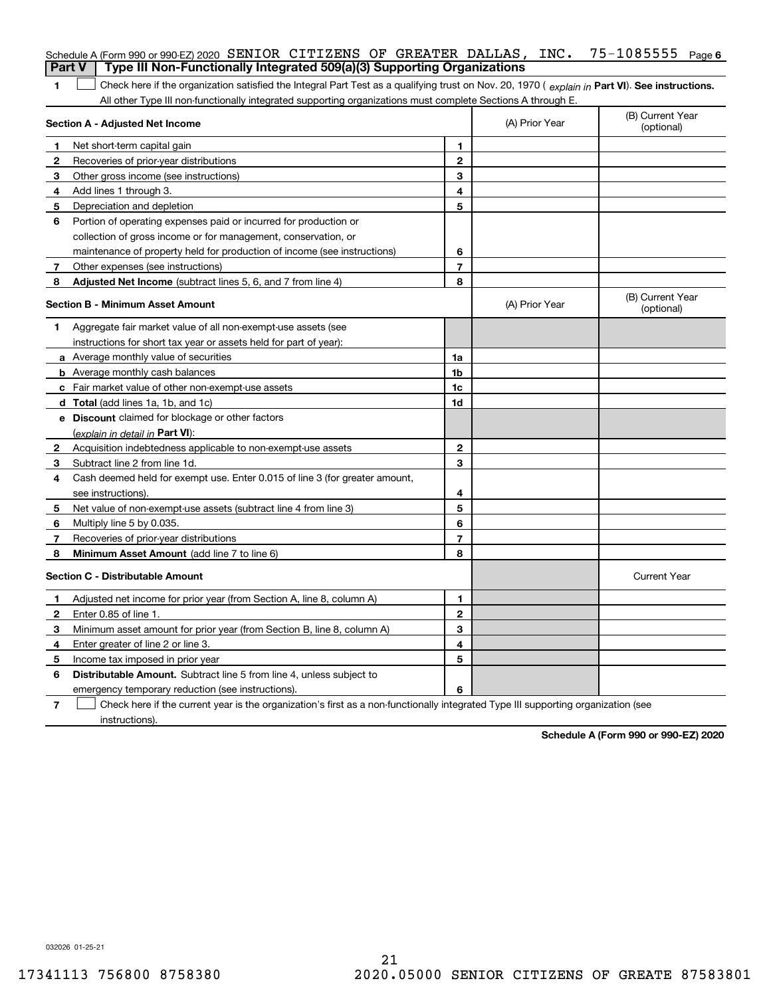|               | Schedule A (Form 990 or 990-EZ) 2020 SENIOR CITIZENS OF GREATER DALLAS, INC.<br>Type III Non-Functionally Integrated 509(a)(3) Supporting Organizations                                                                                                       |                |                                | 75-1085555<br>Page 6           |
|---------------|---------------------------------------------------------------------------------------------------------------------------------------------------------------------------------------------------------------------------------------------------------------|----------------|--------------------------------|--------------------------------|
| <b>Part V</b> |                                                                                                                                                                                                                                                               |                |                                |                                |
| 1             | Check here if the organization satisfied the Integral Part Test as a qualifying trust on Nov. 20, 1970 (explain in Part VI). See instructions.<br>All other Type III non-functionally integrated supporting organizations must complete Sections A through E. |                |                                |                                |
|               | Section A - Adjusted Net Income                                                                                                                                                                                                                               |                | (A) Prior Year                 | (B) Current Year<br>(optional) |
| 1             | Net short-term capital gain                                                                                                                                                                                                                                   | 1.             |                                |                                |
| 2             | Recoveries of prior-year distributions                                                                                                                                                                                                                        | $\mathbf{2}$   |                                |                                |
| 3             | Other gross income (see instructions)                                                                                                                                                                                                                         | 3              |                                |                                |
| 4             | Add lines 1 through 3.                                                                                                                                                                                                                                        | 4              |                                |                                |
| 5             | Depreciation and depletion                                                                                                                                                                                                                                    | 5              |                                |                                |
| 6             | Portion of operating expenses paid or incurred for production or                                                                                                                                                                                              |                |                                |                                |
|               | collection of gross income or for management, conservation, or                                                                                                                                                                                                |                |                                |                                |
|               | maintenance of property held for production of income (see instructions)                                                                                                                                                                                      | 6              |                                |                                |
| 7             | Other expenses (see instructions)                                                                                                                                                                                                                             | $\overline{7}$ |                                |                                |
| 8             | Adjusted Net Income (subtract lines 5, 6, and 7 from line 4)                                                                                                                                                                                                  | 8              |                                |                                |
|               | <b>Section B - Minimum Asset Amount</b>                                                                                                                                                                                                                       | (A) Prior Year | (B) Current Year<br>(optional) |                                |
| 1             | Aggregate fair market value of all non-exempt-use assets (see                                                                                                                                                                                                 |                |                                |                                |
|               | instructions for short tax year or assets held for part of year):                                                                                                                                                                                             |                |                                |                                |
|               | <b>a</b> Average monthly value of securities                                                                                                                                                                                                                  | 1a             |                                |                                |
|               | <b>b</b> Average monthly cash balances                                                                                                                                                                                                                        | 1b             |                                |                                |
|               | c Fair market value of other non-exempt-use assets                                                                                                                                                                                                            | 1c             |                                |                                |
|               | d Total (add lines 1a, 1b, and 1c)                                                                                                                                                                                                                            | 1d             |                                |                                |
|               | e Discount claimed for blockage or other factors                                                                                                                                                                                                              |                |                                |                                |
|               | (explain in detail in Part VI):                                                                                                                                                                                                                               |                |                                |                                |
| 2             | Acquisition indebtedness applicable to non-exempt-use assets                                                                                                                                                                                                  | $\mathbf{2}$   |                                |                                |
| 3             | Subtract line 2 from line 1d.                                                                                                                                                                                                                                 | 3              |                                |                                |
| 4             | Cash deemed held for exempt use. Enter 0.015 of line 3 (for greater amount,                                                                                                                                                                                   |                |                                |                                |
|               | see instructions).                                                                                                                                                                                                                                            | 4              |                                |                                |
| 5             | Net value of non-exempt-use assets (subtract line 4 from line 3)                                                                                                                                                                                              | 5              |                                |                                |
| 6             | Multiply line 5 by 0.035.                                                                                                                                                                                                                                     | 6              |                                |                                |
| 7             | Recoveries of prior-year distributions                                                                                                                                                                                                                        | $\overline{7}$ |                                |                                |
| 8             | Minimum Asset Amount (add line 7 to line 6)                                                                                                                                                                                                                   | 8              |                                |                                |
|               | <b>Section C - Distributable Amount</b>                                                                                                                                                                                                                       |                |                                | <b>Current Year</b>            |
|               | Adjusted net income for prior year (from Section A, line 8, column A)                                                                                                                                                                                         | 1              |                                |                                |
|               | Enter 0.85 of line 1.                                                                                                                                                                                                                                         | 2              |                                |                                |
| 3             | Minimum asset amount for prior year (from Section B, line 8, column A)                                                                                                                                                                                        | 3              |                                |                                |
| 4             | Enter greater of line 2 or line 3.                                                                                                                                                                                                                            | 4              |                                |                                |
| 5             | Income tax imposed in prior year                                                                                                                                                                                                                              | 5              |                                |                                |
| 6             | <b>Distributable Amount.</b> Subtract line 5 from line 4, unless subject to                                                                                                                                                                                   |                |                                |                                |
|               | emergency temporary reduction (see instructions).                                                                                                                                                                                                             | 6              |                                |                                |
| 7             | Check here if the current year is the organization's first as a non-functionally integrated Type III supporting organization (see                                                                                                                             |                |                                |                                |

instructions).

**Schedule A (Form 990 or 990-EZ) 2020**

032026 01-25-21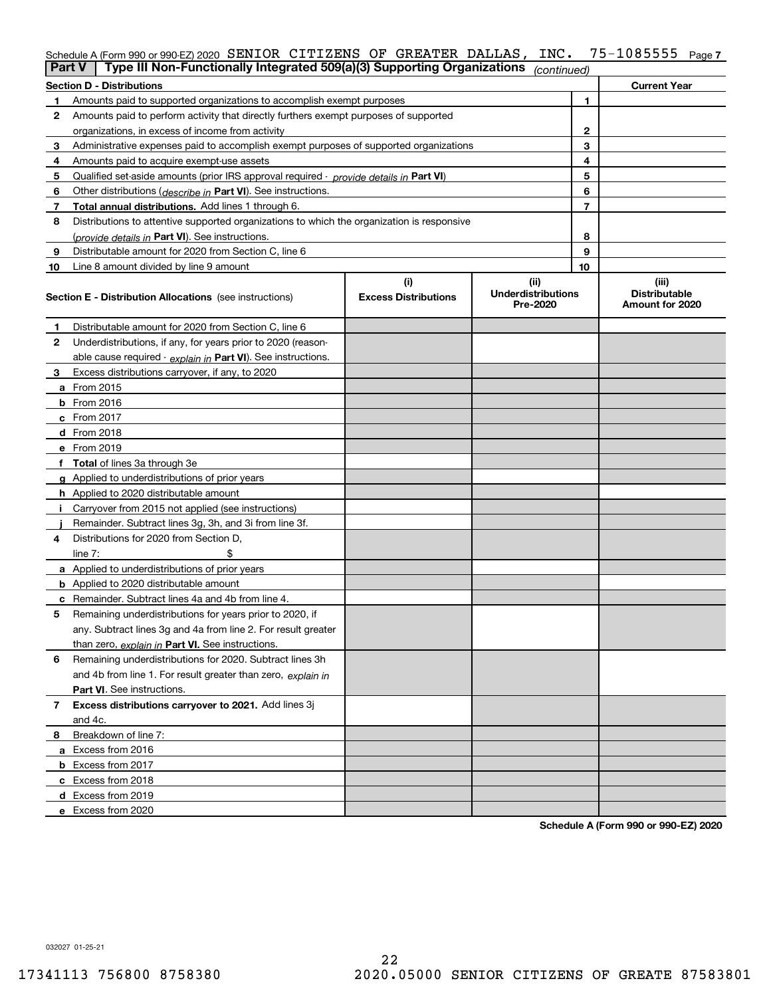| ∣ Part V | Type III Non-Functionally Integrated 509(a)(3) Supporting Organizations                    |                             | (continued)                           |    |                                         |
|----------|--------------------------------------------------------------------------------------------|-----------------------------|---------------------------------------|----|-----------------------------------------|
|          | Section D - Distributions                                                                  |                             |                                       |    | <b>Current Year</b>                     |
| 1        | Amounts paid to supported organizations to accomplish exempt purposes                      |                             | 1                                     |    |                                         |
| 2        | Amounts paid to perform activity that directly furthers exempt purposes of supported       |                             |                                       |    |                                         |
|          | organizations, in excess of income from activity                                           |                             | $\mathbf{2}$                          |    |                                         |
| 3        | Administrative expenses paid to accomplish exempt purposes of supported organizations      |                             | 3                                     |    |                                         |
| 4        | Amounts paid to acquire exempt-use assets                                                  |                             |                                       | 4  |                                         |
| 5        | Qualified set aside amounts (prior IRS approval required - provide details in Part VI)     |                             |                                       | 5  |                                         |
| 6        | Other distributions ( <i>describe in</i> Part VI). See instructions.                       |                             |                                       | 6  |                                         |
| 7        | Total annual distributions. Add lines 1 through 6.                                         |                             |                                       | 7  |                                         |
| 8        | Distributions to attentive supported organizations to which the organization is responsive |                             |                                       |    |                                         |
|          | (provide details in Part VI). See instructions.                                            |                             |                                       | 8  |                                         |
| 9        | Distributable amount for 2020 from Section C, line 6                                       |                             |                                       | 9  |                                         |
| 10       | Line 8 amount divided by line 9 amount                                                     |                             |                                       | 10 |                                         |
|          |                                                                                            | (i)                         | (ii)                                  |    | (iii)                                   |
|          | <b>Section E - Distribution Allocations</b> (see instructions)                             | <b>Excess Distributions</b> | <b>Underdistributions</b><br>Pre-2020 |    | <b>Distributable</b><br>Amount for 2020 |
| 1        | Distributable amount for 2020 from Section C, line 6                                       |                             |                                       |    |                                         |
| 2        | Underdistributions, if any, for years prior to 2020 (reason-                               |                             |                                       |    |                                         |
|          | able cause required - explain in Part VI). See instructions.                               |                             |                                       |    |                                         |
| 3        | Excess distributions carryover, if any, to 2020                                            |                             |                                       |    |                                         |
|          | <b>a</b> From 2015                                                                         |                             |                                       |    |                                         |
|          | <b>b</b> From 2016                                                                         |                             |                                       |    |                                         |
|          | <b>c</b> From 2017                                                                         |                             |                                       |    |                                         |
|          | d From 2018                                                                                |                             |                                       |    |                                         |
|          | e From 2019                                                                                |                             |                                       |    |                                         |
|          | f Total of lines 3a through 3e                                                             |                             |                                       |    |                                         |
|          | g Applied to underdistributions of prior years                                             |                             |                                       |    |                                         |
|          | <b>h</b> Applied to 2020 distributable amount                                              |                             |                                       |    |                                         |
|          | Carryover from 2015 not applied (see instructions)                                         |                             |                                       |    |                                         |
|          | Remainder. Subtract lines 3g, 3h, and 3i from line 3f.                                     |                             |                                       |    |                                         |
| 4        | Distributions for 2020 from Section D,                                                     |                             |                                       |    |                                         |
|          | line $7:$                                                                                  |                             |                                       |    |                                         |
|          | a Applied to underdistributions of prior years                                             |                             |                                       |    |                                         |
|          | <b>b</b> Applied to 2020 distributable amount                                              |                             |                                       |    |                                         |
|          | c Remainder. Subtract lines 4a and 4b from line 4.                                         |                             |                                       |    |                                         |
| 5        | Remaining underdistributions for years prior to 2020, if                                   |                             |                                       |    |                                         |
|          | any. Subtract lines 3g and 4a from line 2. For result greater                              |                             |                                       |    |                                         |
|          | than zero, explain in Part VI. See instructions.                                           |                             |                                       |    |                                         |
| 6        | Remaining underdistributions for 2020. Subtract lines 3h                                   |                             |                                       |    |                                         |
|          | and 4b from line 1. For result greater than zero, explain in                               |                             |                                       |    |                                         |
|          | Part VI. See instructions.                                                                 |                             |                                       |    |                                         |
| 7        | Excess distributions carryover to 2021. Add lines 3j                                       |                             |                                       |    |                                         |
|          | and 4c.                                                                                    |                             |                                       |    |                                         |
| 8        | Breakdown of line 7:                                                                       |                             |                                       |    |                                         |
|          | a Excess from 2016                                                                         |                             |                                       |    |                                         |
|          | <b>b</b> Excess from 2017                                                                  |                             |                                       |    |                                         |
|          |                                                                                            |                             |                                       |    |                                         |
|          | c Excess from 2018                                                                         |                             |                                       |    |                                         |
|          | d Excess from 2019                                                                         |                             |                                       |    |                                         |
|          | e Excess from 2020                                                                         |                             |                                       |    |                                         |

**Schedule A (Form 990 or 990-EZ) 2020**

032027 01-25-21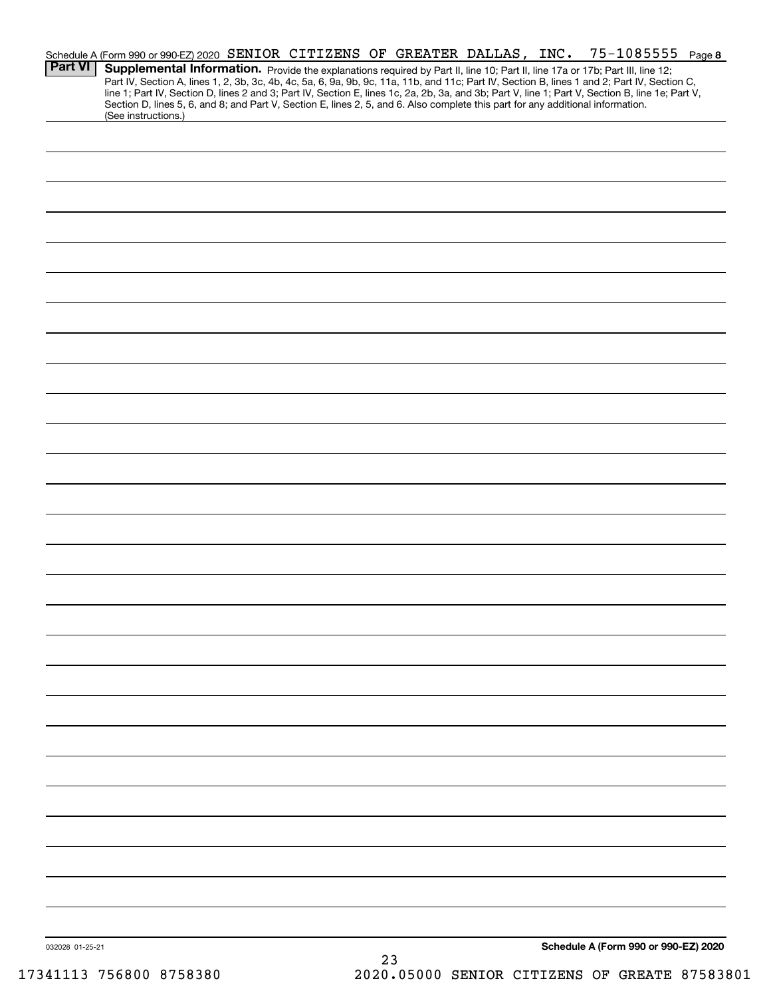| <b>Part VI</b>  | Schedule A (Form 990 or 990-EZ) 2020 SENIOR CITIZENS OF GREATER DALLAS, INC.<br>Supplemental Information. Provide the explanations required by Part II, line 10; Part II, line 17a or 17b; Part III, line 12;<br>Part IV, Section A, lines 1, 2, 3b, 3c, 4b, 4c, 5a, 6, 9a, 9b, 9c, 11a, 11b, and 11c; Part IV, Section B, lines 1 and 2; Part IV, Section C,<br>line 1; Part IV, Section D, lines 2 and 3; Part IV, Section E, lines 1c, 2a, 2b, 3a, and 3b; Part V, line 1; Part V, Section B, line 1e; Part V,<br>Section D, lines 5, 6, and 8; and Part V, Section E, lines 2, 5, and 6. Also complete this part for any additional information. |  |  |    |  |  |  | 75-1085555 Page 8                    |  |
|-----------------|------------------------------------------------------------------------------------------------------------------------------------------------------------------------------------------------------------------------------------------------------------------------------------------------------------------------------------------------------------------------------------------------------------------------------------------------------------------------------------------------------------------------------------------------------------------------------------------------------------------------------------------------------|--|--|----|--|--|--|--------------------------------------|--|
|                 | (See instructions.)                                                                                                                                                                                                                                                                                                                                                                                                                                                                                                                                                                                                                                  |  |  |    |  |  |  |                                      |  |
|                 |                                                                                                                                                                                                                                                                                                                                                                                                                                                                                                                                                                                                                                                      |  |  |    |  |  |  |                                      |  |
|                 |                                                                                                                                                                                                                                                                                                                                                                                                                                                                                                                                                                                                                                                      |  |  |    |  |  |  |                                      |  |
|                 |                                                                                                                                                                                                                                                                                                                                                                                                                                                                                                                                                                                                                                                      |  |  |    |  |  |  |                                      |  |
|                 |                                                                                                                                                                                                                                                                                                                                                                                                                                                                                                                                                                                                                                                      |  |  |    |  |  |  |                                      |  |
|                 |                                                                                                                                                                                                                                                                                                                                                                                                                                                                                                                                                                                                                                                      |  |  |    |  |  |  |                                      |  |
|                 |                                                                                                                                                                                                                                                                                                                                                                                                                                                                                                                                                                                                                                                      |  |  |    |  |  |  |                                      |  |
|                 |                                                                                                                                                                                                                                                                                                                                                                                                                                                                                                                                                                                                                                                      |  |  |    |  |  |  |                                      |  |
|                 |                                                                                                                                                                                                                                                                                                                                                                                                                                                                                                                                                                                                                                                      |  |  |    |  |  |  |                                      |  |
|                 |                                                                                                                                                                                                                                                                                                                                                                                                                                                                                                                                                                                                                                                      |  |  |    |  |  |  |                                      |  |
|                 |                                                                                                                                                                                                                                                                                                                                                                                                                                                                                                                                                                                                                                                      |  |  |    |  |  |  |                                      |  |
|                 |                                                                                                                                                                                                                                                                                                                                                                                                                                                                                                                                                                                                                                                      |  |  |    |  |  |  |                                      |  |
|                 |                                                                                                                                                                                                                                                                                                                                                                                                                                                                                                                                                                                                                                                      |  |  |    |  |  |  |                                      |  |
|                 |                                                                                                                                                                                                                                                                                                                                                                                                                                                                                                                                                                                                                                                      |  |  |    |  |  |  |                                      |  |
|                 |                                                                                                                                                                                                                                                                                                                                                                                                                                                                                                                                                                                                                                                      |  |  |    |  |  |  |                                      |  |
|                 |                                                                                                                                                                                                                                                                                                                                                                                                                                                                                                                                                                                                                                                      |  |  |    |  |  |  |                                      |  |
|                 |                                                                                                                                                                                                                                                                                                                                                                                                                                                                                                                                                                                                                                                      |  |  |    |  |  |  |                                      |  |
|                 |                                                                                                                                                                                                                                                                                                                                                                                                                                                                                                                                                                                                                                                      |  |  |    |  |  |  |                                      |  |
|                 |                                                                                                                                                                                                                                                                                                                                                                                                                                                                                                                                                                                                                                                      |  |  |    |  |  |  |                                      |  |
|                 |                                                                                                                                                                                                                                                                                                                                                                                                                                                                                                                                                                                                                                                      |  |  |    |  |  |  |                                      |  |
|                 |                                                                                                                                                                                                                                                                                                                                                                                                                                                                                                                                                                                                                                                      |  |  |    |  |  |  |                                      |  |
|                 |                                                                                                                                                                                                                                                                                                                                                                                                                                                                                                                                                                                                                                                      |  |  |    |  |  |  |                                      |  |
|                 |                                                                                                                                                                                                                                                                                                                                                                                                                                                                                                                                                                                                                                                      |  |  |    |  |  |  |                                      |  |
|                 |                                                                                                                                                                                                                                                                                                                                                                                                                                                                                                                                                                                                                                                      |  |  |    |  |  |  |                                      |  |
|                 |                                                                                                                                                                                                                                                                                                                                                                                                                                                                                                                                                                                                                                                      |  |  |    |  |  |  |                                      |  |
|                 |                                                                                                                                                                                                                                                                                                                                                                                                                                                                                                                                                                                                                                                      |  |  |    |  |  |  |                                      |  |
| 032028 01-25-21 |                                                                                                                                                                                                                                                                                                                                                                                                                                                                                                                                                                                                                                                      |  |  | ົາ |  |  |  | Schedule A (Form 990 or 990-EZ) 2020 |  |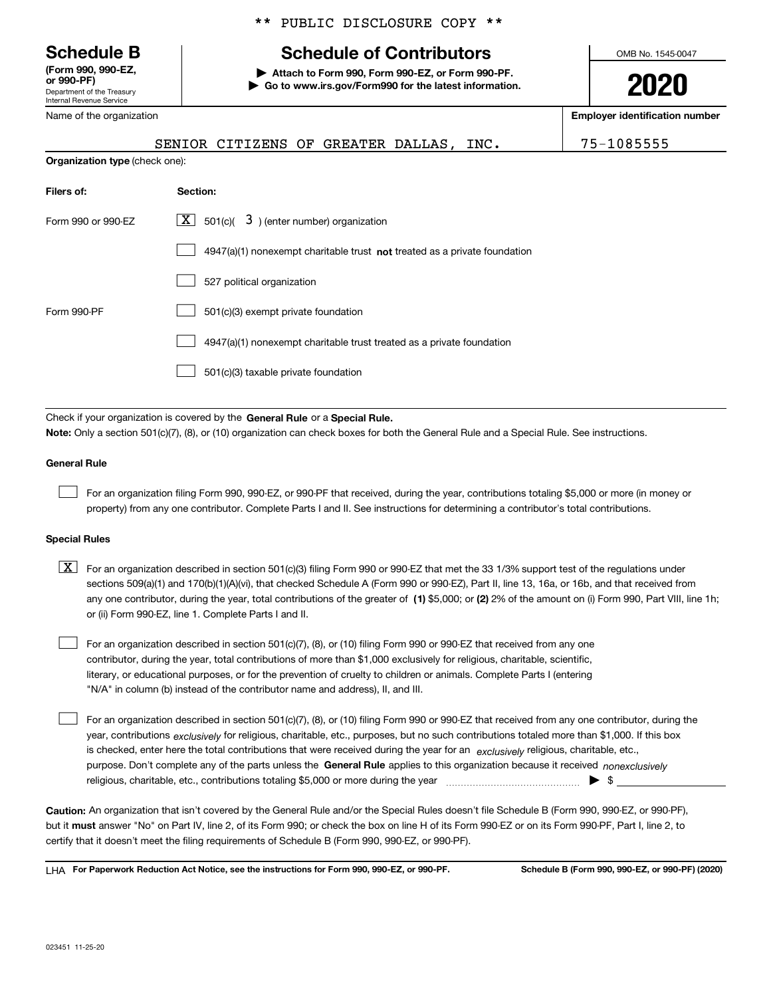Department of the Treasury Internal Revenue Service **(Form 990, 990-EZ, or 990-PF)**

Name of the organization

**Organization type** (check one):

## \*\* PUBLIC DISCLOSURE COPY \*\*

## **Schedule B Schedule of Contributors**

**| Attach to Form 990, Form 990-EZ, or Form 990-PF. | Go to www.irs.gov/Form990 for the latest information.** OMB No. 1545-0047

**2020**

**Employer identification number**

| SENIOR CITIZENS OF GREATER DALLAS, I |  | INC. | 75-1085555 |
|--------------------------------------|--|------|------------|
|                                      |  |      |            |

| Filers of:         | Section:                                                                    |
|--------------------|-----------------------------------------------------------------------------|
| Form 990 or 990-EZ | $\lfloor \mathbf{X} \rfloor$ 501(c)( 3) (enter number) organization         |
|                    | $4947(a)(1)$ nonexempt charitable trust not treated as a private foundation |
|                    | 527 political organization                                                  |
| Form 990-PF        | 501(c)(3) exempt private foundation                                         |
|                    | 4947(a)(1) nonexempt charitable trust treated as a private foundation       |
|                    | 501(c)(3) taxable private foundation                                        |

Check if your organization is covered by the **General Rule** or a **Special Rule. Note:**  Only a section 501(c)(7), (8), or (10) organization can check boxes for both the General Rule and a Special Rule. See instructions.

#### **General Rule**

 $\mathcal{L}^{\text{max}}$ 

For an organization filing Form 990, 990-EZ, or 990-PF that received, during the year, contributions totaling \$5,000 or more (in money or property) from any one contributor. Complete Parts I and II. See instructions for determining a contributor's total contributions.

#### **Special Rules**

any one contributor, during the year, total contributions of the greater of  $\,$  (1) \$5,000; or **(2)** 2% of the amount on (i) Form 990, Part VIII, line 1h;  $\boxed{\textbf{X}}$  For an organization described in section 501(c)(3) filing Form 990 or 990-EZ that met the 33 1/3% support test of the regulations under sections 509(a)(1) and 170(b)(1)(A)(vi), that checked Schedule A (Form 990 or 990-EZ), Part II, line 13, 16a, or 16b, and that received from or (ii) Form 990-EZ, line 1. Complete Parts I and II.

For an organization described in section 501(c)(7), (8), or (10) filing Form 990 or 990-EZ that received from any one contributor, during the year, total contributions of more than \$1,000 exclusively for religious, charitable, scientific, literary, or educational purposes, or for the prevention of cruelty to children or animals. Complete Parts I (entering "N/A" in column (b) instead of the contributor name and address), II, and III.  $\mathcal{L}^{\text{max}}$ 

purpose. Don't complete any of the parts unless the **General Rule** applies to this organization because it received *nonexclusively* year, contributions <sub>exclusively</sub> for religious, charitable, etc., purposes, but no such contributions totaled more than \$1,000. If this box is checked, enter here the total contributions that were received during the year for an  $\;$ exclusively religious, charitable, etc., For an organization described in section 501(c)(7), (8), or (10) filing Form 990 or 990-EZ that received from any one contributor, during the religious, charitable, etc., contributions totaling \$5,000 or more during the year  $\Box$ — $\Box$   $\Box$  $\mathcal{L}^{\text{max}}$ 

**Caution:**  An organization that isn't covered by the General Rule and/or the Special Rules doesn't file Schedule B (Form 990, 990-EZ, or 990-PF),  **must** but it answer "No" on Part IV, line 2, of its Form 990; or check the box on line H of its Form 990-EZ or on its Form 990-PF, Part I, line 2, to certify that it doesn't meet the filing requirements of Schedule B (Form 990, 990-EZ, or 990-PF).

**For Paperwork Reduction Act Notice, see the instructions for Form 990, 990-EZ, or 990-PF. Schedule B (Form 990, 990-EZ, or 990-PF) (2020)** LHA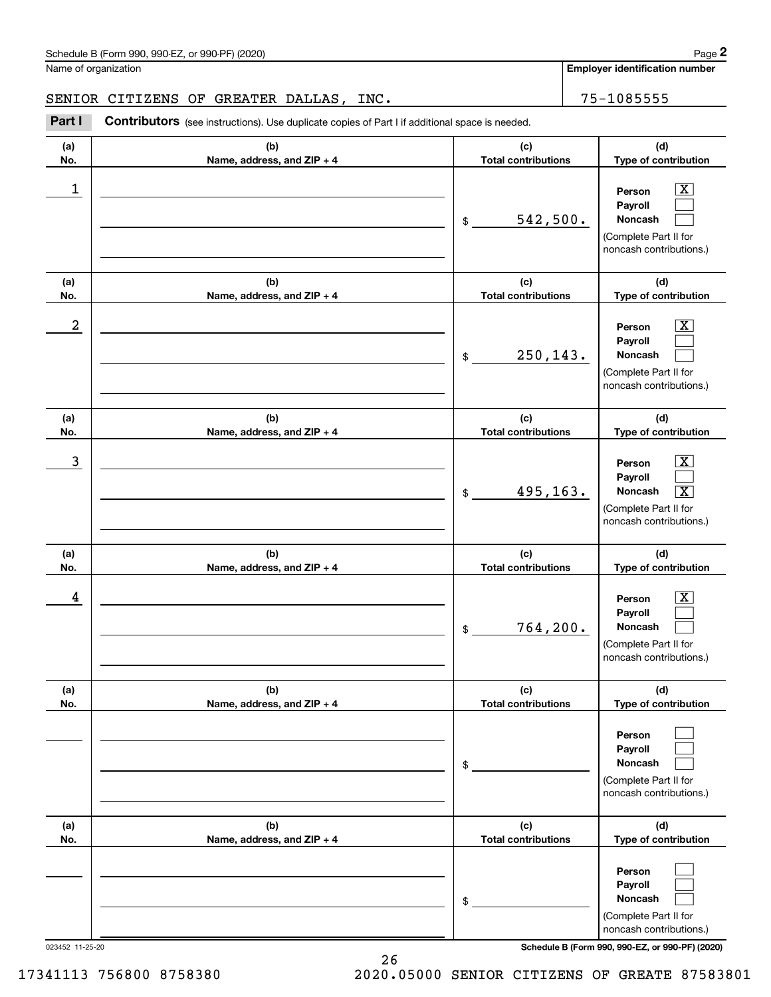Name of organization

**Employer identification number**

### SENIOR CITIZENS OF GREATER DALLAS, INC. THE RESOLUTION RESOLUTION AND RESOLUTION OF STATISTICS.

**(a)No.(b)Name, address, and ZIP + 4 (c)Total contributions (d)Type of contribution PersonPayrollNoncash (a)No.(b)Name, address, and ZIP + 4 (c)Total contributions (d)Type of contribution PersonPayrollNoncash (a)No.(b)Name, address, and ZIP + 4 (c)Total contributions (d)Type of contribution PersonPayrollNoncash (a) No.(b) Name, address, and ZIP + 4 (c) Total contributions (d) Type of contribution PersonPayrollNoncash (a) No.(b) Name, address, and ZIP + 4 (c) Total contributions (d) Type of contribution PersonPayrollNoncash(a) No.(b)Name, address, and ZIP + 4 (c) Total contributions (d)Type of contribution PersonPayrollNoncash** Contributors (see instructions). Use duplicate copies of Part I if additional space is needed. \$(Complete Part II for noncash contributions.) \$(Complete Part II for noncash contributions.) \$(Complete Part II for noncash contributions.) \$(Complete Part II for noncash contributions.) \$(Complete Part II for noncash contributions.) \$(Complete Part II for noncash contributions.) Chedule B (Form 990, 990-EZ, or 990-PF) (2020)<br>Iame of organization<br>**2Part I 2Part I Contributors** (see instructions). Use duplicate copies of Part I if additional space is needed.<br>2Part I **Contributors** (see instructi  $|X|$  $\mathcal{L}^{\text{max}}$  $\mathcal{L}^{\text{max}}$  $\boxed{\text{X}}$  $\mathcal{L}^{\text{max}}$  $\mathcal{L}^{\text{max}}$  $|X|$  $\mathcal{L}^{\text{max}}$  $\boxed{\text{X}}$  $\boxed{\text{X}}$  $\mathcal{L}^{\text{max}}$  $\mathcal{L}^{\text{max}}$  $\mathcal{L}^{\text{max}}$  $\mathcal{L}^{\text{max}}$  $\mathcal{L}^{\text{max}}$  $\mathcal{L}^{\text{max}}$  $\mathcal{L}^{\text{max}}$  $\mathcal{L}^{\text{max}}$  $\begin{array}{c|c|c|c|c|c} 1 & \hspace{1.5cm} & \hspace{1.5cm} & \hspace{1.5cm} & \hspace{1.5cm} & \hspace{1.5cm} & \hspace{1.5cm} & \hspace{1.5cm} & \hspace{1.5cm} & \hspace{1.5cm} & \hspace{1.5cm} & \hspace{1.5cm} & \hspace{1.5cm} & \hspace{1.5cm} & \hspace{1.5cm} & \hspace{1.5cm} & \hspace{1.5cm} & \hspace{1.5cm} & \hspace{1.5cm} & \hspace{1.5cm} & \hspace{1.5cm} &$ 542,500.  $2$  | Person  $\overline{\text{X}}$ 250,143.  $\overline{3}$  | Person  $\overline{X}$ 495,163. X  $4$  | Person  $\overline{\text{X}}$ 764,200.

023452 11-25-20 **Schedule B (Form 990, 990-EZ, or 990-PF) (2020)**

17341113 756800 8758380 2020.05000 SENIOR CITIZENS OF GREATE 87583801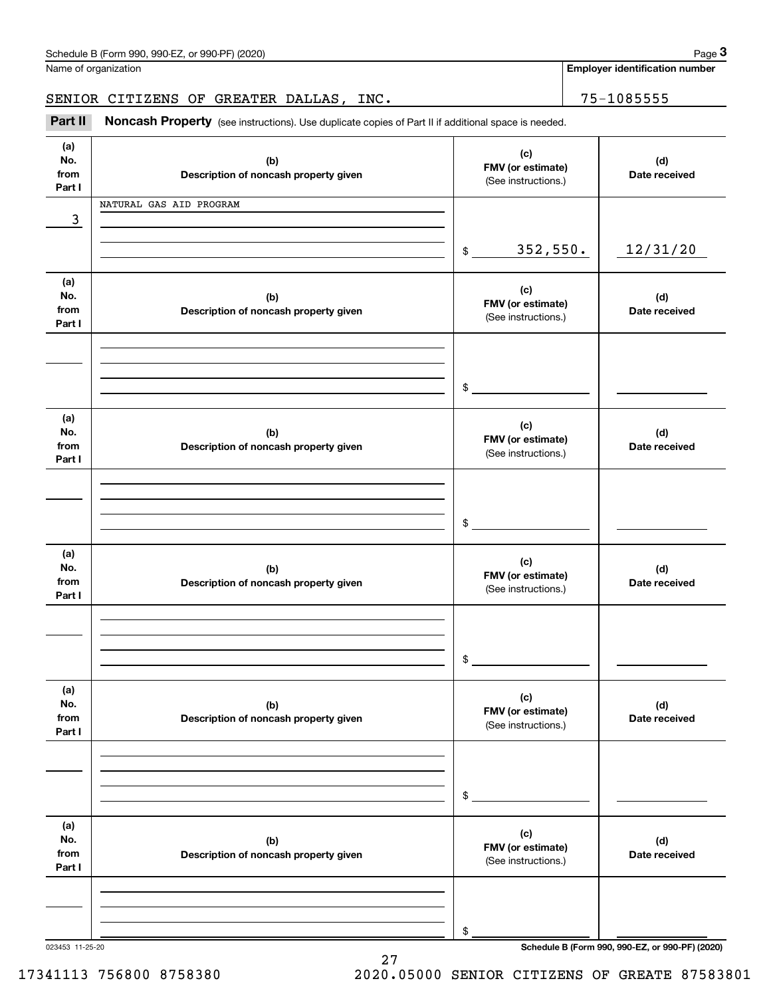|                              | Schedule B (Form 990, 990-EZ, or 990-PF) (2020)<br>Name of organization                             |                                                 | Page 3<br><b>Employer identification number</b> |
|------------------------------|-----------------------------------------------------------------------------------------------------|-------------------------------------------------|-------------------------------------------------|
|                              |                                                                                                     |                                                 |                                                 |
|                              | SENIOR CITIZENS OF GREATER DALLAS, INC.                                                             |                                                 | 75-1085555                                      |
| Part II                      | Noncash Property (see instructions). Use duplicate copies of Part II if additional space is needed. |                                                 |                                                 |
| (a)<br>No.<br>from<br>Part I | (b)<br>Description of noncash property given                                                        | (c)<br>FMV (or estimate)<br>(See instructions.) | (d)<br>Date received                            |
|                              | NATURAL GAS AID PROGRAM                                                                             |                                                 |                                                 |
| 3                            |                                                                                                     |                                                 |                                                 |
|                              |                                                                                                     | 352,550.<br>$\frac{1}{2}$                       | 12/31/20                                        |
| (a)<br>No.<br>from<br>Part I | (b)<br>Description of noncash property given                                                        | (c)<br>FMV (or estimate)<br>(See instructions.) | (d)<br>Date received                            |
|                              |                                                                                                     |                                                 |                                                 |
|                              |                                                                                                     | \$                                              |                                                 |
| (a)<br>No.<br>from<br>Part I | (b)<br>Description of noncash property given                                                        | (c)<br>FMV (or estimate)<br>(See instructions.) | (d)<br>Date received                            |
|                              |                                                                                                     |                                                 |                                                 |
|                              |                                                                                                     | \$                                              |                                                 |
| (a)<br>No.<br>from<br>Part I | (b)<br>Description of noncash property given                                                        | (c)<br>FMV (or estimate)<br>(See instructions.) | (d)<br>Date received                            |
|                              |                                                                                                     |                                                 |                                                 |
|                              |                                                                                                     | \$                                              |                                                 |
| (a)<br>No.<br>from<br>Part I | (b)<br>Description of noncash property given                                                        | (c)<br>FMV (or estimate)<br>(See instructions.) | (d)<br>Date received                            |
|                              |                                                                                                     |                                                 |                                                 |
|                              |                                                                                                     | \$                                              |                                                 |
| (a)<br>No.<br>from<br>Part I | (b)<br>Description of noncash property given                                                        | (c)<br>FMV (or estimate)<br>(See instructions.) | (d)<br>Date received                            |
|                              |                                                                                                     |                                                 |                                                 |
|                              |                                                                                                     |                                                 |                                                 |
| 023453 11-25-20              |                                                                                                     | \$                                              | Schedule B (Form 990, 990-EZ, or 990-PF) (2020) |

27 17341113 756800 8758380 2020.05000 SENIOR CITIZENS OF GREATE 87583801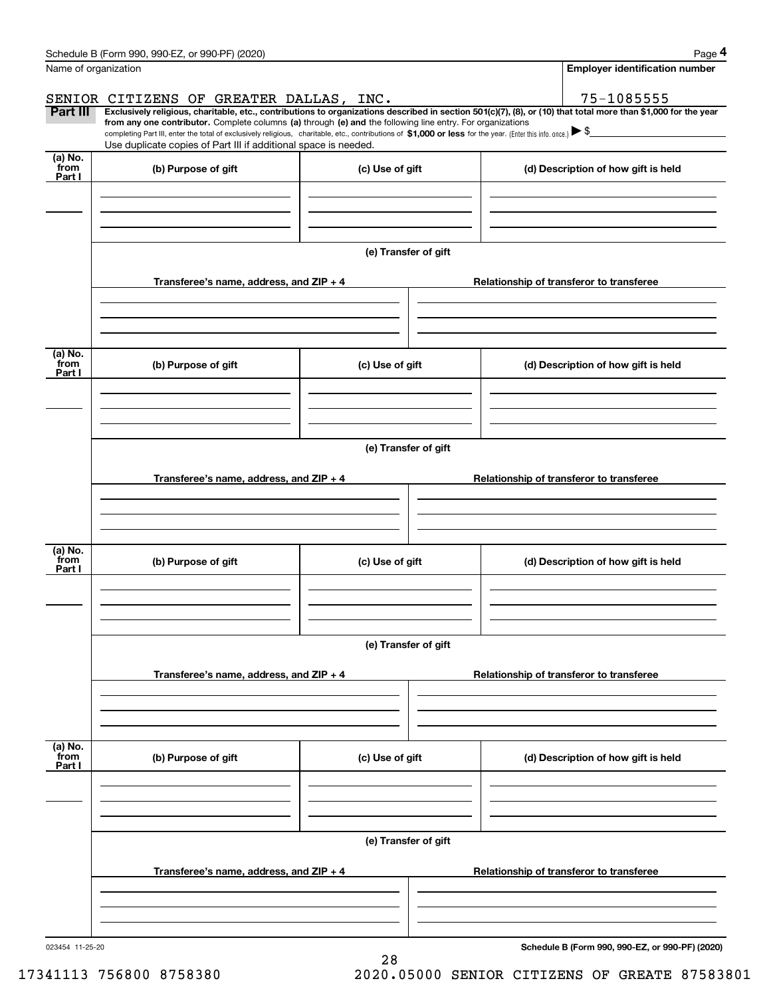|                           | Schedule B (Form 990, 990-EZ, or 990-PF) (2020)                                                                                                                                                                                                                              |                 |                      | Page 4                                          |
|---------------------------|------------------------------------------------------------------------------------------------------------------------------------------------------------------------------------------------------------------------------------------------------------------------------|-----------------|----------------------|-------------------------------------------------|
|                           | Name of organization                                                                                                                                                                                                                                                         |                 |                      | <b>Employer identification number</b>           |
|                           | SENIOR CITIZENS OF GREATER DALLAS, INC.                                                                                                                                                                                                                                      |                 |                      | 75-1085555                                      |
| Part III                  | Exclusively religious, charitable, etc., contributions to organizations described in section 501(c)(7), (8), or (10) that total more than \$1,000 for the year<br>from any one contributor. Complete columns (a) through (e) and the following line entry. For organizations |                 |                      |                                                 |
|                           | completing Part III, enter the total of exclusively religious, charitable, etc., contributions of \$1,000 or less for the year. (Enter this info. once.) $\blacktriangleright$ \$                                                                                            |                 |                      |                                                 |
| (a) No.                   | Use duplicate copies of Part III if additional space is needed.                                                                                                                                                                                                              |                 |                      |                                                 |
| from<br>Part I            | (b) Purpose of gift                                                                                                                                                                                                                                                          | (c) Use of gift |                      | (d) Description of how gift is held             |
|                           |                                                                                                                                                                                                                                                                              |                 |                      |                                                 |
|                           |                                                                                                                                                                                                                                                                              |                 |                      |                                                 |
|                           |                                                                                                                                                                                                                                                                              |                 |                      |                                                 |
|                           |                                                                                                                                                                                                                                                                              |                 | (e) Transfer of gift |                                                 |
|                           |                                                                                                                                                                                                                                                                              |                 |                      |                                                 |
|                           | Transferee's name, address, and ZIP + 4                                                                                                                                                                                                                                      |                 |                      | Relationship of transferor to transferee        |
|                           |                                                                                                                                                                                                                                                                              |                 |                      |                                                 |
|                           |                                                                                                                                                                                                                                                                              |                 |                      |                                                 |
|                           |                                                                                                                                                                                                                                                                              |                 |                      |                                                 |
| (a) No.<br>from<br>Part I | (b) Purpose of gift                                                                                                                                                                                                                                                          | (c) Use of gift |                      | (d) Description of how gift is held             |
|                           |                                                                                                                                                                                                                                                                              |                 |                      |                                                 |
|                           |                                                                                                                                                                                                                                                                              |                 |                      |                                                 |
|                           |                                                                                                                                                                                                                                                                              |                 |                      |                                                 |
|                           |                                                                                                                                                                                                                                                                              |                 | (e) Transfer of gift |                                                 |
|                           |                                                                                                                                                                                                                                                                              |                 |                      |                                                 |
|                           | Transferee's name, address, and ZIP + 4                                                                                                                                                                                                                                      |                 |                      | Relationship of transferor to transferee        |
|                           |                                                                                                                                                                                                                                                                              |                 |                      |                                                 |
|                           |                                                                                                                                                                                                                                                                              |                 |                      |                                                 |
| (a) No.                   |                                                                                                                                                                                                                                                                              |                 |                      |                                                 |
| from<br>Part I            | (b) Purpose of gift                                                                                                                                                                                                                                                          | (c) Use of gift |                      | (d) Description of how gift is held             |
|                           |                                                                                                                                                                                                                                                                              |                 |                      |                                                 |
|                           |                                                                                                                                                                                                                                                                              |                 |                      |                                                 |
|                           |                                                                                                                                                                                                                                                                              |                 |                      |                                                 |
|                           |                                                                                                                                                                                                                                                                              |                 | (e) Transfer of gift |                                                 |
|                           |                                                                                                                                                                                                                                                                              |                 |                      |                                                 |
|                           | Transferee's name, address, and $ZIP + 4$                                                                                                                                                                                                                                    |                 |                      | Relationship of transferor to transferee        |
|                           |                                                                                                                                                                                                                                                                              |                 |                      |                                                 |
|                           |                                                                                                                                                                                                                                                                              |                 |                      |                                                 |
| (a) No.                   |                                                                                                                                                                                                                                                                              |                 |                      |                                                 |
| `from<br>Part I           | (b) Purpose of gift                                                                                                                                                                                                                                                          | (c) Use of gift |                      | (d) Description of how gift is held             |
|                           |                                                                                                                                                                                                                                                                              |                 |                      |                                                 |
|                           |                                                                                                                                                                                                                                                                              |                 |                      |                                                 |
|                           |                                                                                                                                                                                                                                                                              |                 |                      |                                                 |
|                           |                                                                                                                                                                                                                                                                              |                 | (e) Transfer of gift |                                                 |
|                           |                                                                                                                                                                                                                                                                              |                 |                      |                                                 |
|                           | Transferee's name, address, and $ZIP + 4$                                                                                                                                                                                                                                    |                 |                      | Relationship of transferor to transferee        |
|                           |                                                                                                                                                                                                                                                                              |                 |                      |                                                 |
|                           |                                                                                                                                                                                                                                                                              |                 |                      |                                                 |
| 023454 11-25-20           |                                                                                                                                                                                                                                                                              |                 |                      | Schedule B (Form 990, 990-F7, or 990-PF) (2020) |

28

**Schedule B (Form 990, 990-EZ, or 990-PF) (2020)**

17341113 756800 8758380 2020.05000 SENIOR CITIZENS OF GREATE 87583801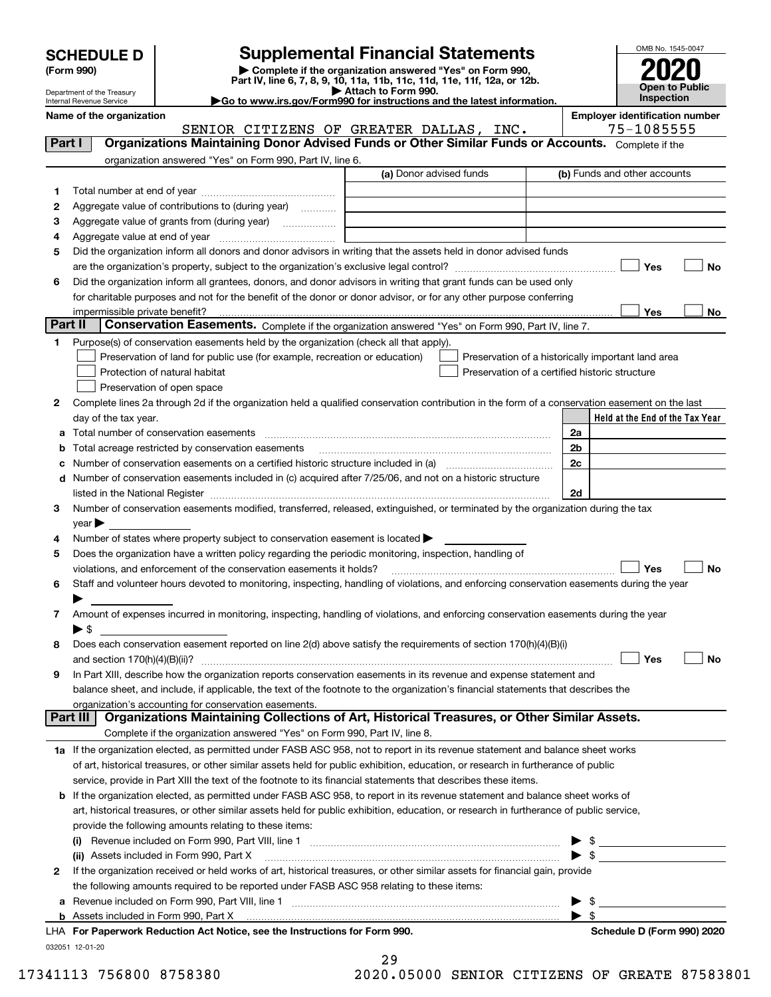| <b>SCHEDULE D</b> |  |
|-------------------|--|
|-------------------|--|

| (Form 990) |  |
|------------|--|
|------------|--|

## **Supplemental Financial Statements**

(Form 990)<br>
Pepartment of the Treasury<br>
Department of the Treasury<br>
Department of the Treasury<br>
Department of the Treasury<br> **Co to www.irs.gov/Form990 for instructions and the latest information.**<br> **Co to www.irs.gov/Form9** 



Department of the Treasury Internal Revenue Service

**Name of the organization Employer identification number**

|              | SENIOR CITIZENS OF GREATER DALLAS, INC.                                                                                                               |                         | 75-1085555                                         |
|--------------|-------------------------------------------------------------------------------------------------------------------------------------------------------|-------------------------|----------------------------------------------------|
| Part I       | Organizations Maintaining Donor Advised Funds or Other Similar Funds or Accounts. Complete if the                                                     |                         |                                                    |
|              | organization answered "Yes" on Form 990, Part IV, line 6.                                                                                             |                         |                                                    |
|              |                                                                                                                                                       | (a) Donor advised funds | (b) Funds and other accounts                       |
| 1            |                                                                                                                                                       |                         |                                                    |
| 2            | Aggregate value of contributions to (during year)                                                                                                     |                         |                                                    |
| з            | Aggregate value of grants from (during year)                                                                                                          |                         |                                                    |
| 4            |                                                                                                                                                       |                         |                                                    |
| 5            | Did the organization inform all donors and donor advisors in writing that the assets held in donor advised funds                                      |                         |                                                    |
|              |                                                                                                                                                       |                         | Yes<br>No                                          |
| 6            | Did the organization inform all grantees, donors, and donor advisors in writing that grant funds can be used only                                     |                         |                                                    |
|              | for charitable purposes and not for the benefit of the donor or donor advisor, or for any other purpose conferring                                    |                         |                                                    |
|              | impermissible private benefit? использовании положительно положительно положительно положительно положительно                                         |                         | Yes<br>No                                          |
| Part II      | Conservation Easements. Complete if the organization answered "Yes" on Form 990, Part IV, line 7.                                                     |                         |                                                    |
| 1.           | Purpose(s) of conservation easements held by the organization (check all that apply).                                                                 |                         |                                                    |
|              | Preservation of land for public use (for example, recreation or education)                                                                            |                         | Preservation of a historically important land area |
|              | Protection of natural habitat                                                                                                                         |                         | Preservation of a certified historic structure     |
|              | Preservation of open space                                                                                                                            |                         |                                                    |
| 2            | Complete lines 2a through 2d if the organization held a qualified conservation contribution in the form of a conservation easement on the last        |                         |                                                    |
|              | day of the tax year.                                                                                                                                  |                         | Held at the End of the Tax Year                    |
| а            |                                                                                                                                                       |                         | 2a                                                 |
| b            | Total acreage restricted by conservation easements                                                                                                    |                         | 2 <sub>b</sub>                                     |
|              |                                                                                                                                                       |                         | 2c                                                 |
|              | Number of conservation easements included in (c) acquired after 7/25/06, and not on a historic structure                                              |                         |                                                    |
| d            |                                                                                                                                                       |                         |                                                    |
|              |                                                                                                                                                       |                         | 2d                                                 |
| 3            | Number of conservation easements modified, transferred, released, extinguished, or terminated by the organization during the tax                      |                         |                                                    |
|              | year                                                                                                                                                  |                         |                                                    |
| 4            | Number of states where property subject to conservation easement is located >                                                                         |                         |                                                    |
| 5            | Does the organization have a written policy regarding the periodic monitoring, inspection, handling of                                                |                         |                                                    |
|              | violations, and enforcement of the conservation easements it holds?                                                                                   |                         | Yes<br>No                                          |
| 6            | Staff and volunteer hours devoted to monitoring, inspecting, handling of violations, and enforcing conservation easements during the year             |                         |                                                    |
|              |                                                                                                                                                       |                         |                                                    |
| 7            | Amount of expenses incurred in monitoring, inspecting, handling of violations, and enforcing conservation easements during the year                   |                         |                                                    |
|              | $\blacktriangleright$ S                                                                                                                               |                         |                                                    |
| 8            | Does each conservation easement reported on line 2(d) above satisfy the requirements of section 170(h)(4)(B)(i)                                       |                         |                                                    |
|              |                                                                                                                                                       |                         | Yes<br>No                                          |
| 9            | In Part XIII, describe how the organization reports conservation easements in its revenue and expense statement and                                   |                         |                                                    |
|              | balance sheet, and include, if applicable, the text of the footnote to the organization's financial statements that describes the                     |                         |                                                    |
| Part III     | organization's accounting for conservation easements.<br>Organizations Maintaining Collections of Art, Historical Treasures, or Other Similar Assets. |                         |                                                    |
|              | Complete if the organization answered "Yes" on Form 990, Part IV, line 8.                                                                             |                         |                                                    |
|              | 1a If the organization elected, as permitted under FASB ASC 958, not to report in its revenue statement and balance sheet works                       |                         |                                                    |
|              |                                                                                                                                                       |                         |                                                    |
|              | of art, historical treasures, or other similar assets held for public exhibition, education, or research in furtherance of public                     |                         |                                                    |
|              | service, provide in Part XIII the text of the footnote to its financial statements that describes these items.                                        |                         |                                                    |
| b            | If the organization elected, as permitted under FASB ASC 958, to report in its revenue statement and balance sheet works of                           |                         |                                                    |
|              | art, historical treasures, or other similar assets held for public exhibition, education, or research in furtherance of public service,               |                         |                                                    |
|              | provide the following amounts relating to these items:                                                                                                |                         |                                                    |
|              | (i)                                                                                                                                                   |                         | \$<br>▶                                            |
|              | (ii) Assets included in Form 990, Part X                                                                                                              |                         | $\blacktriangleright$ \$                           |
| $\mathbf{2}$ | If the organization received or held works of art, historical treasures, or other similar assets for financial gain, provide                          |                         |                                                    |
|              | the following amounts required to be reported under FASB ASC 958 relating to these items:                                                             |                         |                                                    |
| а            |                                                                                                                                                       |                         | -\$<br>▶                                           |
|              |                                                                                                                                                       |                         | $\blacktriangleright$ \$                           |
|              | LHA For Paperwork Reduction Act Notice, see the Instructions for Form 990.                                                                            |                         | Schedule D (Form 990) 2020                         |

032051 12-01-20

|   | 29 |  |       |   |  |
|---|----|--|-------|---|--|
| - | -  |  | - - - | - |  |

17341113 756800 8758380 2020.05000 SENIOR CITIZENS OF GREATE 87583801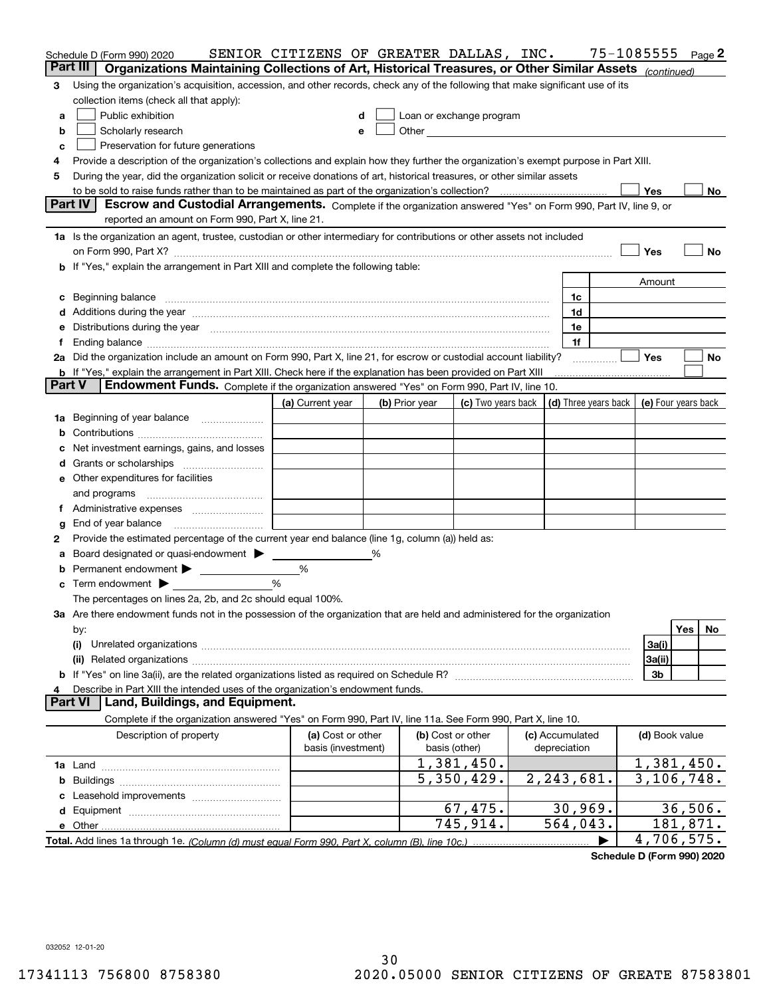|               | Schedule D (Form 990) 2020                                                                                                                                                                                                           | SENIOR CITIZENS OF GREATER DALLAS, INC. |                |                                                                                                                                                                                                                                |                                                          | 75-1085555 |                |            | Page 2 |
|---------------|--------------------------------------------------------------------------------------------------------------------------------------------------------------------------------------------------------------------------------------|-----------------------------------------|----------------|--------------------------------------------------------------------------------------------------------------------------------------------------------------------------------------------------------------------------------|----------------------------------------------------------|------------|----------------|------------|--------|
| Part III      | Organizations Maintaining Collections of Art, Historical Treasures, or Other Similar Assets (continued)                                                                                                                              |                                         |                |                                                                                                                                                                                                                                |                                                          |            |                |            |        |
| 3             | Using the organization's acquisition, accession, and other records, check any of the following that make significant use of its                                                                                                      |                                         |                |                                                                                                                                                                                                                                |                                                          |            |                |            |        |
|               | collection items (check all that apply):                                                                                                                                                                                             |                                         |                |                                                                                                                                                                                                                                |                                                          |            |                |            |        |
| a             | Public exhibition                                                                                                                                                                                                                    | d                                       |                | Loan or exchange program                                                                                                                                                                                                       |                                                          |            |                |            |        |
| b             | Scholarly research                                                                                                                                                                                                                   |                                         |                | Other and the control of the control of the control of the control of the control of the control of the control of the control of the control of the control of the control of the control of the control of the control of th |                                                          |            |                |            |        |
| с             | Preservation for future generations                                                                                                                                                                                                  |                                         |                |                                                                                                                                                                                                                                |                                                          |            |                |            |        |
| 4             | Provide a description of the organization's collections and explain how they further the organization's exempt purpose in Part XIII.                                                                                                 |                                         |                |                                                                                                                                                                                                                                |                                                          |            |                |            |        |
| 5             | During the year, did the organization solicit or receive donations of art, historical treasures, or other similar assets                                                                                                             |                                         |                |                                                                                                                                                                                                                                |                                                          |            |                |            |        |
|               |                                                                                                                                                                                                                                      |                                         |                |                                                                                                                                                                                                                                |                                                          |            | Yes            |            | No     |
|               | <b>Part IV</b><br>Escrow and Custodial Arrangements. Complete if the organization answered "Yes" on Form 990, Part IV, line 9, or                                                                                                    |                                         |                |                                                                                                                                                                                                                                |                                                          |            |                |            |        |
|               | reported an amount on Form 990, Part X, line 21.                                                                                                                                                                                     |                                         |                |                                                                                                                                                                                                                                |                                                          |            |                |            |        |
|               | 1a Is the organization an agent, trustee, custodian or other intermediary for contributions or other assets not included                                                                                                             |                                         |                |                                                                                                                                                                                                                                |                                                          |            |                |            |        |
|               | on Form 990, Part X? [11] matter contracts and contracts and contracts are contracted as a function of the set of the set of the set of the set of the set of the set of the set of the set of the set of the set of the set o       |                                         |                |                                                                                                                                                                                                                                |                                                          |            | Yes            |            | No     |
| b             | If "Yes," explain the arrangement in Part XIII and complete the following table:                                                                                                                                                     |                                         |                |                                                                                                                                                                                                                                |                                                          |            |                |            |        |
|               |                                                                                                                                                                                                                                      |                                         |                |                                                                                                                                                                                                                                |                                                          |            | Amount         |            |        |
| с             | Beginning balance <b>contract to the contract of the contract of the contract of the contract of the contract of the contract of the contract of the contract of the contract of the contract of the contract of the contract of</b> |                                         |                |                                                                                                                                                                                                                                | 1c                                                       |            |                |            |        |
| d             | Additions during the year manufactured and an account of the state of the state of the state of the state of the state of the state of the state of the state of the state of the state of the state of the state of the state       |                                         |                |                                                                                                                                                                                                                                | 1d                                                       |            |                |            |        |
| е             | Distributions during the year measurements are all the set of the set of the set of the set of the set of the set of the set of the set of the set of the set of the set of the set of the set of the set of the set of the se       |                                         |                |                                                                                                                                                                                                                                | 1e                                                       |            |                |            |        |
| f             |                                                                                                                                                                                                                                      |                                         |                |                                                                                                                                                                                                                                | 1f                                                       |            |                |            |        |
|               | 2a Did the organization include an amount on Form 990, Part X, line 21, for escrow or custodial account liability?                                                                                                                   |                                         |                |                                                                                                                                                                                                                                |                                                          |            | Yes            |            | No     |
| <b>Part V</b> | <b>b</b> If "Yes," explain the arrangement in Part XIII. Check here if the explanation has been provided on Part XIII<br><b>Endowment Funds.</b> Complete if the organization answered "Yes" on Form 990, Part IV, line 10.          |                                         |                |                                                                                                                                                                                                                                |                                                          |            |                |            |        |
|               |                                                                                                                                                                                                                                      | (a) Current year                        | (b) Prior year | (c) Two years back                                                                                                                                                                                                             | $\vert$ (d) Three years back $\vert$ (e) Four years back |            |                |            |        |
| 1a            | Beginning of year balance                                                                                                                                                                                                            |                                         |                |                                                                                                                                                                                                                                |                                                          |            |                |            |        |
| b             |                                                                                                                                                                                                                                      |                                         |                |                                                                                                                                                                                                                                |                                                          |            |                |            |        |
|               | Net investment earnings, gains, and losses                                                                                                                                                                                           |                                         |                |                                                                                                                                                                                                                                |                                                          |            |                |            |        |
| d             |                                                                                                                                                                                                                                      |                                         |                |                                                                                                                                                                                                                                |                                                          |            |                |            |        |
|               | e Other expenditures for facilities                                                                                                                                                                                                  |                                         |                |                                                                                                                                                                                                                                |                                                          |            |                |            |        |
|               | and programs                                                                                                                                                                                                                         |                                         |                |                                                                                                                                                                                                                                |                                                          |            |                |            |        |
| 1.            |                                                                                                                                                                                                                                      |                                         |                |                                                                                                                                                                                                                                |                                                          |            |                |            |        |
| g             | End of year balance                                                                                                                                                                                                                  |                                         |                |                                                                                                                                                                                                                                |                                                          |            |                |            |        |
| 2             | Provide the estimated percentage of the current year end balance (line 1g, column (a)) held as:                                                                                                                                      |                                         |                |                                                                                                                                                                                                                                |                                                          |            |                |            |        |
| а             | Board designated or quasi-endowment >                                                                                                                                                                                                |                                         |                |                                                                                                                                                                                                                                |                                                          |            |                |            |        |
| b             | Permanent endowment                                                                                                                                                                                                                  | %                                       |                |                                                                                                                                                                                                                                |                                                          |            |                |            |        |
| c             | Term endowment $\blacktriangleright$                                                                                                                                                                                                 | %                                       |                |                                                                                                                                                                                                                                |                                                          |            |                |            |        |
|               | The percentages on lines 2a, 2b, and 2c should equal 100%.                                                                                                                                                                           |                                         |                |                                                                                                                                                                                                                                |                                                          |            |                |            |        |
|               | 3a Are there endowment funds not in the possession of the organization that are held and administered for the organization                                                                                                           |                                         |                |                                                                                                                                                                                                                                |                                                          |            |                |            |        |
|               | by:                                                                                                                                                                                                                                  |                                         |                |                                                                                                                                                                                                                                |                                                          |            |                | <b>Yes</b> | No     |
|               | (i)                                                                                                                                                                                                                                  |                                         |                |                                                                                                                                                                                                                                |                                                          |            | 3a(i)          |            |        |
|               |                                                                                                                                                                                                                                      |                                         |                |                                                                                                                                                                                                                                |                                                          |            | 3a(ii)         |            |        |
|               |                                                                                                                                                                                                                                      |                                         |                |                                                                                                                                                                                                                                |                                                          |            | 3b             |            |        |
|               | Describe in Part XIII the intended uses of the organization's endowment funds.                                                                                                                                                       |                                         |                |                                                                                                                                                                                                                                |                                                          |            |                |            |        |
|               | <b>Part VI</b><br>Land, Buildings, and Equipment.                                                                                                                                                                                    |                                         |                |                                                                                                                                                                                                                                |                                                          |            |                |            |        |
|               | Complete if the organization answered "Yes" on Form 990, Part IV, line 11a. See Form 990, Part X, line 10.                                                                                                                           |                                         |                |                                                                                                                                                                                                                                |                                                          |            |                |            |        |
|               | Description of property                                                                                                                                                                                                              | (a) Cost or other<br>basis (investment) |                | (b) Cost or other<br>basis (other)                                                                                                                                                                                             | (c) Accumulated<br>depreciation                          |            | (d) Book value |            |        |
|               |                                                                                                                                                                                                                                      |                                         |                | $\overline{1}$ , 381, 450.                                                                                                                                                                                                     |                                                          |            | 1,381,450.     |            |        |
| b             |                                                                                                                                                                                                                                      |                                         |                | 5,350,429.                                                                                                                                                                                                                     | 2, 243, 681.                                             |            | 3,106,748.     |            |        |
|               |                                                                                                                                                                                                                                      |                                         |                |                                                                                                                                                                                                                                |                                                          |            |                |            |        |
|               |                                                                                                                                                                                                                                      |                                         |                | 67,475.                                                                                                                                                                                                                        | 30,969.                                                  |            |                | 36,506.    |        |
|               |                                                                                                                                                                                                                                      |                                         |                | 745,914.                                                                                                                                                                                                                       | 564,043.                                                 |            |                | 181,871.   |        |
|               |                                                                                                                                                                                                                                      |                                         |                |                                                                                                                                                                                                                                |                                                          |            | 4,706,575.     |            |        |

**Schedule D (Form 990) 2020**

032052 12-01-20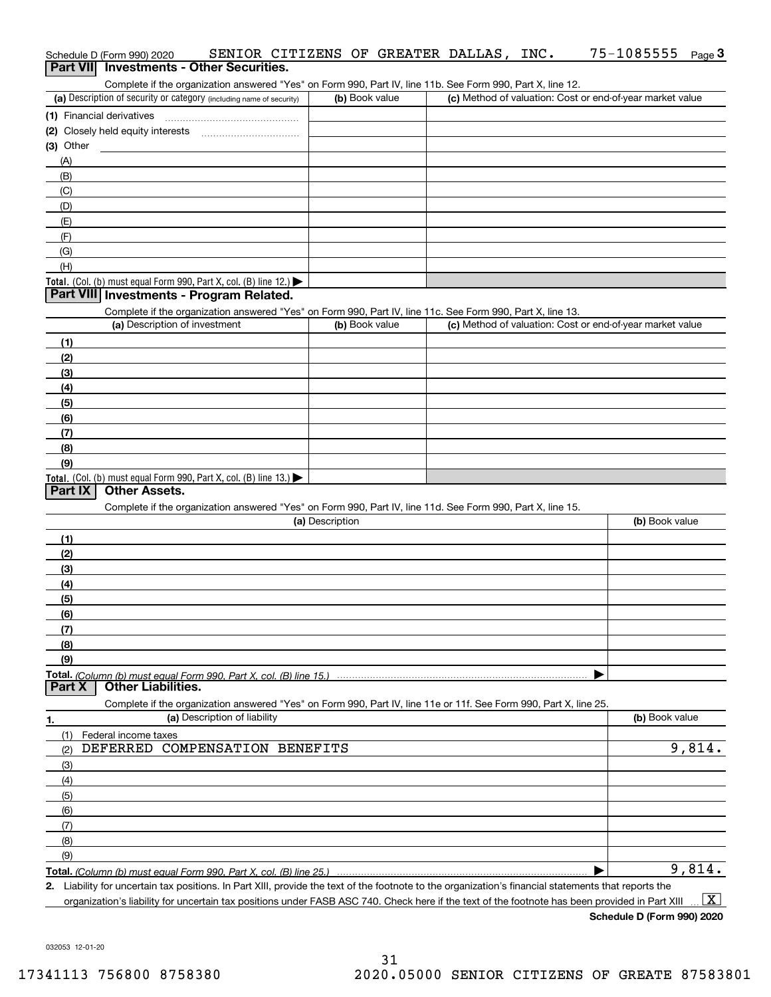| Schedule D (Form 990) 2020 | Part VII Investments - Other Securities.                                                                                                             | SENIOR CITIZENS OF GREATER DALLAS, INC. |  | 75-1085555                                                | <u>Page</u> 3 |
|----------------------------|------------------------------------------------------------------------------------------------------------------------------------------------------|-----------------------------------------|--|-----------------------------------------------------------|---------------|
|                            | Complete if the organization answered "Yes" on Form 990, Part IV, line 11b. See Form 990, Part X, line 12.                                           |                                         |  |                                                           |               |
|                            | (a) Description of security or category (including name of security)                                                                                 | (b) Book value                          |  | (c) Method of valuation: Cost or end-of-year market value |               |
|                            |                                                                                                                                                      |                                         |  |                                                           |               |
|                            | (2) Closely held equity interests                                                                                                                    |                                         |  |                                                           |               |
| $(3)$ Other                |                                                                                                                                                      |                                         |  |                                                           |               |
| (A)                        |                                                                                                                                                      |                                         |  |                                                           |               |
| (B)                        |                                                                                                                                                      |                                         |  |                                                           |               |
| (C)                        |                                                                                                                                                      |                                         |  |                                                           |               |
| (D)                        |                                                                                                                                                      |                                         |  |                                                           |               |
| (E)                        |                                                                                                                                                      |                                         |  |                                                           |               |
| (F)                        |                                                                                                                                                      |                                         |  |                                                           |               |
| (G)<br>(H)                 |                                                                                                                                                      |                                         |  |                                                           |               |
|                            | Total. (Col. (b) must equal Form 990, Part X, col. (B) line 12.)                                                                                     |                                         |  |                                                           |               |
|                            | Part VIII Investments - Program Related.                                                                                                             |                                         |  |                                                           |               |
|                            | Complete if the organization answered "Yes" on Form 990, Part IV, line 11c. See Form 990, Part X, line 13.                                           |                                         |  |                                                           |               |
|                            | (a) Description of investment                                                                                                                        | (b) Book value                          |  | (c) Method of valuation: Cost or end-of-year market value |               |
| (1)                        |                                                                                                                                                      |                                         |  |                                                           |               |
| (2)                        |                                                                                                                                                      |                                         |  |                                                           |               |
| (3)                        |                                                                                                                                                      |                                         |  |                                                           |               |
| (4)                        |                                                                                                                                                      |                                         |  |                                                           |               |
| (5)                        |                                                                                                                                                      |                                         |  |                                                           |               |
| (6)                        |                                                                                                                                                      |                                         |  |                                                           |               |
| (7)                        |                                                                                                                                                      |                                         |  |                                                           |               |
| (8)                        |                                                                                                                                                      |                                         |  |                                                           |               |
| (9)                        |                                                                                                                                                      |                                         |  |                                                           |               |
| Part IX                    | Total. (Col. (b) must equal Form 990, Part X, col. (B) line 13.)<br><b>Other Assets.</b>                                                             |                                         |  |                                                           |               |
|                            |                                                                                                                                                      |                                         |  |                                                           |               |
|                            | Complete if the organization answered "Yes" on Form 990, Part IV, line 11d. See Form 990, Part X, line 15.                                           | (a) Description                         |  | (b) Book value                                            |               |
| (1)                        |                                                                                                                                                      |                                         |  |                                                           |               |
| (2)                        |                                                                                                                                                      |                                         |  |                                                           |               |
| (3)                        |                                                                                                                                                      |                                         |  |                                                           |               |
| (4)                        |                                                                                                                                                      |                                         |  |                                                           |               |
| (5)                        |                                                                                                                                                      |                                         |  |                                                           |               |
| (6)                        |                                                                                                                                                      |                                         |  |                                                           |               |
| (7)                        |                                                                                                                                                      |                                         |  |                                                           |               |
| (8)                        |                                                                                                                                                      |                                         |  |                                                           |               |
| (9)                        |                                                                                                                                                      |                                         |  |                                                           |               |
|                            |                                                                                                                                                      |                                         |  |                                                           |               |
| Part X                     | <b>Other Liabilities.</b>                                                                                                                            |                                         |  |                                                           |               |
|                            | Complete if the organization answered "Yes" on Form 990, Part IV, line 11e or 11f. See Form 990, Part X, line 25.<br>(a) Description of liability    |                                         |  | (b) Book value                                            |               |
| 1.                         |                                                                                                                                                      |                                         |  |                                                           |               |
| (1)                        | Federal income taxes<br>DEFERRED COMPENSATION BENEFITS                                                                                               |                                         |  |                                                           | 9,814.        |
| (2)                        |                                                                                                                                                      |                                         |  |                                                           |               |
| (3)<br>(4)                 |                                                                                                                                                      |                                         |  |                                                           |               |
| (5)                        |                                                                                                                                                      |                                         |  |                                                           |               |
| (6)                        |                                                                                                                                                      |                                         |  |                                                           |               |
| (7)                        |                                                                                                                                                      |                                         |  |                                                           |               |
| (8)                        |                                                                                                                                                      |                                         |  |                                                           |               |
| (9)                        |                                                                                                                                                      |                                         |  |                                                           |               |
|                            |                                                                                                                                                      |                                         |  |                                                           | 9,814.        |
|                            | 2. Liability for uncertain tax positions. In Part XIII, provide the text of the footnote to the organization's financial statements that reports the |                                         |  |                                                           |               |

**Schedule D (Form 990) 2020**

75-1085555 Page 3

032053 12-01-20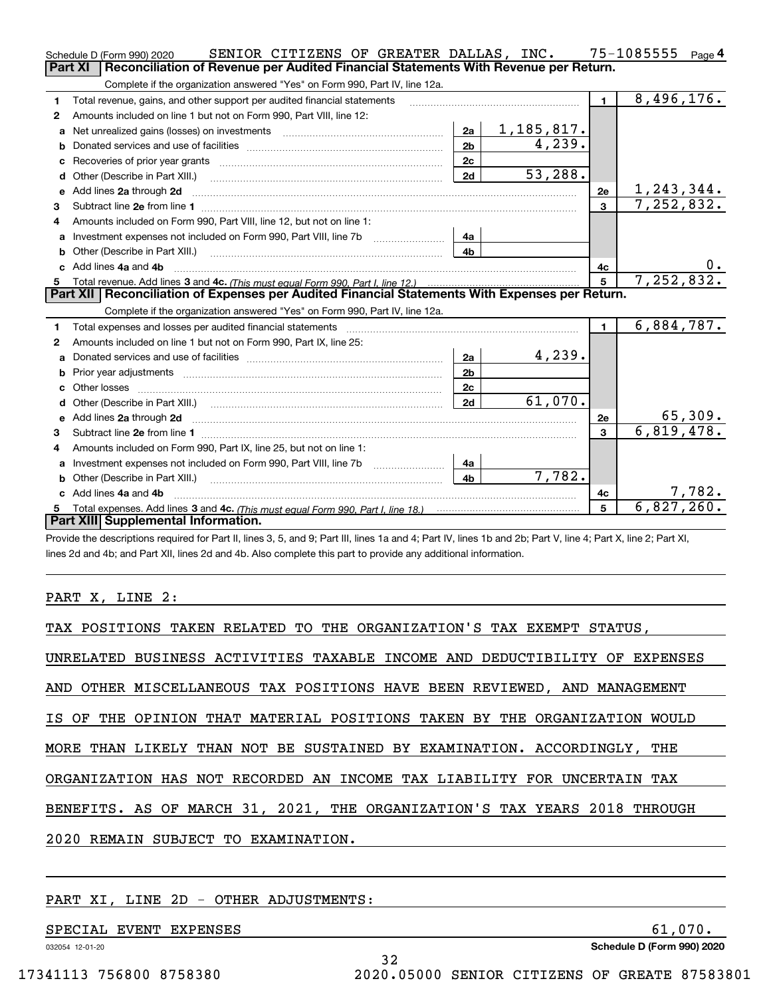|   | SENIOR CITIZENS OF GREATER DALLAS, INC.<br>Schedule D (Form 990) 2020                                                                                                                                                               |                |            |                | 75-1085555<br>Page $4$ |
|---|-------------------------------------------------------------------------------------------------------------------------------------------------------------------------------------------------------------------------------------|----------------|------------|----------------|------------------------|
|   | <b>Part XI</b><br>Reconciliation of Revenue per Audited Financial Statements With Revenue per Return.                                                                                                                               |                |            |                |                        |
|   | Complete if the organization answered "Yes" on Form 990, Part IV, line 12a.                                                                                                                                                         |                |            |                |                        |
| 1 | Total revenue, gains, and other support per audited financial statements                                                                                                                                                            |                |            | $\blacksquare$ | 8,496,176.             |
| 2 | Amounts included on line 1 but not on Form 990, Part VIII, line 12:                                                                                                                                                                 |                |            |                |                        |
| a | Net unrealized gains (losses) on investments [11] matter contracts and the unrealized gains (losses) on investments                                                                                                                 | 2a             | 1,185,817. |                |                        |
| b |                                                                                                                                                                                                                                     | 2 <sub>b</sub> | 4,239.     |                |                        |
|   |                                                                                                                                                                                                                                     | 2c             |            |                |                        |
| d | Other (Describe in Part XIII.) [100] [100] [100] [100] [100] [100] [100] [100] [100] [100] [100] [100] [100] [                                                                                                                      | 2d             | 53,288.    |                |                        |
| e | Add lines 2a through 2d                                                                                                                                                                                                             |                |            | 2e             | <u>1,243,344.</u>      |
| 3 |                                                                                                                                                                                                                                     |                |            | $\mathbf{3}$   | 7,252,832.             |
| 4 | Amounts included on Form 990, Part VIII, line 12, but not on line 1:                                                                                                                                                                |                |            |                |                        |
| a | Investment expenses not included on Form 990, Part VIII, line 7b [111] [11] Investment expenses not included on Form 990, Part VIII, line 7b                                                                                        | 4а             |            |                |                        |
|   | Other (Describe in Part XIII.) <b>Construction Contract Construction</b> Chemical Construction Chemical Chemical Chemical Chemical Chemical Chemical Chemical Chemical Chemical Chemical Chemical Chemical Chemical Chemical Chemic | 4b.            |            |                |                        |
|   | c Add lines 4a and 4b                                                                                                                                                                                                               |                |            | 4c             |                        |
|   |                                                                                                                                                                                                                                     |                |            | 5              | 7,252,832.             |
|   |                                                                                                                                                                                                                                     |                |            |                |                        |
|   | Part XII   Reconciliation of Expenses per Audited Financial Statements With Expenses per Return.                                                                                                                                    |                |            |                |                        |
|   | Complete if the organization answered "Yes" on Form 990, Part IV, line 12a.                                                                                                                                                         |                |            |                |                        |
| 1 | Total expenses and losses per audited financial statements [11, 11] manuscription control expenses and losses per audited financial statements [11] manuscription of the statements [11] manuscription of the statements [11]       |                |            | $\blacksquare$ | 6,884,787.             |
| 2 | Amounts included on line 1 but not on Form 990, Part IX, line 25:                                                                                                                                                                   |                |            |                |                        |
| a |                                                                                                                                                                                                                                     | 2a             | 4,239.     |                |                        |
| b |                                                                                                                                                                                                                                     | 2 <sub>b</sub> |            |                |                        |
|   |                                                                                                                                                                                                                                     | 2c             |            |                |                        |
|   |                                                                                                                                                                                                                                     | 2d             | 61,070.    |                |                        |
|   |                                                                                                                                                                                                                                     |                |            | 2e             | 65,309.                |
| 3 | e Add lines 2a through 2d <b>contract and a contract and a contract a</b> contract a contract and a contract a contract a contract a contract a contract a contract a contract a contract a contract a contract a contract a contra |                |            | 3              | 6,819,478.             |
| 4 | Amounts included on Form 990, Part IX, line 25, but not on line 1:                                                                                                                                                                  |                |            |                |                        |
| a | Investment expenses not included on Form 990, Part VIII, line 7b [1000000000000000000000000000000000                                                                                                                                | 4a             |            |                |                        |
|   | Other (Describe in Part XIII.)                                                                                                                                                                                                      | 4 <sub>b</sub> | 7,782.     |                |                        |
|   | c Add lines 4a and 4b                                                                                                                                                                                                               |                |            | 4c             | 7,782.                 |
|   | Total expenses. Add lines 3 and 4c. (This must equal Form 990, Part I, line 18.) <b>Conservers</b> manufactured in the<br>Part XIII Supplemental Information.                                                                       |                |            | 5              | 6,827,260.             |

Provide the descriptions required for Part II, lines 3, 5, and 9; Part III, lines 1a and 4; Part IV, lines 1b and 2b; Part V, line 4; Part X, line 2; Part XI, lines 2d and 4b; and Part XII, lines 2d and 4b. Also complete this part to provide any additional information.

## PART X, LINE 2:

| TAX POSITIONS TAKEN RELATED TO THE ORGANIZATION'S TAX EXEMPT STATUS,       |
|----------------------------------------------------------------------------|
| UNRELATED BUSINESS ACTIVITIES TAXABLE INCOME AND DEDUCTIBILITY OF EXPENSES |
| AND OTHER MISCELLANEOUS TAX POSITIONS HAVE BEEN REVIEWED, AND MANAGEMENT   |
| IS OF THE OPINION THAT MATERIAL POSITIONS TAKEN BY THE ORGANIZATION WOULD  |
| MORE THAN LIKELY THAN NOT BE SUSTAINED BY EXAMINATION. ACCORDINGLY, THE    |
| ORGANIZATION HAS NOT RECORDED AN INCOME TAX LIABILITY FOR UNCERTAIN TAX    |
| BENEFITS. AS OF MARCH 31, 2021, THE ORGANIZATION'S TAX YEARS 2018 THROUGH  |
| 2020 REMAIN SUBJECT TO EXAMINATION.                                        |

32

## PART XI, LINE 2D - OTHER ADJUSTMENTS:

SPECIAL EVENT EXPENSES 61,070.

032054 12-01-20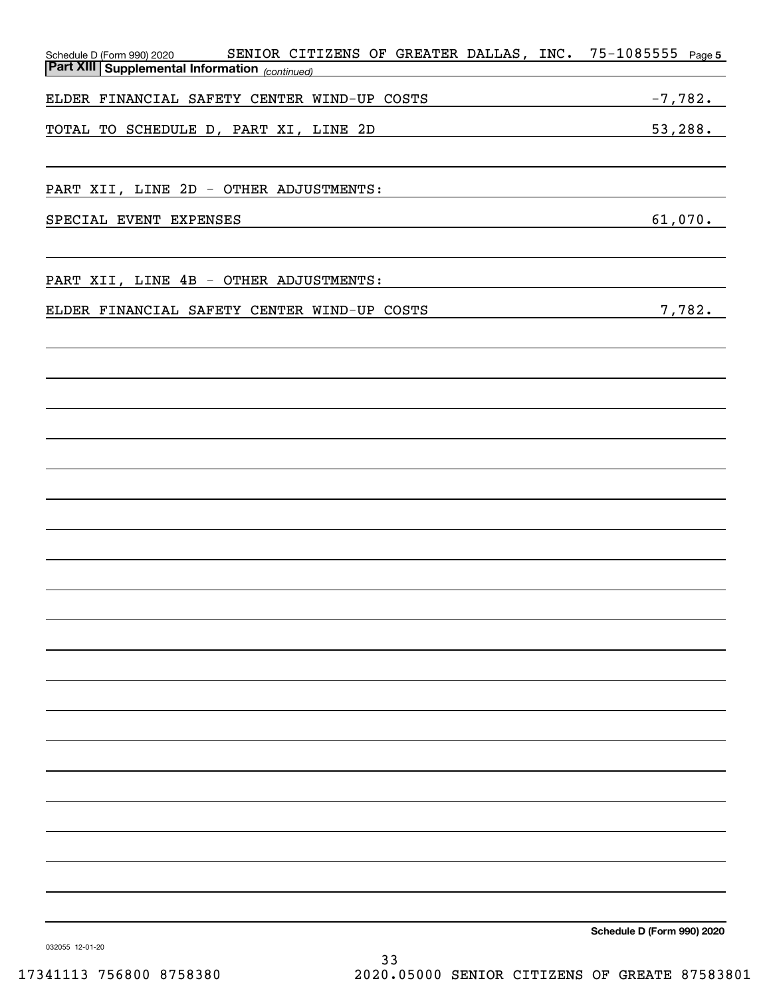| SENIOR CITIZENS OF GREATER DALLAS, INC. 75-1085555 Page 5<br>Schedule D (Form 990) 2020 SENIOR CIT<br>Part XIII Supplemental Information (continued) |                            |
|------------------------------------------------------------------------------------------------------------------------------------------------------|----------------------------|
|                                                                                                                                                      |                            |
| ELDER FINANCIAL SAFETY CENTER WIND-UP COSTS                                                                                                          | $-7,782.$                  |
| TOTAL TO SCHEDULE D, PART XI, LINE 2D                                                                                                                | 53,288.                    |
|                                                                                                                                                      |                            |
|                                                                                                                                                      |                            |
| PART XII, LINE 2D - OTHER ADJUSTMENTS:                                                                                                               |                            |
| SPECIAL EVENT EXPENSES                                                                                                                               | 61,070.                    |
|                                                                                                                                                      |                            |
|                                                                                                                                                      |                            |
| PART XII, LINE 4B - OTHER ADJUSTMENTS:                                                                                                               |                            |
|                                                                                                                                                      |                            |
| ELDER FINANCIAL SAFETY CENTER WIND-UP COSTS                                                                                                          | 7,782.                     |
|                                                                                                                                                      |                            |
|                                                                                                                                                      |                            |
|                                                                                                                                                      |                            |
|                                                                                                                                                      |                            |
|                                                                                                                                                      |                            |
|                                                                                                                                                      |                            |
|                                                                                                                                                      |                            |
|                                                                                                                                                      |                            |
|                                                                                                                                                      |                            |
|                                                                                                                                                      |                            |
|                                                                                                                                                      |                            |
|                                                                                                                                                      |                            |
|                                                                                                                                                      |                            |
|                                                                                                                                                      |                            |
|                                                                                                                                                      |                            |
|                                                                                                                                                      |                            |
|                                                                                                                                                      |                            |
|                                                                                                                                                      |                            |
|                                                                                                                                                      |                            |
|                                                                                                                                                      |                            |
|                                                                                                                                                      |                            |
|                                                                                                                                                      |                            |
|                                                                                                                                                      |                            |
|                                                                                                                                                      |                            |
|                                                                                                                                                      |                            |
|                                                                                                                                                      |                            |
|                                                                                                                                                      |                            |
|                                                                                                                                                      | Schedule D (Form 990) 2020 |
| 032055 12-01-20                                                                                                                                      |                            |

33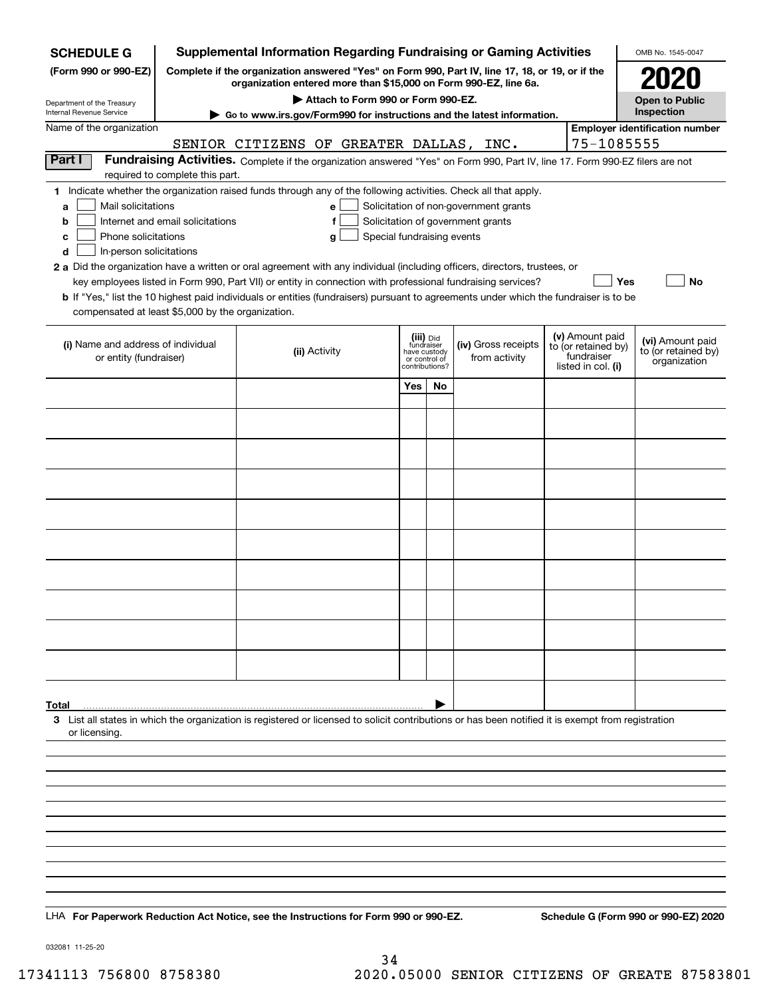| <b>SCHEDULE G</b>                                                                        |                                  | <b>Supplemental Information Regarding Fundraising or Gaming Activities</b>                                                                                                                                                                                                                                                                                                                                                                                                                                                  |                            |                                                                            |                                                                            |  |                                                                            | OMB No. 1545-0047                                       |  |
|------------------------------------------------------------------------------------------|----------------------------------|-----------------------------------------------------------------------------------------------------------------------------------------------------------------------------------------------------------------------------------------------------------------------------------------------------------------------------------------------------------------------------------------------------------------------------------------------------------------------------------------------------------------------------|----------------------------|----------------------------------------------------------------------------|----------------------------------------------------------------------------|--|----------------------------------------------------------------------------|---------------------------------------------------------|--|
| (Form 990 or 990-EZ)                                                                     |                                  | Complete if the organization answered "Yes" on Form 990, Part IV, line 17, 18, or 19, or if the<br>organization entered more than \$15,000 on Form 990-EZ, line 6a.                                                                                                                                                                                                                                                                                                                                                         |                            |                                                                            |                                                                            |  |                                                                            |                                                         |  |
| Department of the Treasury                                                               |                                  | Attach to Form 990 or Form 990-EZ.                                                                                                                                                                                                                                                                                                                                                                                                                                                                                          |                            |                                                                            |                                                                            |  |                                                                            | <b>Open to Public</b><br>Inspection                     |  |
| Internal Revenue Service<br>Name of the organization                                     |                                  | ► Go to www.irs.gov/Form990 for instructions and the latest information.                                                                                                                                                                                                                                                                                                                                                                                                                                                    |                            |                                                                            |                                                                            |  |                                                                            | <b>Employer identification number</b>                   |  |
|                                                                                          |                                  | SENIOR CITIZENS OF GREATER DALLAS,                                                                                                                                                                                                                                                                                                                                                                                                                                                                                          |                            |                                                                            | INC.                                                                       |  | 75-1085555                                                                 |                                                         |  |
| Part I                                                                                   |                                  | Fundraising Activities. Complete if the organization answered "Yes" on Form 990, Part IV, line 17. Form 990-EZ filers are not                                                                                                                                                                                                                                                                                                                                                                                               |                            |                                                                            |                                                                            |  |                                                                            |                                                         |  |
|                                                                                          | required to complete this part.  |                                                                                                                                                                                                                                                                                                                                                                                                                                                                                                                             |                            |                                                                            |                                                                            |  |                                                                            |                                                         |  |
| Mail solicitations<br>a<br>b<br>Phone solicitations<br>c<br>In-person solicitations<br>d | Internet and email solicitations | 1 Indicate whether the organization raised funds through any of the following activities. Check all that apply.<br>e<br>f<br>g<br>2 a Did the organization have a written or oral agreement with any individual (including officers, directors, trustees, or<br>key employees listed in Form 990, Part VII) or entity in connection with professional fundraising services?<br><b>b</b> If "Yes," list the 10 highest paid individuals or entities (fundraisers) pursuant to agreements under which the fundraiser is to be | Special fundraising events |                                                                            | Solicitation of non-government grants<br>Solicitation of government grants |  | Yes                                                                        | No                                                      |  |
| compensated at least \$5,000 by the organization.                                        |                                  |                                                                                                                                                                                                                                                                                                                                                                                                                                                                                                                             |                            |                                                                            |                                                                            |  |                                                                            |                                                         |  |
| (i) Name and address of individual<br>or entity (fundraiser)                             |                                  | (ii) Activity                                                                                                                                                                                                                                                                                                                                                                                                                                                                                                               |                            | (iii) Did<br>fundraiser<br>have custody<br>or control of<br>contributions? | (iv) Gross receipts<br>from activity                                       |  | (v) Amount paid<br>to (or retained by)<br>fundraiser<br>listed in col. (i) | (vi) Amount paid<br>to (or retained by)<br>organization |  |
|                                                                                          |                                  |                                                                                                                                                                                                                                                                                                                                                                                                                                                                                                                             | Yes                        | <b>No</b>                                                                  |                                                                            |  |                                                                            |                                                         |  |
|                                                                                          |                                  |                                                                                                                                                                                                                                                                                                                                                                                                                                                                                                                             |                            |                                                                            |                                                                            |  |                                                                            |                                                         |  |
|                                                                                          |                                  |                                                                                                                                                                                                                                                                                                                                                                                                                                                                                                                             |                            |                                                                            |                                                                            |  |                                                                            |                                                         |  |
|                                                                                          |                                  |                                                                                                                                                                                                                                                                                                                                                                                                                                                                                                                             |                            |                                                                            |                                                                            |  |                                                                            |                                                         |  |
|                                                                                          |                                  |                                                                                                                                                                                                                                                                                                                                                                                                                                                                                                                             |                            |                                                                            |                                                                            |  |                                                                            |                                                         |  |
|                                                                                          |                                  |                                                                                                                                                                                                                                                                                                                                                                                                                                                                                                                             |                            |                                                                            |                                                                            |  |                                                                            |                                                         |  |
|                                                                                          |                                  |                                                                                                                                                                                                                                                                                                                                                                                                                                                                                                                             |                            |                                                                            |                                                                            |  |                                                                            |                                                         |  |
|                                                                                          |                                  |                                                                                                                                                                                                                                                                                                                                                                                                                                                                                                                             |                            |                                                                            |                                                                            |  |                                                                            |                                                         |  |
|                                                                                          |                                  |                                                                                                                                                                                                                                                                                                                                                                                                                                                                                                                             |                            |                                                                            |                                                                            |  |                                                                            |                                                         |  |
|                                                                                          |                                  |                                                                                                                                                                                                                                                                                                                                                                                                                                                                                                                             |                            |                                                                            |                                                                            |  |                                                                            |                                                         |  |
|                                                                                          |                                  |                                                                                                                                                                                                                                                                                                                                                                                                                                                                                                                             |                            |                                                                            |                                                                            |  |                                                                            |                                                         |  |
|                                                                                          |                                  |                                                                                                                                                                                                                                                                                                                                                                                                                                                                                                                             |                            |                                                                            |                                                                            |  |                                                                            |                                                         |  |
| Total                                                                                    |                                  |                                                                                                                                                                                                                                                                                                                                                                                                                                                                                                                             |                            |                                                                            |                                                                            |  |                                                                            |                                                         |  |
|                                                                                          |                                  | 3 List all states in which the organization is registered or licensed to solicit contributions or has been notified it is exempt from registration                                                                                                                                                                                                                                                                                                                                                                          |                            |                                                                            |                                                                            |  |                                                                            |                                                         |  |
| or licensing.                                                                            |                                  |                                                                                                                                                                                                                                                                                                                                                                                                                                                                                                                             |                            |                                                                            |                                                                            |  |                                                                            |                                                         |  |
|                                                                                          |                                  |                                                                                                                                                                                                                                                                                                                                                                                                                                                                                                                             |                            |                                                                            |                                                                            |  |                                                                            |                                                         |  |
|                                                                                          |                                  |                                                                                                                                                                                                                                                                                                                                                                                                                                                                                                                             |                            |                                                                            |                                                                            |  |                                                                            |                                                         |  |
|                                                                                          |                                  |                                                                                                                                                                                                                                                                                                                                                                                                                                                                                                                             |                            |                                                                            |                                                                            |  |                                                                            |                                                         |  |
|                                                                                          |                                  |                                                                                                                                                                                                                                                                                                                                                                                                                                                                                                                             |                            |                                                                            |                                                                            |  |                                                                            |                                                         |  |
|                                                                                          |                                  |                                                                                                                                                                                                                                                                                                                                                                                                                                                                                                                             |                            |                                                                            |                                                                            |  |                                                                            |                                                         |  |
|                                                                                          |                                  |                                                                                                                                                                                                                                                                                                                                                                                                                                                                                                                             |                            |                                                                            |                                                                            |  |                                                                            |                                                         |  |
|                                                                                          |                                  | LHA For Paperwork Reduction Act Notice, see the Instructions for Form 990 or 990-EZ.                                                                                                                                                                                                                                                                                                                                                                                                                                        |                            |                                                                            |                                                                            |  |                                                                            | Schedule G (Form 990 or 990-EZ) 2020                    |  |

032081 11-25-20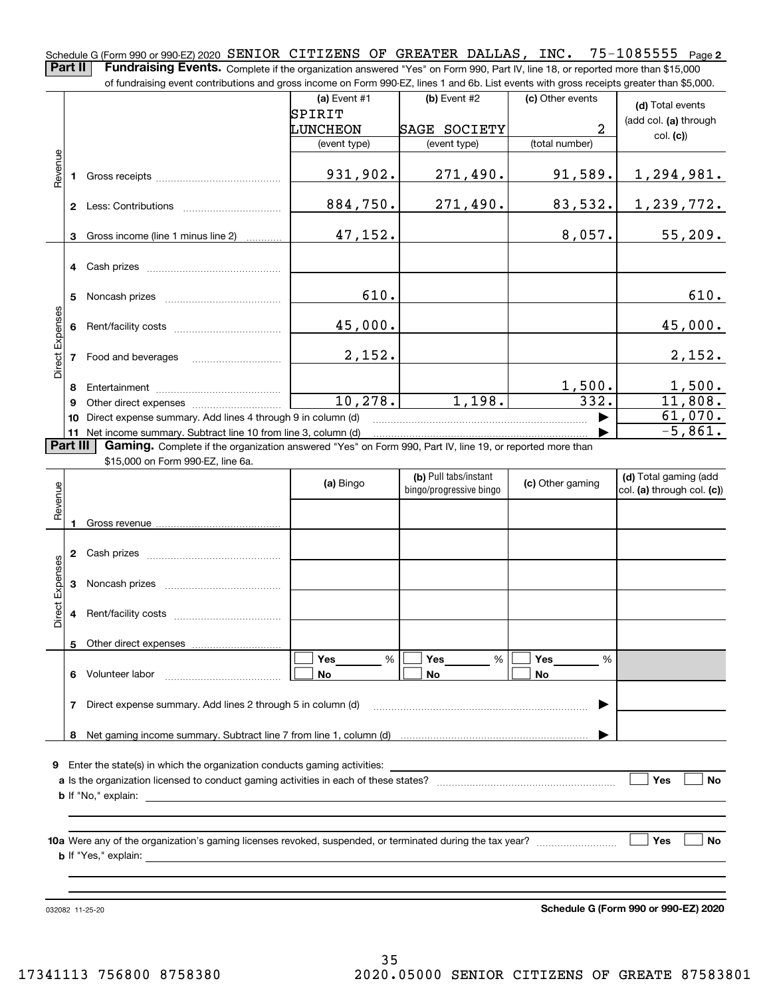$75 - 1085555$  Page 2 Schedule G (Form 990 or 990-EZ) 2020  $\,$  SENIOR  $\,$  CITIZENS  $\,$  OF  $\,$  GREATER  $\,$  DALLAS ,  $\,$  INC  $\,$  .  $\,$   $\,$   $75$  –  $10$   $8$  5 5  $5$   $\,$   $\,$   $P_{\rm age}$ **Part II** | Fundraising Events. Complete if the organization answered "Yes" on Form 990, Part IV, line 18, or reported more than \$15,000

of fundraising event contributions and gross income on Form 990-EZ, lines 1 and 6b. List events with gross receipts greater than \$5,000.

**(a)** Event #1  $\vert$  **(b)** Event #2 (c) Other events **(d)**  Total events SPIRIT (add col. **(a)** through LUNCHEON SAGE SOCIETY 2 col. **(c)**) (event type) (event type) (total number) Revenue Revenue 931,902. 271,490. 91,589. 1,294,981. Gross receipts **1**884,750. 271,490. 83,532. 1,239,772. **2** Less: Contributions ................................ 47,152. 8,057. 55,209. Gross income (line 1 minus line 2) **3**. . . . . . . . . . . . **4** Cash prizes \_\_\_\_\_\_\_\_\_\_\_\_\_\_\_\_\_\_\_\_\_\_\_\_\_\_\_\_\_\_\_\_ 610. 610. **5** Noncash prizes \_\_\_\_\_\_\_\_\_\_\_\_\_\_\_\_\_\_\_\_\_\_\_\_\_\_\_\_ Direct Expenses Direct Expenses 45,000. 45,000. Rent/facility costs ~~~~~~~~~~~~**6**2,152. 2,152. **7**Food and beverages 1,500. 1,500. **8**Entertainment ~~~~~~~~~~~~~~10,278. 1,198. 332. 11,808. Other direct expenses ~~~~~~~~~~ **9**61,070.  $\blacktriangleright$ **10** Direct expense summary. Add lines 4 through 9 in column (d) -5,861. …… ▶ **11** Net income summary. Subtract line 10 from line 3, column (d) **Part III | Gaming.** Complete if the organization answered "Yes" on Form 990, Part IV, line 19, or reported more than \$15,000 on Form 990-EZ, line 6a. **(b)**  Pull tabs/instant **(d)**  Total gaming (add

|                 |   |                                                                                                                                                                                                                                | (a) Bingo          | (b) Pull tabs/instant<br>bingo/progressive bingo | (c) Other gaming | (d) Total gaming (add<br>col. (a) through col. (c)) |
|-----------------|---|--------------------------------------------------------------------------------------------------------------------------------------------------------------------------------------------------------------------------------|--------------------|--------------------------------------------------|------------------|-----------------------------------------------------|
| Revenue         |   |                                                                                                                                                                                                                                |                    |                                                  |                  |                                                     |
|                 | 2 |                                                                                                                                                                                                                                |                    |                                                  |                  |                                                     |
| Direct Expenses | 3 |                                                                                                                                                                                                                                |                    |                                                  |                  |                                                     |
|                 | 4 |                                                                                                                                                                                                                                |                    |                                                  |                  |                                                     |
|                 |   |                                                                                                                                                                                                                                |                    |                                                  |                  |                                                     |
|                 | 6 |                                                                                                                                                                                                                                | <b>Yes</b> %<br>No | $Yes$ %<br><b>No</b>                             | %<br>No          |                                                     |
|                 |   | Direct expense summary. Add lines 2 through 5 in column (d) [11] manus and the summan manuscription of the summan manuscription of the summan manuscription of the summan manuscription of the summan manuscription of the sum |                    |                                                  | ▶                |                                                     |
|                 | 8 |                                                                                                                                                                                                                                |                    |                                                  |                  |                                                     |
| 9               |   |                                                                                                                                                                                                                                |                    |                                                  |                  |                                                     |
|                 |   |                                                                                                                                                                                                                                |                    |                                                  |                  | Yes<br><b>No</b>                                    |
|                 |   |                                                                                                                                                                                                                                |                    |                                                  |                  |                                                     |
|                 |   |                                                                                                                                                                                                                                |                    |                                                  |                  | <b>No</b><br>Yes                                    |
|                 |   |                                                                                                                                                                                                                                |                    |                                                  |                  |                                                     |

032082 11-25-20

**Schedule G (Form 990 or 990-EZ) 2020**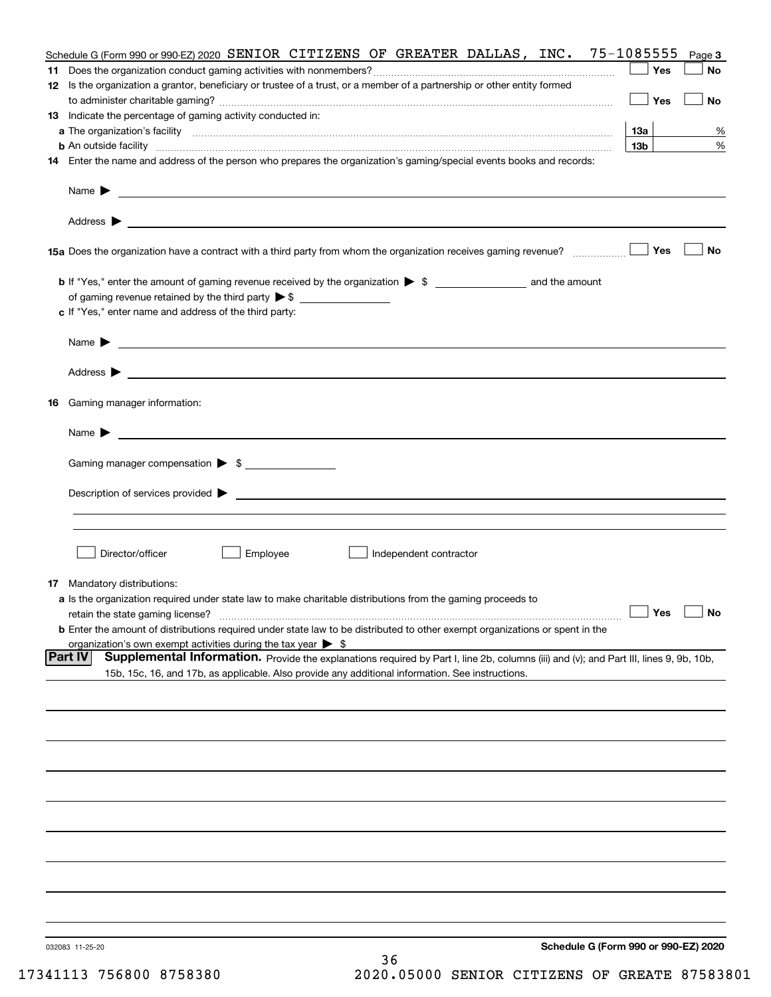|                | Schedule G (Form 990 or 990-EZ) 2020<br>032083 11-25-20<br>36                                                                                                                                                                              |                 |           |
|----------------|--------------------------------------------------------------------------------------------------------------------------------------------------------------------------------------------------------------------------------------------|-----------------|-----------|
|                |                                                                                                                                                                                                                                            |                 |           |
|                |                                                                                                                                                                                                                                            |                 |           |
|                |                                                                                                                                                                                                                                            |                 |           |
|                |                                                                                                                                                                                                                                            |                 |           |
|                |                                                                                                                                                                                                                                            |                 |           |
|                |                                                                                                                                                                                                                                            |                 |           |
|                |                                                                                                                                                                                                                                            |                 |           |
|                |                                                                                                                                                                                                                                            |                 |           |
|                |                                                                                                                                                                                                                                            |                 |           |
| <b>Part IV</b> | Supplemental Information. Provide the explanations required by Part I, line 2b, columns (iii) and (v); and Part III, lines 9, 9b, 10b,<br>15b, 15c, 16, and 17b, as applicable. Also provide any additional information. See instructions. |                 |           |
|                | organization's own exempt activities during the tax year $\triangleright$ \$                                                                                                                                                               |                 |           |
|                | retain the state gaming license?<br><b>b</b> Enter the amount of distributions required under state law to be distributed to other exempt organizations or spent in the                                                                    | $\Box$ Yes      | $\Box$ No |
|                | <b>17</b> Mandatory distributions:<br>a Is the organization required under state law to make charitable distributions from the gaming proceeds to                                                                                          |                 |           |
|                |                                                                                                                                                                                                                                            |                 |           |
|                | Director/officer<br>Employee<br>Independent contractor                                                                                                                                                                                     |                 |           |
|                |                                                                                                                                                                                                                                            |                 |           |
|                |                                                                                                                                                                                                                                            |                 |           |
|                | Gaming manager compensation > \$                                                                                                                                                                                                           |                 |           |
|                | $Name \rightarrow$                                                                                                                                                                                                                         |                 |           |
| 16             | Gaming manager information:                                                                                                                                                                                                                |                 |           |
|                | Address $\blacktriangleright$                                                                                                                                                                                                              |                 |           |
|                |                                                                                                                                                                                                                                            |                 |           |
|                | Name $\blacktriangleright$<br><u> 1989 - Johann Barbara, marka a shekara ta 1989 - An tsaran tsara a shekara tsara tsara tsara tsara tsara tsa</u>                                                                                         |                 |           |
|                | of gaming revenue retained by the third party $\triangleright$ \$<br>c If "Yes," enter name and address of the third party:                                                                                                                |                 |           |
|                |                                                                                                                                                                                                                                            |                 |           |
|                |                                                                                                                                                                                                                                            | Yes             | No        |
|                |                                                                                                                                                                                                                                            |                 |           |
|                |                                                                                                                                                                                                                                            |                 |           |
|                | 14 Enter the name and address of the person who prepares the organization's gaming/special events books and records:                                                                                                                       |                 |           |
|                |                                                                                                                                                                                                                                            | 13 <sub>b</sub> | %         |
|                | 13 Indicate the percentage of gaming activity conducted in:                                                                                                                                                                                | 13а             | %         |
|                |                                                                                                                                                                                                                                            | Yes             | No        |
|                | 12 Is the organization a grantor, beneficiary or trustee of a trust, or a member of a partnership or other entity formed                                                                                                                   | Yes             | No        |
|                | Schedule G (Form 990 or 990-EZ) 2020 SENIOR CITIZENS OF GREATER DALLAS, INC. 75-1085555                                                                                                                                                    |                 | Page 3    |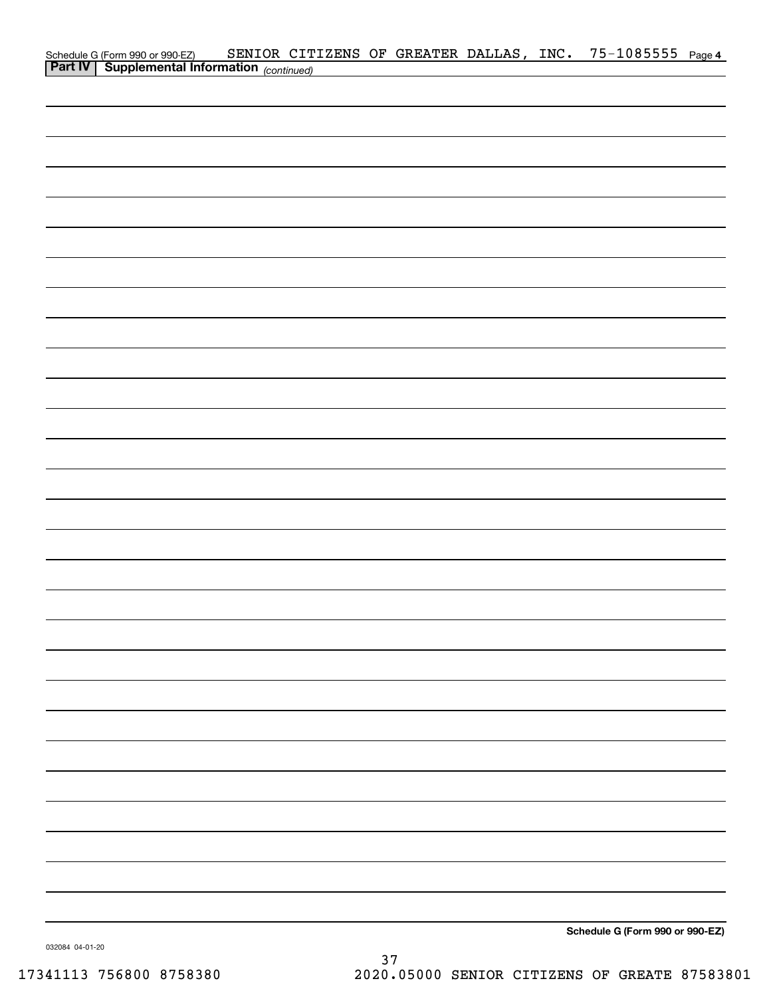| Schedule G (Form 990 or 990-EZ) SENIOR CIT<br><b>Part IV</b> Supplemental Information (continued) |  |  |  | SENIOR CITIZENS OF GREATER DALLAS, INC. 75-1085555 Page 4 |  |
|---------------------------------------------------------------------------------------------------|--|--|--|-----------------------------------------------------------|--|
|                                                                                                   |  |  |  |                                                           |  |
|                                                                                                   |  |  |  |                                                           |  |
|                                                                                                   |  |  |  |                                                           |  |
|                                                                                                   |  |  |  |                                                           |  |
|                                                                                                   |  |  |  |                                                           |  |
|                                                                                                   |  |  |  |                                                           |  |
|                                                                                                   |  |  |  |                                                           |  |
|                                                                                                   |  |  |  |                                                           |  |
|                                                                                                   |  |  |  |                                                           |  |
|                                                                                                   |  |  |  |                                                           |  |
|                                                                                                   |  |  |  |                                                           |  |
|                                                                                                   |  |  |  |                                                           |  |
|                                                                                                   |  |  |  |                                                           |  |
|                                                                                                   |  |  |  |                                                           |  |
|                                                                                                   |  |  |  |                                                           |  |
|                                                                                                   |  |  |  |                                                           |  |
|                                                                                                   |  |  |  |                                                           |  |
|                                                                                                   |  |  |  |                                                           |  |
|                                                                                                   |  |  |  |                                                           |  |
|                                                                                                   |  |  |  |                                                           |  |
|                                                                                                   |  |  |  |                                                           |  |
|                                                                                                   |  |  |  |                                                           |  |
|                                                                                                   |  |  |  |                                                           |  |
|                                                                                                   |  |  |  |                                                           |  |
|                                                                                                   |  |  |  |                                                           |  |
|                                                                                                   |  |  |  |                                                           |  |
|                                                                                                   |  |  |  |                                                           |  |
|                                                                                                   |  |  |  |                                                           |  |
|                                                                                                   |  |  |  |                                                           |  |
|                                                                                                   |  |  |  |                                                           |  |
|                                                                                                   |  |  |  |                                                           |  |
|                                                                                                   |  |  |  |                                                           |  |
|                                                                                                   |  |  |  |                                                           |  |
|                                                                                                   |  |  |  |                                                           |  |
|                                                                                                   |  |  |  |                                                           |  |
|                                                                                                   |  |  |  |                                                           |  |
|                                                                                                   |  |  |  |                                                           |  |
|                                                                                                   |  |  |  |                                                           |  |
|                                                                                                   |  |  |  |                                                           |  |
|                                                                                                   |  |  |  |                                                           |  |
|                                                                                                   |  |  |  |                                                           |  |
|                                                                                                   |  |  |  | Schedule G (Form 990 or 990-EZ)                           |  |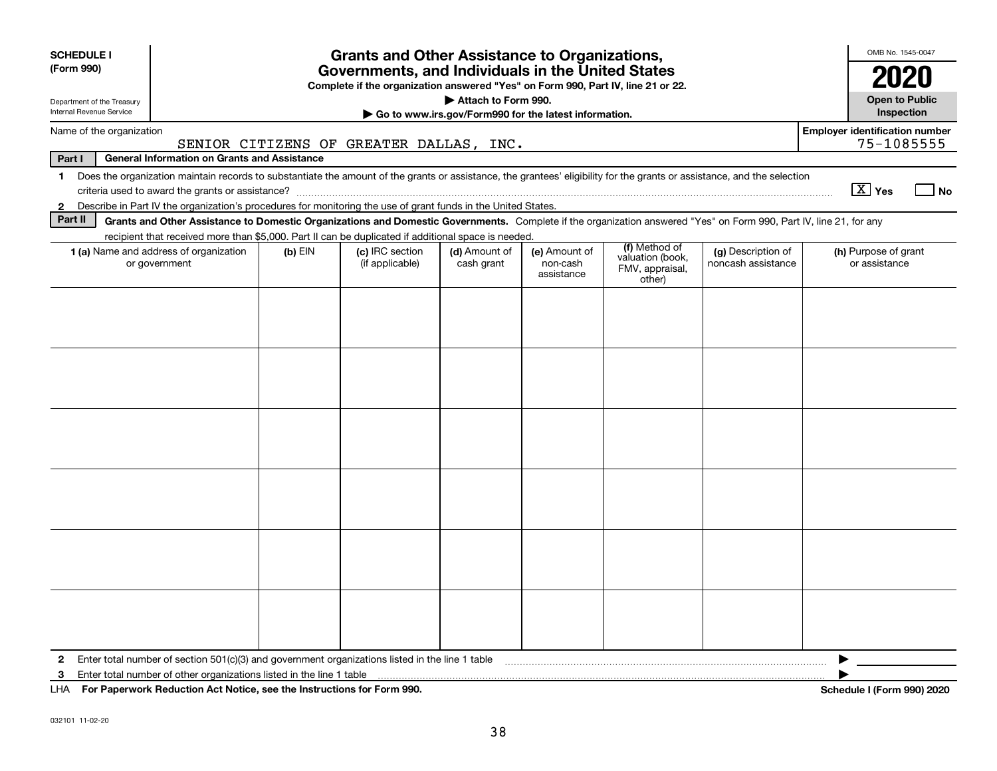| <b>SCHEDULE I</b>                                                                                                                                                                                                                                                                                   |                                                                                                                                                                          |           | <b>Grants and Other Assistance to Organizations,</b>                                                                                  |                                                                                                                                                                     |                                                       |               |                                       |  | OMB No. 1545-0047                     |    |  |
|-----------------------------------------------------------------------------------------------------------------------------------------------------------------------------------------------------------------------------------------------------------------------------------------------------|--------------------------------------------------------------------------------------------------------------------------------------------------------------------------|-----------|---------------------------------------------------------------------------------------------------------------------------------------|---------------------------------------------------------------------------------------------------------------------------------------------------------------------|-------------------------------------------------------|---------------|---------------------------------------|--|---------------------------------------|----|--|
| (Form 990)                                                                                                                                                                                                                                                                                          |                                                                                                                                                                          |           | Governments, and Individuals in the United States<br>Complete if the organization answered "Yes" on Form 990, Part IV, line 21 or 22. |                                                                                                                                                                     |                                                       |               |                                       |  | 2020                                  |    |  |
| Department of the Treasury                                                                                                                                                                                                                                                                          |                                                                                                                                                                          |           |                                                                                                                                       | Attach to Form 990.                                                                                                                                                 |                                                       |               |                                       |  | <b>Open to Public</b>                 |    |  |
| Internal Revenue Service                                                                                                                                                                                                                                                                            |                                                                                                                                                                          |           |                                                                                                                                       |                                                                                                                                                                     | Go to www.irs.gov/Form990 for the latest information. |               |                                       |  | Inspection                            |    |  |
| Name of the organization                                                                                                                                                                                                                                                                            |                                                                                                                                                                          |           |                                                                                                                                       |                                                                                                                                                                     |                                                       |               |                                       |  | <b>Employer identification number</b> |    |  |
|                                                                                                                                                                                                                                                                                                     |                                                                                                                                                                          |           | SENIOR CITIZENS OF GREATER DALLAS, INC.                                                                                               |                                                                                                                                                                     |                                                       |               |                                       |  | 75-1085555                            |    |  |
| Part I                                                                                                                                                                                                                                                                                              | <b>General Information on Grants and Assistance</b>                                                                                                                      |           |                                                                                                                                       |                                                                                                                                                                     |                                                       |               |                                       |  |                                       |    |  |
| $\mathbf 1$                                                                                                                                                                                                                                                                                         | Does the organization maintain records to substantiate the amount of the grants or assistance, the grantees' eligibility for the grants or assistance, and the selection |           |                                                                                                                                       |                                                                                                                                                                     |                                                       |               |                                       |  | $\boxed{\text{X}}$ Yes                | No |  |
| Describe in Part IV the organization's procedures for monitoring the use of grant funds in the United States.<br>$\mathbf{2}$<br>Grants and Other Assistance to Domestic Organizations and Domestic Governments. Complete if the organization answered "Yes" on Form 990, Part IV, line 21, for any |                                                                                                                                                                          |           |                                                                                                                                       |                                                                                                                                                                     |                                                       |               |                                       |  |                                       |    |  |
| Part II                                                                                                                                                                                                                                                                                             |                                                                                                                                                                          |           |                                                                                                                                       |                                                                                                                                                                     |                                                       |               |                                       |  |                                       |    |  |
|                                                                                                                                                                                                                                                                                                     | recipient that received more than \$5,000. Part II can be duplicated if additional space is needed.<br>1 (a) Name and address of organization                            | $(b)$ EIN | (c) IRC section                                                                                                                       |                                                                                                                                                                     |                                                       | (f) Method of |                                       |  |                                       |    |  |
|                                                                                                                                                                                                                                                                                                     | or government                                                                                                                                                            |           | (if applicable)                                                                                                                       | (d) Amount of<br>(e) Amount of<br>(g) Description of<br>valuation (book,<br>cash grant<br>non-cash<br>noncash assistance<br>FMV, appraisal,<br>assistance<br>other) |                                                       |               | (h) Purpose of grant<br>or assistance |  |                                       |    |  |
|                                                                                                                                                                                                                                                                                                     |                                                                                                                                                                          |           |                                                                                                                                       |                                                                                                                                                                     |                                                       |               |                                       |  |                                       |    |  |
|                                                                                                                                                                                                                                                                                                     |                                                                                                                                                                          |           |                                                                                                                                       |                                                                                                                                                                     |                                                       |               |                                       |  |                                       |    |  |
|                                                                                                                                                                                                                                                                                                     |                                                                                                                                                                          |           |                                                                                                                                       |                                                                                                                                                                     |                                                       |               |                                       |  |                                       |    |  |
|                                                                                                                                                                                                                                                                                                     |                                                                                                                                                                          |           |                                                                                                                                       |                                                                                                                                                                     |                                                       |               |                                       |  |                                       |    |  |
|                                                                                                                                                                                                                                                                                                     |                                                                                                                                                                          |           |                                                                                                                                       |                                                                                                                                                                     |                                                       |               |                                       |  |                                       |    |  |
|                                                                                                                                                                                                                                                                                                     |                                                                                                                                                                          |           |                                                                                                                                       |                                                                                                                                                                     |                                                       |               |                                       |  |                                       |    |  |
|                                                                                                                                                                                                                                                                                                     |                                                                                                                                                                          |           |                                                                                                                                       |                                                                                                                                                                     |                                                       |               |                                       |  |                                       |    |  |
|                                                                                                                                                                                                                                                                                                     |                                                                                                                                                                          |           |                                                                                                                                       |                                                                                                                                                                     |                                                       |               |                                       |  |                                       |    |  |
|                                                                                                                                                                                                                                                                                                     |                                                                                                                                                                          |           |                                                                                                                                       |                                                                                                                                                                     |                                                       |               |                                       |  |                                       |    |  |
|                                                                                                                                                                                                                                                                                                     |                                                                                                                                                                          |           |                                                                                                                                       |                                                                                                                                                                     |                                                       |               |                                       |  |                                       |    |  |
|                                                                                                                                                                                                                                                                                                     |                                                                                                                                                                          |           |                                                                                                                                       |                                                                                                                                                                     |                                                       |               |                                       |  |                                       |    |  |
|                                                                                                                                                                                                                                                                                                     |                                                                                                                                                                          |           |                                                                                                                                       |                                                                                                                                                                     |                                                       |               |                                       |  |                                       |    |  |
|                                                                                                                                                                                                                                                                                                     |                                                                                                                                                                          |           |                                                                                                                                       |                                                                                                                                                                     |                                                       |               |                                       |  |                                       |    |  |
|                                                                                                                                                                                                                                                                                                     |                                                                                                                                                                          |           |                                                                                                                                       |                                                                                                                                                                     |                                                       |               |                                       |  |                                       |    |  |
|                                                                                                                                                                                                                                                                                                     |                                                                                                                                                                          |           |                                                                                                                                       |                                                                                                                                                                     |                                                       |               |                                       |  |                                       |    |  |
|                                                                                                                                                                                                                                                                                                     |                                                                                                                                                                          |           |                                                                                                                                       |                                                                                                                                                                     |                                                       |               |                                       |  |                                       |    |  |
|                                                                                                                                                                                                                                                                                                     |                                                                                                                                                                          |           |                                                                                                                                       |                                                                                                                                                                     |                                                       |               |                                       |  |                                       |    |  |
|                                                                                                                                                                                                                                                                                                     |                                                                                                                                                                          |           |                                                                                                                                       |                                                                                                                                                                     |                                                       |               |                                       |  |                                       |    |  |
|                                                                                                                                                                                                                                                                                                     |                                                                                                                                                                          |           |                                                                                                                                       |                                                                                                                                                                     |                                                       |               |                                       |  |                                       |    |  |
|                                                                                                                                                                                                                                                                                                     |                                                                                                                                                                          |           |                                                                                                                                       |                                                                                                                                                                     |                                                       |               |                                       |  |                                       |    |  |
|                                                                                                                                                                                                                                                                                                     |                                                                                                                                                                          |           |                                                                                                                                       |                                                                                                                                                                     |                                                       |               |                                       |  |                                       |    |  |
| $\mathbf{2}$                                                                                                                                                                                                                                                                                        | Enter total number of section $501(c)(3)$ and government organizations listed in the line 1 table                                                                        |           |                                                                                                                                       |                                                                                                                                                                     |                                                       |               |                                       |  |                                       |    |  |
| 3                                                                                                                                                                                                                                                                                                   | Enter total number of other organizations listed in the line 1 table                                                                                                     |           |                                                                                                                                       |                                                                                                                                                                     |                                                       |               |                                       |  |                                       |    |  |
| LHA For Paperwork Reduction Act Notice, see the Instructions for Form 990.                                                                                                                                                                                                                          |                                                                                                                                                                          |           |                                                                                                                                       |                                                                                                                                                                     |                                                       |               |                                       |  | Schedule I (Form 990) 2020            |    |  |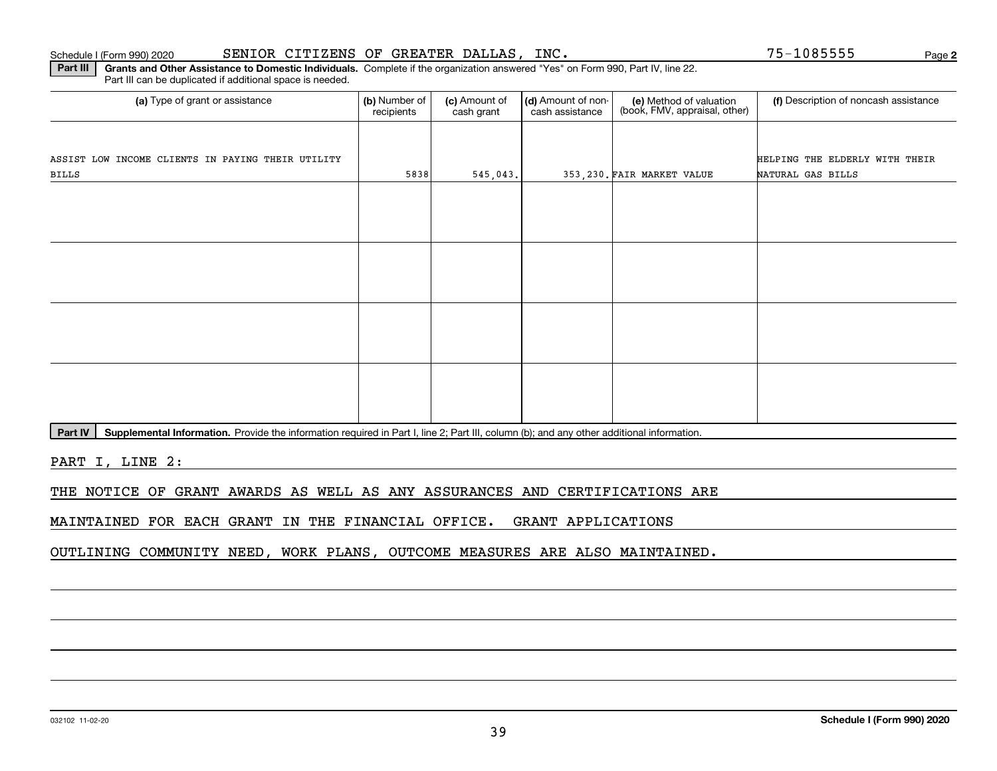#### Schedule I (Form 990) 2020 SENIOR CITIZENS OF GREATER DALLAS, INC。 75-1085555 Page

**2**

**Part III | Grants and Other Assistance to Domestic Individuals. Complete if the organization answered "Yes" on Form 990, Part IV, line 22.** Part III can be duplicated if additional space is needed.

| (a) Type of grant or assistance                   | (b) Number of<br>(c) Amount of<br>recipients<br>cash grant |          | (d) Amount of non-<br>cash assistance | (e) Method of valuation<br>(book, FMV, appraisal, other) | (f) Description of noncash assistance |  |
|---------------------------------------------------|------------------------------------------------------------|----------|---------------------------------------|----------------------------------------------------------|---------------------------------------|--|
|                                                   |                                                            |          |                                       |                                                          |                                       |  |
| ASSIST LOW INCOME CLIENTS IN PAYING THEIR UTILITY |                                                            |          |                                       |                                                          | HELPING THE ELDERLY WITH THEIR        |  |
| BILLS                                             | 5838                                                       | 545,043. |                                       | 353, 230. FAIR MARKET VALUE                              | NATURAL GAS BILLS                     |  |
|                                                   |                                                            |          |                                       |                                                          |                                       |  |
|                                                   |                                                            |          |                                       |                                                          |                                       |  |
|                                                   |                                                            |          |                                       |                                                          |                                       |  |
|                                                   |                                                            |          |                                       |                                                          |                                       |  |
|                                                   |                                                            |          |                                       |                                                          |                                       |  |
|                                                   |                                                            |          |                                       |                                                          |                                       |  |
|                                                   |                                                            |          |                                       |                                                          |                                       |  |
|                                                   |                                                            |          |                                       |                                                          |                                       |  |
|                                                   |                                                            |          |                                       |                                                          |                                       |  |
|                                                   |                                                            |          |                                       |                                                          |                                       |  |
|                                                   |                                                            |          |                                       |                                                          |                                       |  |
|                                                   |                                                            |          |                                       |                                                          |                                       |  |

Part IV | Supplemental Information. Provide the information required in Part I, line 2; Part III, column (b); and any other additional information.

PART I, LINE 2:

THE NOTICE OF GRANT AWARDS AS WELL AS ANY ASSURANCES AND CERTIFICATIONS ARE

MAINTAINED FOR EACH GRANT IN THE FINANCIAL OFFICE. GRANT APPLICATIONS

OUTLINING COMMUNITY NEED, WORK PLANS, OUTCOME MEASURES ARE ALSO MAINTAINED.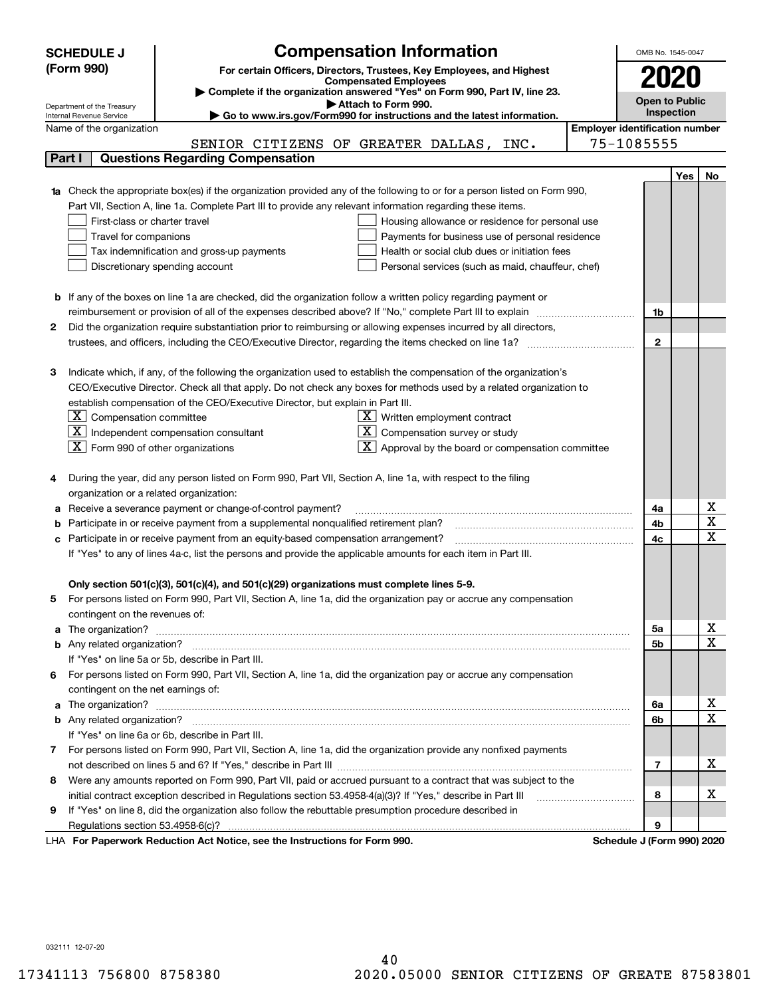| <b>Compensation Information</b><br>OMB No. 1545-0047<br><b>SCHEDULE J</b> |                                                                                                                        |                                                                                                                             |                                       |                |            |                                     |  |  |
|---------------------------------------------------------------------------|------------------------------------------------------------------------------------------------------------------------|-----------------------------------------------------------------------------------------------------------------------------|---------------------------------------|----------------|------------|-------------------------------------|--|--|
|                                                                           | (Form 990)                                                                                                             | For certain Officers, Directors, Trustees, Key Employees, and Highest                                                       |                                       |                |            |                                     |  |  |
|                                                                           |                                                                                                                        | <b>Compensated Employees</b>                                                                                                |                                       |                |            |                                     |  |  |
|                                                                           |                                                                                                                        | Complete if the organization answered "Yes" on Form 990, Part IV, line 23.<br>Attach to Form 990.                           |                                       | Open to Public |            |                                     |  |  |
|                                                                           | Department of the Treasury<br>Internal Revenue Service                                                                 | Go to www.irs.gov/Form990 for instructions and the latest information.                                                      |                                       |                | Inspection |                                     |  |  |
|                                                                           | Name of the organization                                                                                               |                                                                                                                             | <b>Employer identification number</b> |                |            |                                     |  |  |
|                                                                           |                                                                                                                        | SENIOR CITIZENS OF GREATER DALLAS, INC.                                                                                     |                                       | 75-1085555     |            |                                     |  |  |
|                                                                           | Part I                                                                                                                 | <b>Questions Regarding Compensation</b>                                                                                     |                                       |                |            |                                     |  |  |
|                                                                           |                                                                                                                        |                                                                                                                             |                                       |                | Yes        | No                                  |  |  |
|                                                                           |                                                                                                                        | 1a Check the appropriate box(es) if the organization provided any of the following to or for a person listed on Form 990,   |                                       |                |            |                                     |  |  |
|                                                                           |                                                                                                                        | Part VII, Section A, line 1a. Complete Part III to provide any relevant information regarding these items.                  |                                       |                |            |                                     |  |  |
|                                                                           | First-class or charter travel                                                                                          | Housing allowance or residence for personal use                                                                             |                                       |                |            |                                     |  |  |
|                                                                           | Travel for companions<br>Payments for business use of personal residence                                               |                                                                                                                             |                                       |                |            |                                     |  |  |
|                                                                           |                                                                                                                        | Health or social club dues or initiation fees<br>Tax indemnification and gross-up payments                                  |                                       |                |            |                                     |  |  |
|                                                                           | Discretionary spending account<br>Personal services (such as maid, chauffeur, chef)                                    |                                                                                                                             |                                       |                |            |                                     |  |  |
|                                                                           |                                                                                                                        |                                                                                                                             |                                       |                |            |                                     |  |  |
|                                                                           | <b>b</b> If any of the boxes on line 1a are checked, did the organization follow a written policy regarding payment or |                                                                                                                             |                                       |                |            |                                     |  |  |
|                                                                           |                                                                                                                        | reimbursement or provision of all of the expenses described above? If "No," complete Part III to explain                    |                                       | 1b             |            |                                     |  |  |
| 2                                                                         |                                                                                                                        | Did the organization require substantiation prior to reimbursing or allowing expenses incurred by all directors,            |                                       |                |            |                                     |  |  |
|                                                                           |                                                                                                                        |                                                                                                                             |                                       | $\mathbf{2}$   |            |                                     |  |  |
| з                                                                         |                                                                                                                        | Indicate which, if any, of the following the organization used to establish the compensation of the organization's          |                                       |                |            |                                     |  |  |
|                                                                           |                                                                                                                        | CEO/Executive Director. Check all that apply. Do not check any boxes for methods used by a related organization to          |                                       |                |            |                                     |  |  |
|                                                                           |                                                                                                                        | establish compensation of the CEO/Executive Director, but explain in Part III.                                              |                                       |                |            |                                     |  |  |
|                                                                           | $\lfloor \texttt{X} \rfloor$ Compensation committee                                                                    | $X$ Written employment contract                                                                                             |                                       |                |            |                                     |  |  |
|                                                                           |                                                                                                                        | $ \mathbf{X} $ Independent compensation consultant<br>Compensation survey or study<br>X                                     |                                       |                |            |                                     |  |  |
|                                                                           | $\boxed{\textbf{X}}$ Form 990 of other organizations                                                                   | Approval by the board or compensation committee                                                                             |                                       |                |            |                                     |  |  |
|                                                                           |                                                                                                                        |                                                                                                                             |                                       |                |            |                                     |  |  |
|                                                                           |                                                                                                                        | During the year, did any person listed on Form 990, Part VII, Section A, line 1a, with respect to the filing                |                                       |                |            |                                     |  |  |
|                                                                           | organization or a related organization:                                                                                |                                                                                                                             |                                       |                |            |                                     |  |  |
|                                                                           |                                                                                                                        | Receive a severance payment or change-of-control payment?                                                                   |                                       | 4a             |            | $\underline{x}$                     |  |  |
|                                                                           |                                                                                                                        | Participate in or receive payment from a supplemental nonqualified retirement plan?                                         |                                       | 4b             |            | $\overline{\mathtt{x}}$             |  |  |
| с                                                                         |                                                                                                                        | Participate in or receive payment from an equity-based compensation arrangement?                                            |                                       | 4c             |            | $\overline{\text{x}}$               |  |  |
|                                                                           |                                                                                                                        | If "Yes" to any of lines 4a-c, list the persons and provide the applicable amounts for each item in Part III.               |                                       |                |            |                                     |  |  |
|                                                                           |                                                                                                                        |                                                                                                                             |                                       |                |            |                                     |  |  |
|                                                                           |                                                                                                                        | Only section 501(c)(3), 501(c)(4), and 501(c)(29) organizations must complete lines 5-9.                                    |                                       |                |            |                                     |  |  |
| 5                                                                         |                                                                                                                        | For persons listed on Form 990, Part VII, Section A, line 1a, did the organization pay or accrue any compensation           |                                       |                |            |                                     |  |  |
|                                                                           | contingent on the revenues of:                                                                                         |                                                                                                                             |                                       |                |            |                                     |  |  |
|                                                                           |                                                                                                                        | a The organization? <b>Manual Community Community</b> Community Community Community Community Community Community Community |                                       | 5а             |            | $\overline{\mathbf{x}}$             |  |  |
|                                                                           |                                                                                                                        |                                                                                                                             |                                       | <b>5b</b>      |            | $\overline{\text{x}}$               |  |  |
|                                                                           |                                                                                                                        | If "Yes" on line 5a or 5b, describe in Part III.                                                                            |                                       |                |            |                                     |  |  |
| 6.                                                                        |                                                                                                                        | For persons listed on Form 990, Part VII, Section A, line 1a, did the organization pay or accrue any compensation           |                                       |                |            |                                     |  |  |
|                                                                           | contingent on the net earnings of:                                                                                     |                                                                                                                             |                                       |                |            |                                     |  |  |
|                                                                           |                                                                                                                        |                                                                                                                             |                                       | 6a             |            | <u>x</u><br>$\overline{\mathtt{x}}$ |  |  |
|                                                                           |                                                                                                                        |                                                                                                                             |                                       | 6b             |            |                                     |  |  |
|                                                                           |                                                                                                                        | If "Yes" on line 6a or 6b, describe in Part III.                                                                            |                                       |                |            |                                     |  |  |
|                                                                           |                                                                                                                        | 7 For persons listed on Form 990, Part VII, Section A, line 1a, did the organization provide any nonfixed payments          |                                       |                |            |                                     |  |  |
|                                                                           |                                                                                                                        |                                                                                                                             |                                       | 7              |            | x                                   |  |  |
| 8                                                                         |                                                                                                                        | Were any amounts reported on Form 990, Part VII, paid or accrued pursuant to a contract that was subject to the             |                                       |                |            |                                     |  |  |
|                                                                           |                                                                                                                        | initial contract exception described in Regulations section 53.4958-4(a)(3)? If "Yes," describe in Part III                 |                                       | 8              |            | x                                   |  |  |
| 9                                                                         |                                                                                                                        | If "Yes" on line 8, did the organization also follow the rebuttable presumption procedure described in                      |                                       |                |            |                                     |  |  |
|                                                                           |                                                                                                                        | uli Deduction Act Notice, ace the Instructions for Form 000                                                                 |                                       | 9              |            |                                     |  |  |

LHA For Paperwork Reduction Act Notice, see the Instructions for Form 990. Schedule J (Form 990) 2020

032111 12-07-20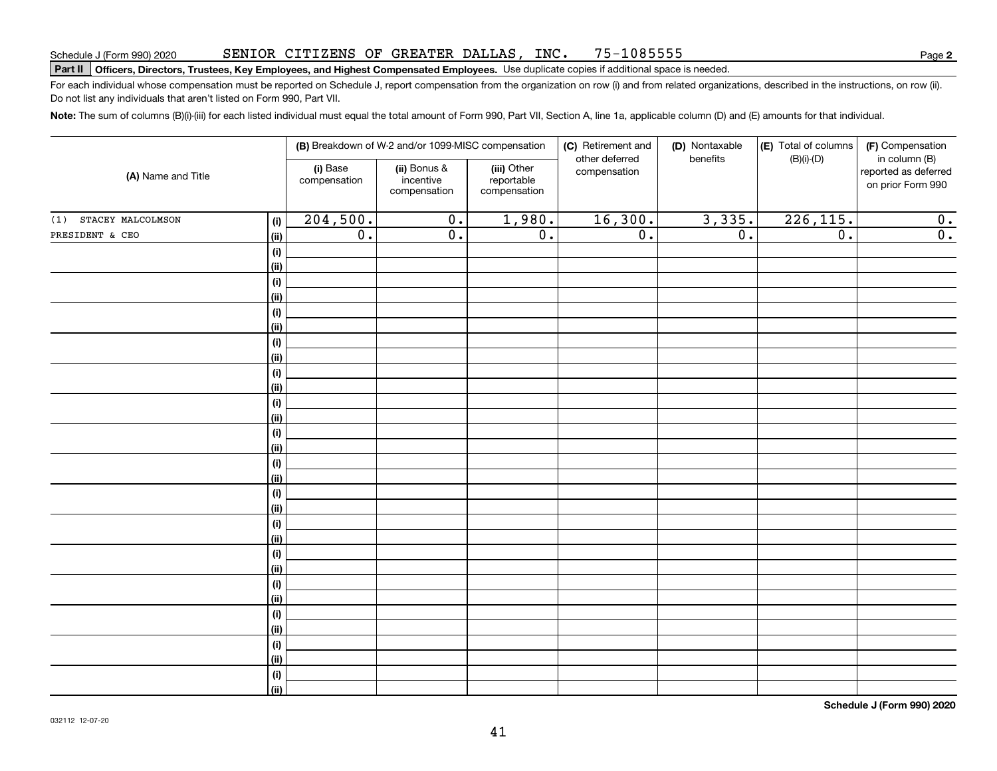#### SENIOR CITIZENS OF GREATER DALLAS, INC. 75-1085555

# **Part II Officers, Directors, Trustees, Key Employees, and Highest Compensated Employees.**  Schedule J (Form 990) 2020 Page Use duplicate copies if additional space is needed.

For each individual whose compensation must be reported on Schedule J, report compensation from the organization on row (i) and from related organizations, described in the instructions, on row (ii). Do not list any individuals that aren't listed on Form 990, Part VII.

**Note:**  The sum of columns (B)(i)-(iii) for each listed individual must equal the total amount of Form 990, Part VII, Section A, line 1a, applicable column (D) and (E) amounts for that individual.

|                          |                    |                          | (B) Breakdown of W-2 and/or 1099-MISC compensation |                                           | (C) Retirement and             | (D) Nontaxable   | (E) Total of columns | (F) Compensation                                           |
|--------------------------|--------------------|--------------------------|----------------------------------------------------|-------------------------------------------|--------------------------------|------------------|----------------------|------------------------------------------------------------|
| (A) Name and Title       |                    | (i) Base<br>compensation | (ii) Bonus &<br>incentive<br>compensation          | (iii) Other<br>reportable<br>compensation | other deferred<br>compensation | benefits         | $(B)(i)$ - $(D)$     | in column (B)<br>reported as deferred<br>on prior Form 990 |
| STACEY MALCOLMSON<br>(1) | (i)                | 204,500.                 | $\overline{0}$ .                                   | 1,980.                                    | 16,300.                        | 3,335.           | 226, 115.            | $\overline{0}$ .                                           |
| PRESIDENT & CEO          | (ii)               | $\overline{0}$ .         | $\overline{0}$ .                                   | $\overline{0}$ .                          | $\overline{0}$ .               | $\overline{0}$ . | $\overline{0}$ .     | $\overline{\mathbf{0}}$ .                                  |
|                          | $(\sf{i})$         |                          |                                                    |                                           |                                |                  |                      |                                                            |
|                          | (ii)               |                          |                                                    |                                           |                                |                  |                      |                                                            |
|                          | $(\sf{i})$         |                          |                                                    |                                           |                                |                  |                      |                                                            |
|                          | (ii)               |                          |                                                    |                                           |                                |                  |                      |                                                            |
|                          | $(\sf{i})$         |                          |                                                    |                                           |                                |                  |                      |                                                            |
|                          | (ii)               |                          |                                                    |                                           |                                |                  |                      |                                                            |
|                          | (i)                |                          |                                                    |                                           |                                |                  |                      |                                                            |
|                          | (ii)               |                          |                                                    |                                           |                                |                  |                      |                                                            |
|                          | (i)                |                          |                                                    |                                           |                                |                  |                      |                                                            |
|                          | (ii)               |                          |                                                    |                                           |                                |                  |                      |                                                            |
|                          | (i)                |                          |                                                    |                                           |                                |                  |                      |                                                            |
|                          | (ii)<br>$(\sf{i})$ |                          |                                                    |                                           |                                |                  |                      |                                                            |
|                          | (ii)               |                          |                                                    |                                           |                                |                  |                      |                                                            |
|                          | $(\sf{i})$         |                          |                                                    |                                           |                                |                  |                      |                                                            |
|                          | (ii)               |                          |                                                    |                                           |                                |                  |                      |                                                            |
|                          | $(\sf{i})$         |                          |                                                    |                                           |                                |                  |                      |                                                            |
|                          | (ii)               |                          |                                                    |                                           |                                |                  |                      |                                                            |
|                          | (i)                |                          |                                                    |                                           |                                |                  |                      |                                                            |
|                          | (ii)               |                          |                                                    |                                           |                                |                  |                      |                                                            |
|                          | (i)                |                          |                                                    |                                           |                                |                  |                      |                                                            |
|                          | (ii)               |                          |                                                    |                                           |                                |                  |                      |                                                            |
|                          | (i)                |                          |                                                    |                                           |                                |                  |                      |                                                            |
|                          | (ii)               |                          |                                                    |                                           |                                |                  |                      |                                                            |
|                          | (i)                |                          |                                                    |                                           |                                |                  |                      |                                                            |
|                          | (ii)               |                          |                                                    |                                           |                                |                  |                      |                                                            |
|                          | (i)                |                          |                                                    |                                           |                                |                  |                      |                                                            |
|                          | (ii)               |                          |                                                    |                                           |                                |                  |                      |                                                            |
|                          | $(\sf{i})$         |                          |                                                    |                                           |                                |                  |                      |                                                            |
|                          | (ii)               |                          |                                                    |                                           |                                |                  |                      |                                                            |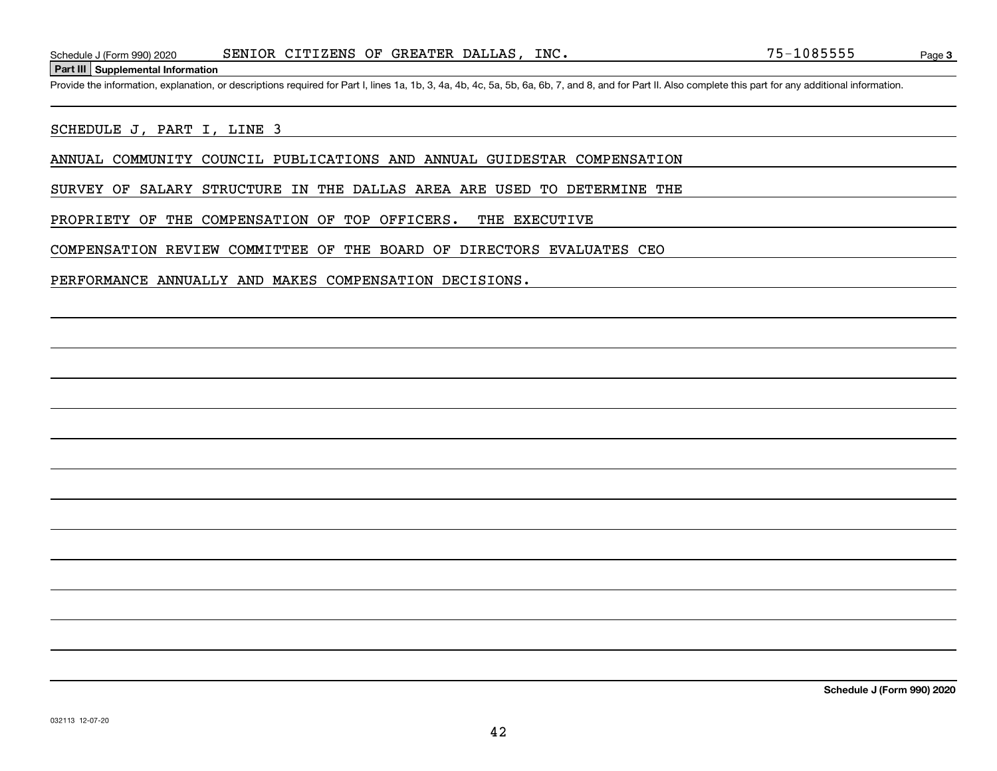#### **Part III Supplemental Information**

Schedule J (Form 990) 2020 SENIOR CITIZENS OF GREATER DALLAS, INC. 75-1085555<br>Part III Supplemental Information<br>Provide the information, explanation, or descriptions required for Part I, lines 1a, 1b, 3, 4a, 4b, 4c, 5a, 5b

#### SCHEDULE J, PART I, LINE 3

ANNUAL COMMUNITY COUNCIL PUBLICATIONS AND ANNUAL GUIDESTAR COMPENSATION

SURVEY OF SALARY STRUCTURE IN THE DALLAS AREA ARE USED TO DETERMINE THE

PROPRIETY OF THE COMPENSATION OF TOP OFFICERS. THE EXECUTIVE

COMPENSATION REVIEW COMMITTEE OF THE BOARD OF DIRECTORS EVALUATES CEO

PERFORMANCE ANNUALLY AND MAKES COMPENSATION DECISIONS.

**Schedule J (Form 990) 2020**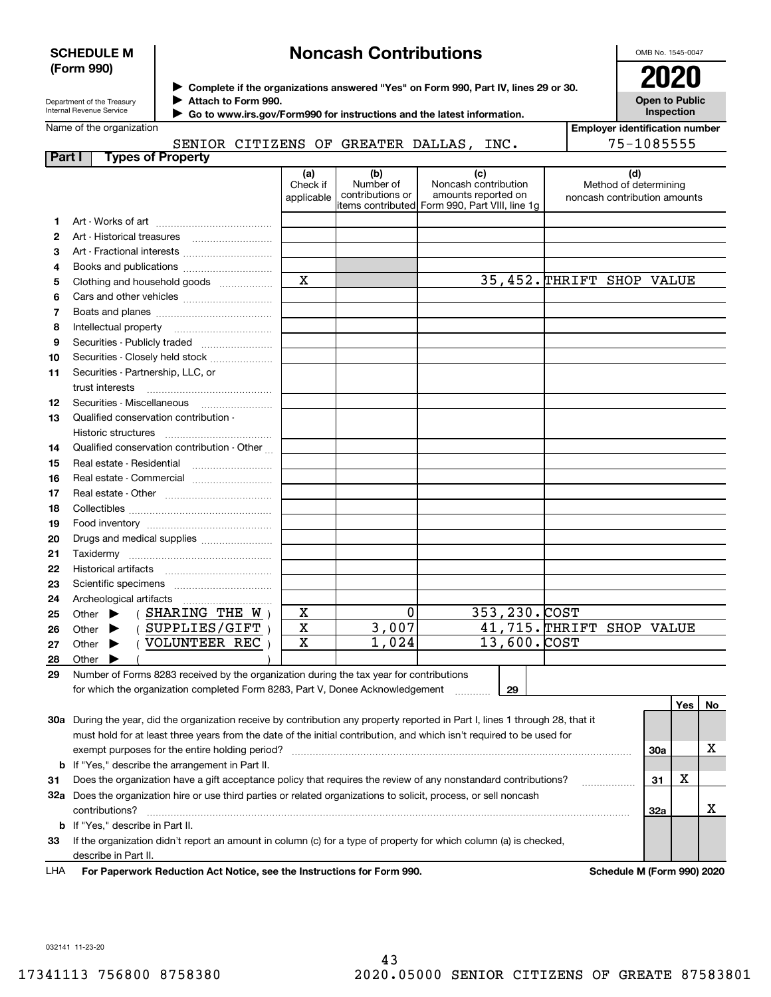## **SCHEDULE M (Form 990)**

# **Noncash Contributions**

OMB No. 1545-0047

| Department of the Treasury |
|----------------------------|
| Internal Revenue Service   |

**Complete if the organizations answered "Yes" on Form 990, Part IV, lines 29 or 30.** <sup>J</sup>**2020 Attach to Form 990.** J

**Open to Public Inspection**

| Name of the organization |
|--------------------------|
|--------------------------|

 **Go to www.irs.gov/Form990 for instructions and the latest information.** J

|        | Name of the organization                                                                                                       |                               |                                                                                         |                                                    |                           | <b>Employer identification number</b>                        |     |     |    |
|--------|--------------------------------------------------------------------------------------------------------------------------------|-------------------------------|-----------------------------------------------------------------------------------------|----------------------------------------------------|---------------------------|--------------------------------------------------------------|-----|-----|----|
|        | SENIOR CITIZENS OF GREATER DALLAS, INC.                                                                                        |                               |                                                                                         |                                                    |                           | 75-1085555                                                   |     |     |    |
| Part I | <b>Types of Property</b>                                                                                                       |                               |                                                                                         |                                                    |                           |                                                              |     |     |    |
|        |                                                                                                                                | (a)<br>Check if<br>applicable | (b)<br>Number of<br>contributions or<br>items contributed  Form 990, Part VIII, line 1g | (c)<br>Noncash contribution<br>amounts reported on |                           | (d)<br>Method of determining<br>noncash contribution amounts |     |     |    |
| 1.     |                                                                                                                                |                               |                                                                                         |                                                    |                           |                                                              |     |     |    |
| 2      |                                                                                                                                |                               |                                                                                         |                                                    |                           |                                                              |     |     |    |
| 3      |                                                                                                                                |                               |                                                                                         |                                                    |                           |                                                              |     |     |    |
| 4      |                                                                                                                                |                               |                                                                                         |                                                    |                           |                                                              |     |     |    |
| 5      | Clothing and household goods                                                                                                   | $\mathbf x$                   |                                                                                         |                                                    | 35,452. THRIFT SHOP VALUE |                                                              |     |     |    |
| 6      |                                                                                                                                |                               |                                                                                         |                                                    |                           |                                                              |     |     |    |
| 7      |                                                                                                                                |                               |                                                                                         |                                                    |                           |                                                              |     |     |    |
| 8      |                                                                                                                                |                               |                                                                                         |                                                    |                           |                                                              |     |     |    |
| 9      |                                                                                                                                |                               |                                                                                         |                                                    |                           |                                                              |     |     |    |
| 10     | Securities - Closely held stock                                                                                                |                               |                                                                                         |                                                    |                           |                                                              |     |     |    |
| 11     | Securities - Partnership, LLC, or                                                                                              |                               |                                                                                         |                                                    |                           |                                                              |     |     |    |
|        | trust interests                                                                                                                |                               |                                                                                         |                                                    |                           |                                                              |     |     |    |
| 12     |                                                                                                                                |                               |                                                                                         |                                                    |                           |                                                              |     |     |    |
| 13     | Qualified conservation contribution -                                                                                          |                               |                                                                                         |                                                    |                           |                                                              |     |     |    |
|        |                                                                                                                                |                               |                                                                                         |                                                    |                           |                                                              |     |     |    |
| 14     | Qualified conservation contribution - Other                                                                                    |                               |                                                                                         |                                                    |                           |                                                              |     |     |    |
| 15     | Real estate - Residential                                                                                                      |                               |                                                                                         |                                                    |                           |                                                              |     |     |    |
| 16     | Real estate - Commercial                                                                                                       |                               |                                                                                         |                                                    |                           |                                                              |     |     |    |
| 17     |                                                                                                                                |                               |                                                                                         |                                                    |                           |                                                              |     |     |    |
| 18     |                                                                                                                                |                               |                                                                                         |                                                    |                           |                                                              |     |     |    |
| 19     |                                                                                                                                |                               |                                                                                         |                                                    |                           |                                                              |     |     |    |
| 20     | Drugs and medical supplies                                                                                                     |                               |                                                                                         |                                                    |                           |                                                              |     |     |    |
| 21     |                                                                                                                                |                               |                                                                                         |                                                    |                           |                                                              |     |     |    |
| 22     |                                                                                                                                |                               |                                                                                         |                                                    |                           |                                                              |     |     |    |
| 23     |                                                                                                                                |                               |                                                                                         |                                                    |                           |                                                              |     |     |    |
| 24     | Archeological artifacts                                                                                                        |                               |                                                                                         |                                                    |                           |                                                              |     |     |    |
| 25     | (SHARING THE $W$ )<br>Other $\blacktriangleright$                                                                              | X                             | $\mathbf 0$                                                                             |                                                    | 353,230.COST              |                                                              |     |     |    |
| 26     | (SUPPLIES/GIFT)<br>Other $\blacktriangleright$                                                                                 | $\overline{\mathtt{x}}$       | 3,007                                                                                   |                                                    | 41,715. THRIFT SHOP VALUE |                                                              |     |     |    |
| 27     | (VOLUNTEER REC)<br>Other $\blacktriangleright$                                                                                 | $\overline{\mathtt{x}}$       | 1,024                                                                                   |                                                    | $13,600.$ COST            |                                                              |     |     |    |
| 28     | Other $\blacktriangleright$                                                                                                    |                               |                                                                                         |                                                    |                           |                                                              |     |     |    |
| 29     | Number of Forms 8283 received by the organization during the tax year for contributions                                        |                               |                                                                                         |                                                    |                           |                                                              |     |     |    |
|        | for which the organization completed Form 8283, Part V, Donee Acknowledgement                                                  |                               |                                                                                         |                                                    | 29                        |                                                              |     |     |    |
|        |                                                                                                                                |                               |                                                                                         |                                                    |                           |                                                              |     | Yes | No |
|        | 30a During the year, did the organization receive by contribution any property reported in Part I, lines 1 through 28, that it |                               |                                                                                         |                                                    |                           |                                                              |     |     |    |
|        | must hold for at least three years from the date of the initial contribution, and which isn't required to be used for          |                               |                                                                                         |                                                    |                           |                                                              |     |     |    |
|        | exempt purposes for the entire holding period?                                                                                 |                               |                                                                                         |                                                    |                           |                                                              | 30a |     | х  |
| b      | If "Yes," describe the arrangement in Part II.                                                                                 |                               |                                                                                         |                                                    |                           |                                                              |     |     |    |
| 31     | Does the organization have a gift acceptance policy that requires the review of any nonstandard contributions?                 |                               |                                                                                         |                                                    |                           |                                                              | 31  | x   |    |
|        | 32a Does the organization hire or use third parties or related organizations to solicit, process, or sell noncash              |                               |                                                                                         |                                                    |                           |                                                              |     |     |    |
|        | contributions?                                                                                                                 |                               |                                                                                         |                                                    |                           |                                                              | 32a |     | x  |

**For Paperwork Reduction Act Notice, see the Instructions for Form 990. Schedule M (Form 990) 2020** describe in Part II. LHA

**33**If the organization didn't report an amount in column (c) for a type of property for which column (a) is checked,

032141 11-23-20

**b**If "Yes," describe in Part II.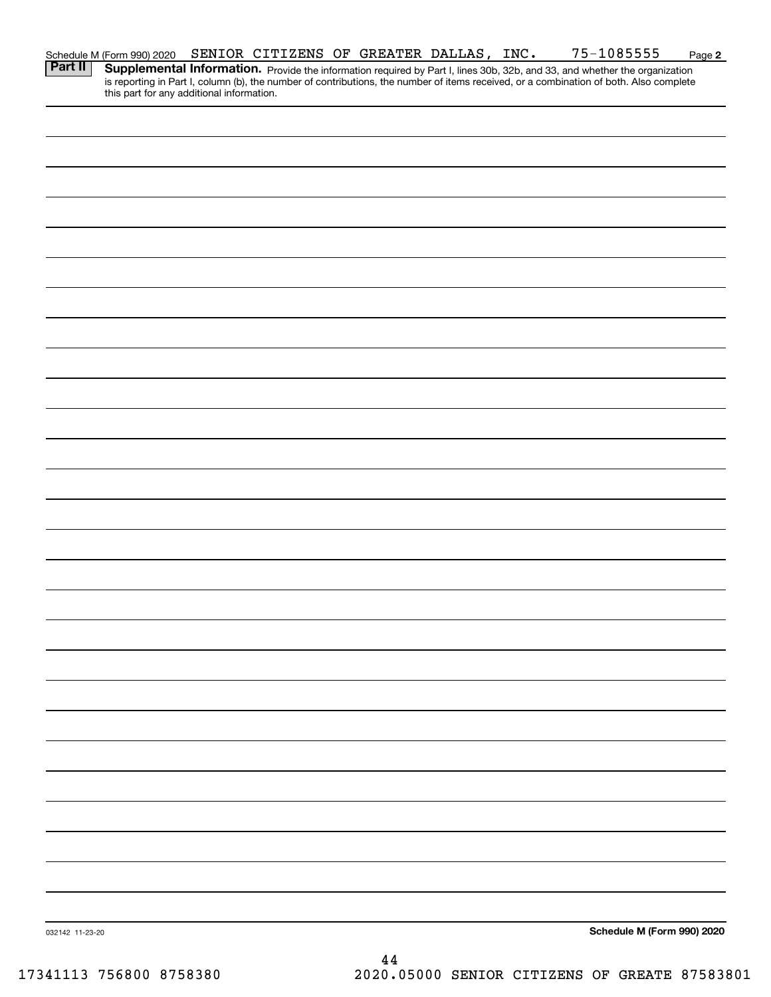|                 | Schedule M (Form 990) 2020                | SENIOR CITIZENS OF GREATER DALLAS, INC. |  |  | 75-1085555                                                                                                                                                                                                                                                           | Page 2 |
|-----------------|-------------------------------------------|-----------------------------------------|--|--|----------------------------------------------------------------------------------------------------------------------------------------------------------------------------------------------------------------------------------------------------------------------|--------|
| Part II         | this part for any additional information. |                                         |  |  | Supplemental Information. Provide the information required by Part I, lines 30b, 32b, and 33, and whether the organization<br>is reporting in Part I, column (b), the number of contributions, the number of items received, or a combination of both. Also complete |        |
|                 |                                           |                                         |  |  |                                                                                                                                                                                                                                                                      |        |
|                 |                                           |                                         |  |  |                                                                                                                                                                                                                                                                      |        |
|                 |                                           |                                         |  |  |                                                                                                                                                                                                                                                                      |        |
|                 |                                           |                                         |  |  |                                                                                                                                                                                                                                                                      |        |
|                 |                                           |                                         |  |  |                                                                                                                                                                                                                                                                      |        |
|                 |                                           |                                         |  |  |                                                                                                                                                                                                                                                                      |        |
|                 |                                           |                                         |  |  |                                                                                                                                                                                                                                                                      |        |
|                 |                                           |                                         |  |  |                                                                                                                                                                                                                                                                      |        |
|                 |                                           |                                         |  |  |                                                                                                                                                                                                                                                                      |        |
|                 |                                           |                                         |  |  |                                                                                                                                                                                                                                                                      |        |
|                 |                                           |                                         |  |  |                                                                                                                                                                                                                                                                      |        |
|                 |                                           |                                         |  |  |                                                                                                                                                                                                                                                                      |        |
|                 |                                           |                                         |  |  |                                                                                                                                                                                                                                                                      |        |
|                 |                                           |                                         |  |  |                                                                                                                                                                                                                                                                      |        |
|                 |                                           |                                         |  |  |                                                                                                                                                                                                                                                                      |        |
|                 |                                           |                                         |  |  |                                                                                                                                                                                                                                                                      |        |
|                 |                                           |                                         |  |  |                                                                                                                                                                                                                                                                      |        |
|                 |                                           |                                         |  |  |                                                                                                                                                                                                                                                                      |        |
|                 |                                           |                                         |  |  |                                                                                                                                                                                                                                                                      |        |
|                 |                                           |                                         |  |  |                                                                                                                                                                                                                                                                      |        |
|                 |                                           |                                         |  |  |                                                                                                                                                                                                                                                                      |        |
|                 |                                           |                                         |  |  |                                                                                                                                                                                                                                                                      |        |
|                 |                                           |                                         |  |  |                                                                                                                                                                                                                                                                      |        |
|                 |                                           |                                         |  |  |                                                                                                                                                                                                                                                                      |        |
|                 |                                           |                                         |  |  |                                                                                                                                                                                                                                                                      |        |
|                 |                                           |                                         |  |  |                                                                                                                                                                                                                                                                      |        |
|                 |                                           |                                         |  |  |                                                                                                                                                                                                                                                                      |        |
|                 |                                           |                                         |  |  |                                                                                                                                                                                                                                                                      |        |
| 032142 11-23-20 |                                           |                                         |  |  | Schedule M (Form 990) 2020                                                                                                                                                                                                                                           |        |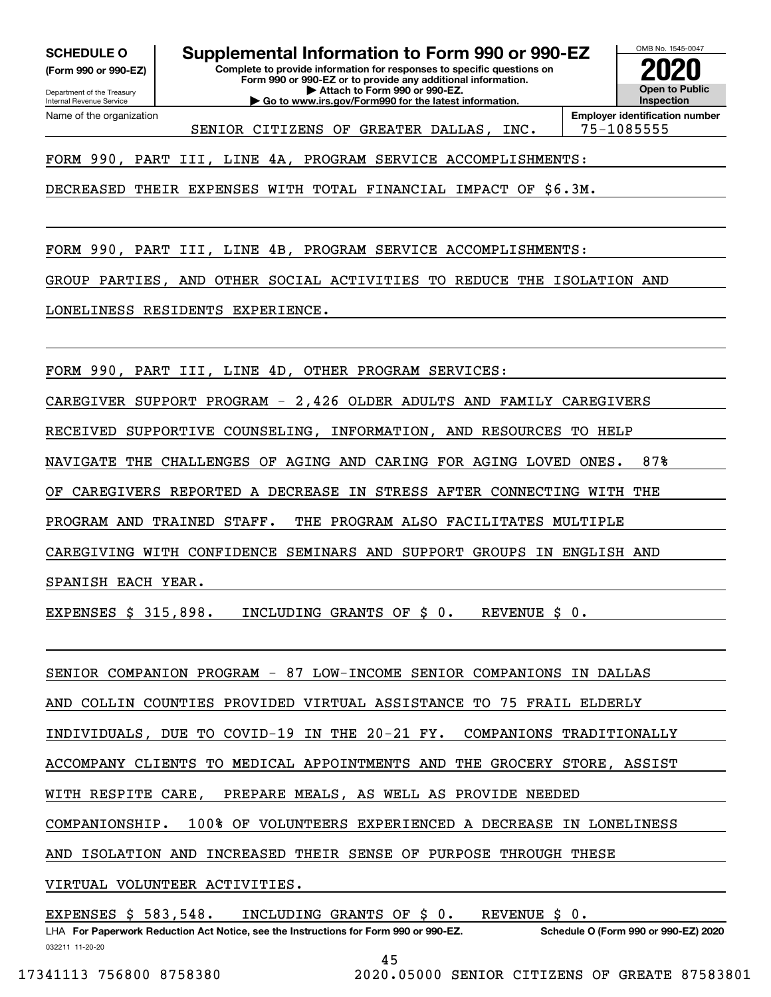**(Form 990 or 990-EZ)**

Department of the Treasury Internal Revenue Service Name of the organization

**Complete to provide information for responses to specific questions on Form 990 or 990-EZ or to provide any additional information. SCHEDULE O Supplemental Information to Form 990 or 990-EZ**

OMB No. 1545-0047 **Open to Public Inspection2020**

SENIOR CITIZENS OF GREATER DALLAS, INC. | 75-1085555

**| Attach to Form 990 or 990-EZ. | Go to www.irs.gov/Form990 for the latest information.**

**Employer identification number**

FORM 990, PART III, LINE 4A, PROGRAM SERVICE ACCOMPLISHMENTS:

DECREASED THEIR EXPENSES WITH TOTAL FINANCIAL IMPACT OF \$6.3M.

FORM 990, PART III, LINE 4B, PROGRAM SERVICE ACCOMPLISHMENTS: GROUP PARTIES, AND OTHER SOCIAL ACTIVITIES TO REDUCE THE ISOLATION AND LONELINESS RESIDENTS EXPERIENCE.

FORM 990, PART III, LINE 4D, OTHER PROGRAM SERVICES:

CAREGIVER SUPPORT PROGRAM - 2,426 OLDER ADULTS AND FAMILY CAREGIVERS

RECEIVED SUPPORTIVE COUNSELING, INFORMATION, AND RESOURCES TO HELP

NAVIGATE THE CHALLENGES OF AGING AND CARING FOR AGING LOVED ONES. 87%

OF CAREGIVERS REPORTED A DECREASE IN STRESS AFTER CONNECTING WITH THE

PROGRAM AND TRAINED STAFF. THE PROGRAM ALSO FACILITATES MULTIPLE

CAREGIVING WITH CONFIDENCE SEMINARS AND SUPPORT GROUPS IN ENGLISH AND

SPANISH EACH YEAR.

EXPENSES \$ 315,898. INCLUDING GRANTS OF \$ 0. REVENUE \$ 0.

SENIOR COMPANION PROGRAM - 87 LOW-INCOME SENIOR COMPANIONS IN DALLAS AND COLLIN COUNTIES PROVIDED VIRTUAL ASSISTANCE TO 75 FRAIL ELDERLY INDIVIDUALS, DUE TO COVID-19 IN THE 20-21 FY. COMPANIONS TRADITIONALLY ACCOMPANY CLIENTS TO MEDICAL APPOINTMENTS AND THE GROCERY STORE, ASSIST WITH RESPITE CARE, PREPARE MEALS, AS WELL AS PROVIDE NEEDED COMPANIONSHIP. 100% OF VOLUNTEERS EXPERIENCED A DECREASE IN LONELINESS AND ISOLATION AND INCREASED THEIR SENSE OF PURPOSE THROUGH THESE VIRTUAL VOLUNTEER ACTIVITIES.

EXPENSES \$ 583,548. INCLUDING GRANTS OF \$ 0. REVENUE \$ 0.

032211 11-20-20 LHA For Paperwork Reduction Act Notice, see the Instructions for Form 990 or 990-EZ. Schedule O (Form 990 or 990-EZ) 2020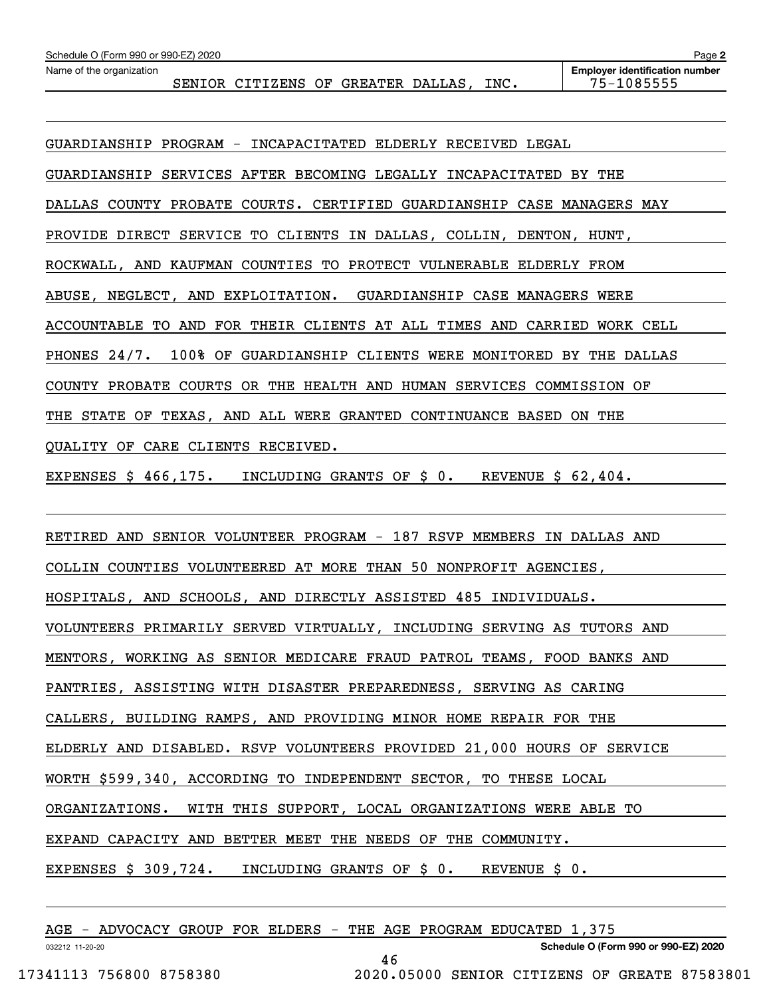| Schedule O (Form 990 or 990-EZ) 2020 |                                    |  |      | Page 2                                              |
|--------------------------------------|------------------------------------|--|------|-----------------------------------------------------|
| Name of the organization             | SENIOR CITIZENS OF GREATER DALLAS, |  | INC. | <b>Employer identification number</b><br>75-1085555 |
|                                      |                                    |  |      |                                                     |
|                                      |                                    |  |      |                                                     |

GUARDIANSHIP PROGRAM - INCAPACITATED ELDERLY RECEIVED LEGAL GUARDIANSHIP SERVICES AFTER BECOMING LEGALLY INCAPACITATED BY THE DALLAS COUNTY PROBATE COURTS. CERTIFIED GUARDIANSHIP CASE MANAGERS MAY PROVIDE DIRECT SERVICE TO CLIENTS IN DALLAS, COLLIN, DENTON, HUNT, ROCKWALL, AND KAUFMAN COUNTIES TO PROTECT VULNERABLE ELDERLY FROM ABUSE, NEGLECT, AND EXPLOITATION. GUARDIANSHIP CASE MANAGERS WERE ACCOUNTABLE TO AND FOR THEIR CLIENTS AT ALL TIMES AND CARRIED WORK CELL PHONES 24/7. 100% OF GUARDIANSHIP CLIENTS WERE MONITORED BY THE DALLAS COUNTY PROBATE COURTS OR THE HEALTH AND HUMAN SERVICES COMMISSION OF THE STATE OF TEXAS, AND ALL WERE GRANTED CONTINUANCE BASED ON THE QUALITY OF CARE CLIENTS RECEIVED.

EXPENSES \$ 466,175. INCLUDING GRANTS OF \$ 0. REVENUE \$ 62,404.

RETIRED AND SENIOR VOLUNTEER PROGRAM - 187 RSVP MEMBERS IN DALLAS AND COLLIN COUNTIES VOLUNTEERED AT MORE THAN 50 NONPROFIT AGENCIES, HOSPITALS, AND SCHOOLS, AND DIRECTLY ASSISTED 485 INDIVIDUALS. VOLUNTEERS PRIMARILY SERVED VIRTUALLY, INCLUDING SERVING AS TUTORS AND MENTORS, WORKING AS SENIOR MEDICARE FRAUD PATROL TEAMS, FOOD BANKS AND PANTRIES, ASSISTING WITH DISASTER PREPAREDNESS, SERVING AS CARING CALLERS, BUILDING RAMPS, AND PROVIDING MINOR HOME REPAIR FOR THE ELDERLY AND DISABLED. RSVP VOLUNTEERS PROVIDED 21,000 HOURS OF SERVICE WORTH \$599,340, ACCORDING TO INDEPENDENT SECTOR, TO THESE LOCAL ORGANIZATIONS. WITH THIS SUPPORT, LOCAL ORGANIZATIONS WERE ABLE TO EXPAND CAPACITY AND BETTER MEET THE NEEDS OF THE COMMUNITY. EXPENSES \$ 309,724. INCLUDING GRANTS OF \$ 0. REVENUE \$ 0.

46

|  | AGE - ADVOCACY GROUP FOR ELDERS - THE AGE PROGRAM EDUCATED 1,375 |  |  |  |  |  |  |  |  |  |  |
|--|------------------------------------------------------------------|--|--|--|--|--|--|--|--|--|--|
|--|------------------------------------------------------------------|--|--|--|--|--|--|--|--|--|--|

032212 11-20-20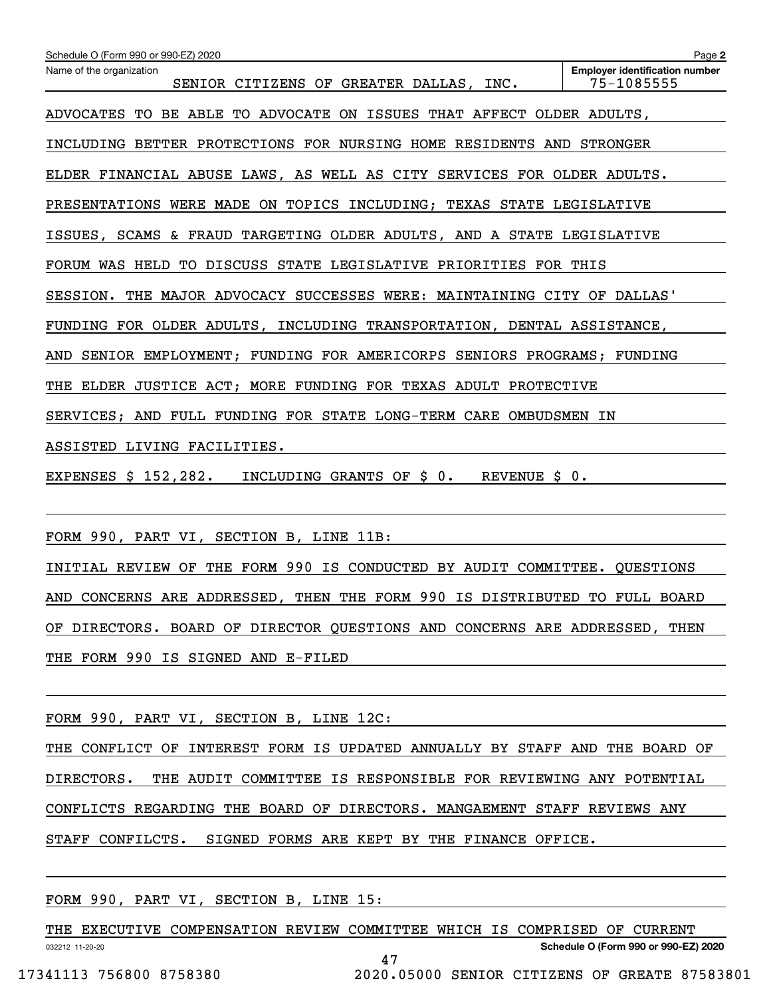| Schedule O (Form 990 or 990-EZ) 2020                                       | Page 2                                              |  |  |  |  |
|----------------------------------------------------------------------------|-----------------------------------------------------|--|--|--|--|
| Name of the organization<br>SENIOR CITIZENS OF GREATER DALLAS, INC.        | <b>Employer identification number</b><br>75-1085555 |  |  |  |  |
| ADVOCATES TO BE ABLE TO ADVOCATE ON ISSUES THAT AFFECT OLDER ADULTS,       |                                                     |  |  |  |  |
| INCLUDING BETTER PROTECTIONS FOR NURSING HOME RESIDENTS AND STRONGER       |                                                     |  |  |  |  |
| ELDER FINANCIAL ABUSE LAWS, AS WELL AS CITY SERVICES FOR OLDER ADULTS.     |                                                     |  |  |  |  |
| PRESENTATIONS WERE MADE ON TOPICS INCLUDING; TEXAS STATE LEGISLATIVE       |                                                     |  |  |  |  |
| ISSUES, SCAMS & FRAUD TARGETING OLDER ADULTS, AND A STATE LEGISLATIVE      |                                                     |  |  |  |  |
| FORUM WAS HELD TO DISCUSS STATE LEGISLATIVE PRIORITIES FOR THIS            |                                                     |  |  |  |  |
| SESSION. THE MAJOR ADVOCACY SUCCESSES WERE: MAINTAINING CITY OF DALLAS'    |                                                     |  |  |  |  |
| FUNDING FOR OLDER ADULTS, INCLUDING TRANSPORTATION, DENTAL ASSISTANCE,     |                                                     |  |  |  |  |
| SENIOR EMPLOYMENT; FUNDING FOR AMERICORPS SENIORS PROGRAMS; FUNDING<br>AND |                                                     |  |  |  |  |
| THE ELDER JUSTICE ACT; MORE FUNDING FOR TEXAS ADULT PROTECTIVE             |                                                     |  |  |  |  |
| SERVICES; AND FULL FUNDING FOR STATE LONG-TERM CARE OMBUDSMEN IN           |                                                     |  |  |  |  |
| ASSISTED LIVING FACILITIES.                                                |                                                     |  |  |  |  |
| EXPENSES \$ 152,282.<br>INCLUDING GRANTS OF \$ 0.<br>REVENUE \$ 0.         |                                                     |  |  |  |  |
|                                                                            |                                                     |  |  |  |  |

FORM 990, PART VI, SECTION B, LINE 11B:

INITIAL REVIEW OF THE FORM 990 IS CONDUCTED BY AUDIT COMMITTEE. QUESTIONS AND CONCERNS ARE ADDRESSED, THEN THE FORM 990 IS DISTRIBUTED TO FULL BOARD OF DIRECTORS. BOARD OF DIRECTOR QUESTIONS AND CONCERNS ARE ADDRESSED, THEN THE FORM 990 IS SIGNED AND E-FILED

FORM 990, PART VI, SECTION B, LINE 12C:

THE CONFLICT OF INTEREST FORM IS UPDATED ANNUALLY BY STAFF AND THE BOARD OF DIRECTORS. THE AUDIT COMMITTEE IS RESPONSIBLE FOR REVIEWING ANY POTENTIAL CONFLICTS REGARDING THE BOARD OF DIRECTORS. MANGAEMENT STAFF REVIEWS ANY STAFF CONFILCTS. SIGNED FORMS ARE KEPT BY THE FINANCE OFFICE.

FORM 990, PART VI, SECTION B, LINE 15:

032212 11-20-20 **Schedule O (Form 990 or 990-EZ) 2020** THE EXECUTIVE COMPENSATION REVIEW COMMITTEE WHICH IS COMPRISED OF CURRENT 47